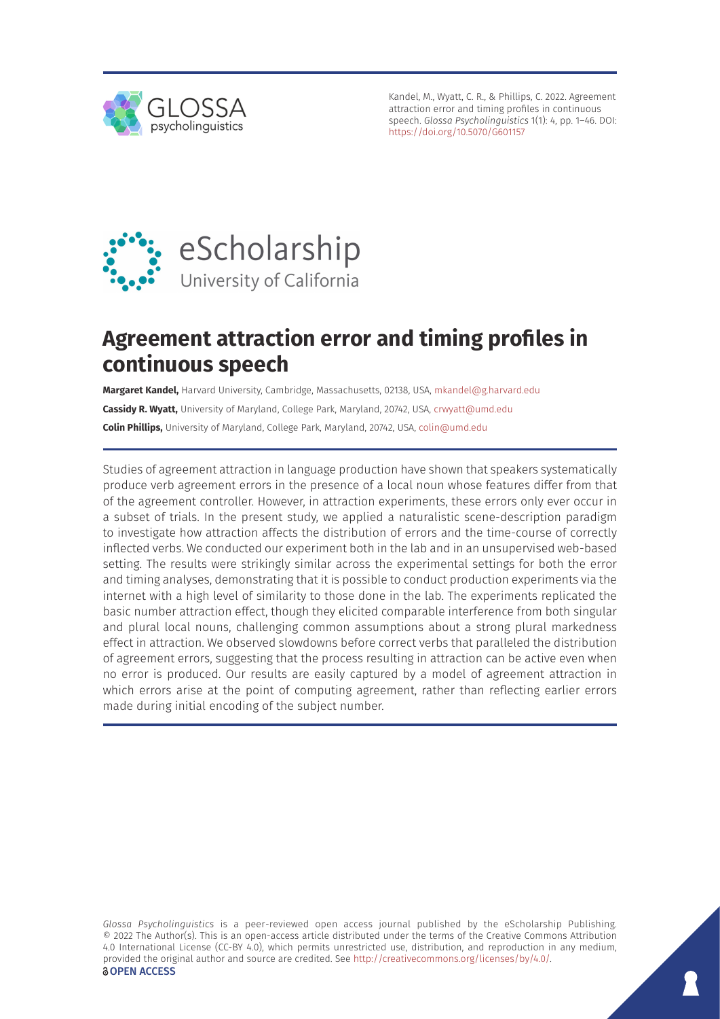

Kandel, M., Wyatt, C. R., & Phillips, C. 2022. Agreement attraction error and timing profiles in continuous speech. *Glossa Psycholinguistics* 1(1): 4, pp. 1–46. DOI: <https://doi.org/10.5070/G601157>



# **Agreement attraction error and timing profiles in continuous speech**

**Margaret Kandel,** Harvard University, Cambridge, Massachusetts, 02138, USA, [mkandel@g.harvard.edu](mailto:mkandel@g.harvard.edu) **Cassidy R. Wyatt,** University of Maryland, College Park, Maryland, 20742, USA, [crwyatt@umd.edu](mailto:crwyatt@umd.edu) **Colin Phillips,** University of Maryland, College Park, Maryland, 20742, USA, [colin@umd.edu](mailto:colin@umd.edu)

Studies of agreement attraction in language production have shown that speakers systematically produce verb agreement errors in the presence of a local noun whose features differ from that of the agreement controller. However, in attraction experiments, these errors only ever occur in a subset of trials. In the present study, we applied a naturalistic scene-description paradigm to investigate how attraction affects the distribution of errors and the time-course of correctly inflected verbs. We conducted our experiment both in the lab and in an unsupervised web-based setting. The results were strikingly similar across the experimental settings for both the error and timing analyses, demonstrating that it is possible to conduct production experiments via the internet with a high level of similarity to those done in the lab. The experiments replicated the basic number attraction effect, though they elicited comparable interference from both singular and plural local nouns, challenging common assumptions about a strong plural markedness effect in attraction. We observed slowdowns before correct verbs that paralleled the distribution of agreement errors, suggesting that the process resulting in attraction can be active even when no error is produced. Our results are easily captured by a model of agreement attraction in which errors arise at the point of computing agreement, rather than reflecting earlier errors made during initial encoding of the subject number.

*Glossa Psycholinguistics* is a peer-reviewed open access journal published by the eScholarship Publishing. © 2022 The Author(s). This is an open-access article distributed under the terms of the Creative Commons Attribution 4.0 International License (CC-BY 4.0), which permits unrestricted use, distribution, and reproduction in any medium, provided the original author and source are credited. See [http://creativecommons.org/licenses/by/4.0/.](http://creativecommons.org/licenses/by/4.0/) *<u>OOPEN</u>* ACCESS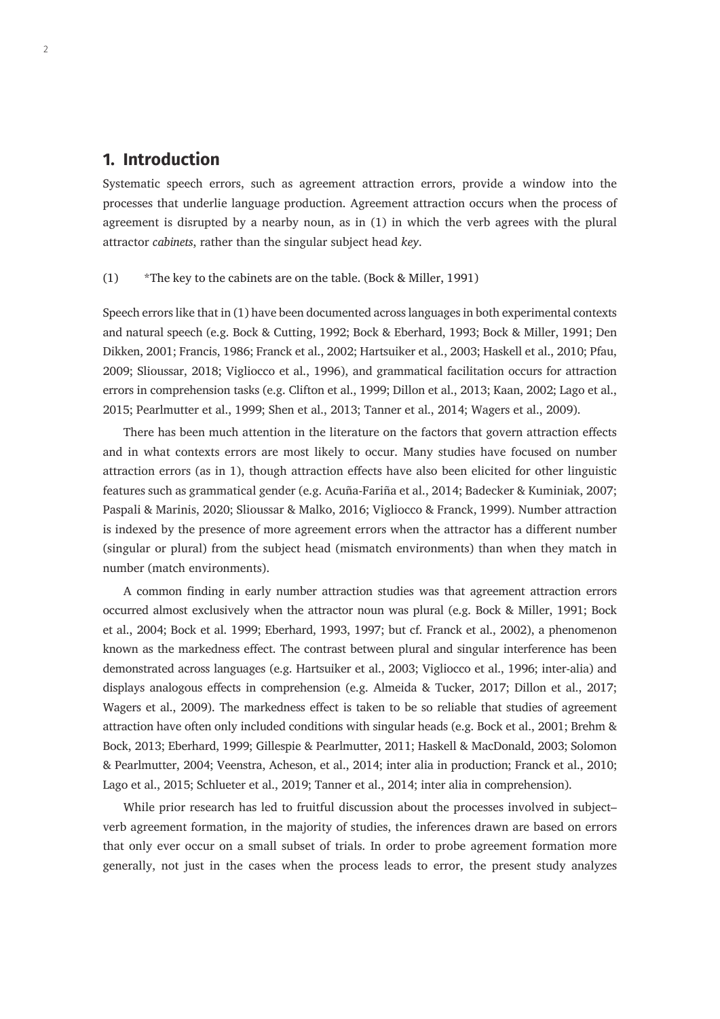# **1. Introduction**

Systematic speech errors, such as agreement attraction errors, provide a window into the processes that underlie language production. Agreement attraction occurs when the process of agreement is disrupted by a nearby noun, as in (1) in which the verb agrees with the plural attractor *cabinets*, rather than the singular subject head *key*.

#### (1) \*The key to the cabinets are on the table. (Bock & Miller, 1991)

Speech errors like that in (1) have been documented across languages in both experimental contexts and natural speech (e.g. Bock & Cutting, 1992; Bock & Eberhard, 1993; Bock & Miller, 1991; Den Dikken, 2001; Francis, 1986; Franck et al., 2002; Hartsuiker et al., 2003; Haskell et al., 2010; Pfau, 2009; Slioussar, 2018; Vigliocco et al., 1996), and grammatical facilitation occurs for attraction errors in comprehension tasks (e.g. Clifton et al., 1999; Dillon et al., 2013; Kaan, 2002; Lago et al., 2015; Pearlmutter et al., 1999; Shen et al., 2013; Tanner et al., 2014; Wagers et al., 2009).

There has been much attention in the literature on the factors that govern attraction effects and in what contexts errors are most likely to occur. Many studies have focused on number attraction errors (as in 1), though attraction effects have also been elicited for other linguistic features such as grammatical gender (e.g. Acuña-Fariña et al., 2014; Badecker & Kuminiak, 2007; Paspali & Marinis, 2020; Slioussar & Malko, 2016; Vigliocco & Franck, 1999). Number attraction is indexed by the presence of more agreement errors when the attractor has a different number (singular or plural) from the subject head (mismatch environments) than when they match in number (match environments).

A common finding in early number attraction studies was that agreement attraction errors occurred almost exclusively when the attractor noun was plural (e.g. Bock & Miller, 1991; Bock et al., 2004; Bock et al. 1999; Eberhard, 1993, 1997; but cf. Franck et al., 2002), a phenomenon known as the markedness effect. The contrast between plural and singular interference has been demonstrated across languages (e.g. Hartsuiker et al., 2003; Vigliocco et al., 1996; inter-alia) and displays analogous effects in comprehension (e.g. Almeida & Tucker, 2017; Dillon et al., 2017; Wagers et al., 2009). The markedness effect is taken to be so reliable that studies of agreement attraction have often only included conditions with singular heads (e.g. Bock et al., 2001; Brehm & Bock, 2013; Eberhard, 1999; Gillespie & Pearlmutter, 2011; Haskell & MacDonald, 2003; Solomon & Pearlmutter, 2004; Veenstra, Acheson, et al., 2014; inter alia in production; Franck et al., 2010; Lago et al., 2015; Schlueter et al., 2019; Tanner et al., 2014; inter alia in comprehension).

While prior research has led to fruitful discussion about the processes involved in subject– verb agreement formation, in the majority of studies, the inferences drawn are based on errors that only ever occur on a small subset of trials. In order to probe agreement formation more generally, not just in the cases when the process leads to error, the present study analyzes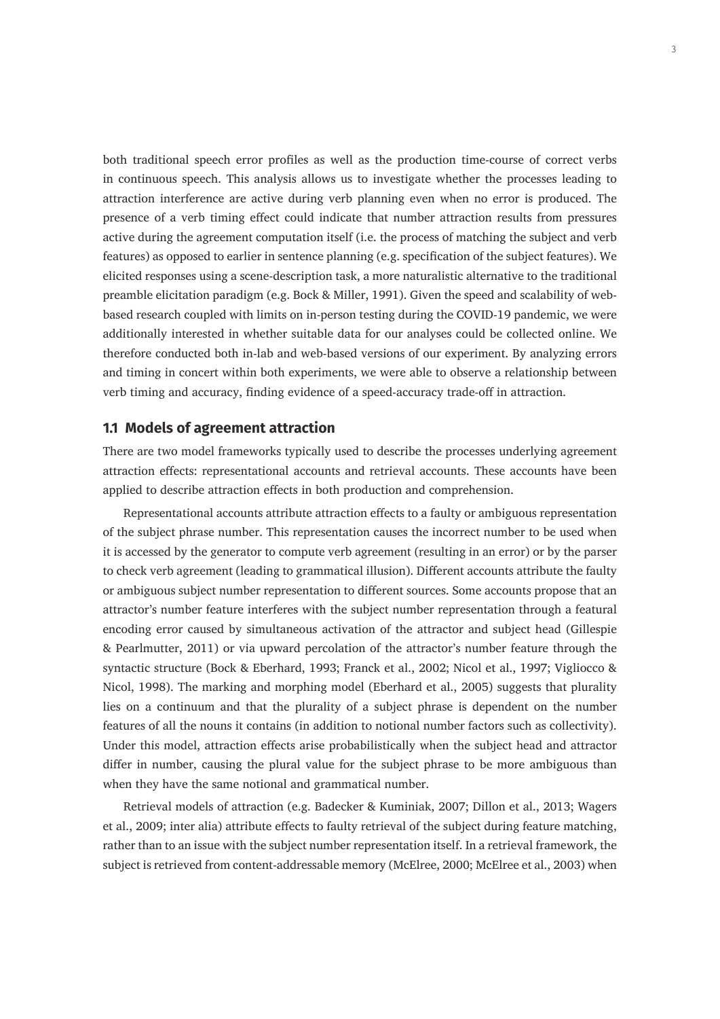both traditional speech error profiles as well as the production time-course of correct verbs in continuous speech. This analysis allows us to investigate whether the processes leading to attraction interference are active during verb planning even when no error is produced. The presence of a verb timing effect could indicate that number attraction results from pressures active during the agreement computation itself (i.e. the process of matching the subject and verb features) as opposed to earlier in sentence planning (e.g. specification of the subject features). We elicited responses using a scene-description task, a more naturalistic alternative to the traditional preamble elicitation paradigm (e.g. Bock & Miller, 1991). Given the speed and scalability of webbased research coupled with limits on in-person testing during the COVID-19 pandemic, we were additionally interested in whether suitable data for our analyses could be collected online. We therefore conducted both in-lab and web-based versions of our experiment. By analyzing errors and timing in concert within both experiments, we were able to observe a relationship between verb timing and accuracy, finding evidence of a speed-accuracy trade-off in attraction.

### **1.1 Models of agreement attraction**

There are two model frameworks typically used to describe the processes underlying agreement attraction effects: representational accounts and retrieval accounts. These accounts have been applied to describe attraction effects in both production and comprehension.

Representational accounts attribute attraction effects to a faulty or ambiguous representation of the subject phrase number. This representation causes the incorrect number to be used when it is accessed by the generator to compute verb agreement (resulting in an error) or by the parser to check verb agreement (leading to grammatical illusion). Different accounts attribute the faulty or ambiguous subject number representation to different sources. Some accounts propose that an attractor's number feature interferes with the subject number representation through a featural encoding error caused by simultaneous activation of the attractor and subject head (Gillespie & Pearlmutter, 2011) or via upward percolation of the attractor's number feature through the syntactic structure (Bock & Eberhard, 1993; Franck et al., 2002; Nicol et al., 1997; Vigliocco & Nicol, 1998). The marking and morphing model (Eberhard et al., 2005) suggests that plurality lies on a continuum and that the plurality of a subject phrase is dependent on the number features of all the nouns it contains (in addition to notional number factors such as collectivity). Under this model, attraction effects arise probabilistically when the subject head and attractor differ in number, causing the plural value for the subject phrase to be more ambiguous than when they have the same notional and grammatical number.

Retrieval models of attraction (e.g. Badecker & Kuminiak, 2007; Dillon et al., 2013; Wagers et al., 2009; inter alia) attribute effects to faulty retrieval of the subject during feature matching, rather than to an issue with the subject number representation itself. In a retrieval framework, the subject is retrieved from content-addressable memory (McElree, 2000; McElree et al., 2003) when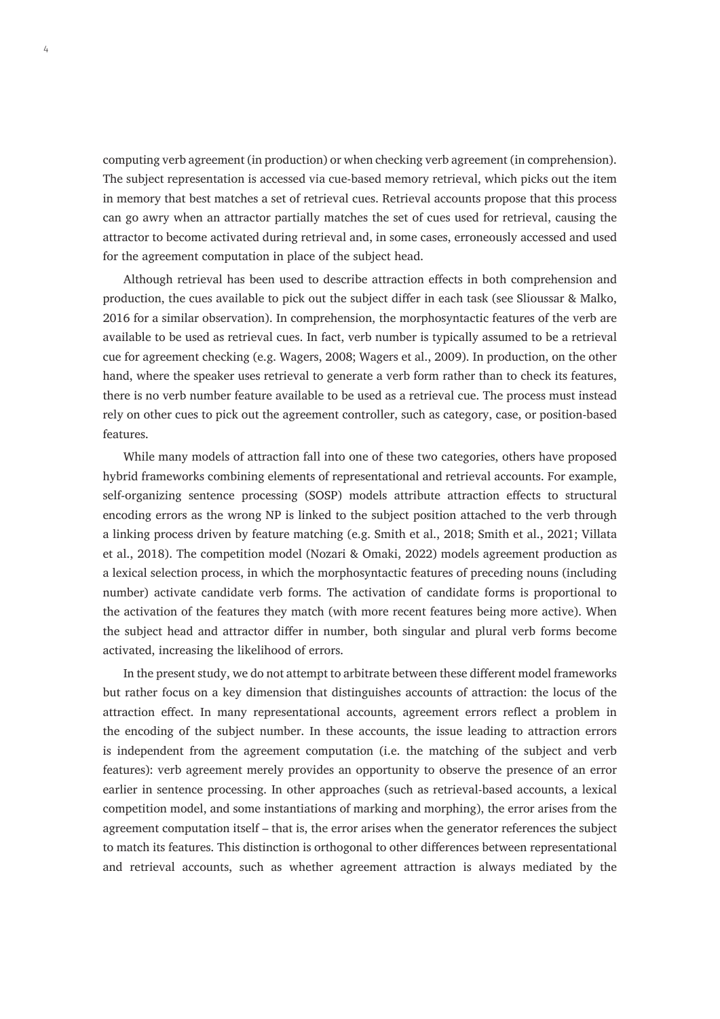computing verb agreement (in production) or when checking verb agreement (in comprehension). The subject representation is accessed via cue-based memory retrieval, which picks out the item in memory that best matches a set of retrieval cues. Retrieval accounts propose that this process can go awry when an attractor partially matches the set of cues used for retrieval, causing the attractor to become activated during retrieval and, in some cases, erroneously accessed and used for the agreement computation in place of the subject head.

Although retrieval has been used to describe attraction effects in both comprehension and production, the cues available to pick out the subject differ in each task (see Slioussar & Malko, 2016 for a similar observation). In comprehension, the morphosyntactic features of the verb are available to be used as retrieval cues. In fact, verb number is typically assumed to be a retrieval cue for agreement checking (e.g. Wagers, 2008; Wagers et al., 2009). In production, on the other hand, where the speaker uses retrieval to generate a verb form rather than to check its features, there is no verb number feature available to be used as a retrieval cue. The process must instead rely on other cues to pick out the agreement controller, such as category, case, or position-based features.

While many models of attraction fall into one of these two categories, others have proposed hybrid frameworks combining elements of representational and retrieval accounts. For example, self-organizing sentence processing (SOSP) models attribute attraction effects to structural encoding errors as the wrong NP is linked to the subject position attached to the verb through a linking process driven by feature matching (e.g. Smith et al., 2018; Smith et al., 2021; Villata et al., 2018). The competition model (Nozari & Omaki, 2022) models agreement production as a lexical selection process, in which the morphosyntactic features of preceding nouns (including number) activate candidate verb forms. The activation of candidate forms is proportional to the activation of the features they match (with more recent features being more active). When the subject head and attractor differ in number, both singular and plural verb forms become activated, increasing the likelihood of errors.

In the present study, we do not attempt to arbitrate between these different model frameworks but rather focus on a key dimension that distinguishes accounts of attraction: the locus of the attraction effect. In many representational accounts, agreement errors reflect a problem in the encoding of the subject number. In these accounts, the issue leading to attraction errors is independent from the agreement computation (i.e. the matching of the subject and verb features): verb agreement merely provides an opportunity to observe the presence of an error earlier in sentence processing. In other approaches (such as retrieval-based accounts, a lexical competition model, and some instantiations of marking and morphing), the error arises from the agreement computation itself – that is, the error arises when the generator references the subject to match its features. This distinction is orthogonal to other differences between representational and retrieval accounts, such as whether agreement attraction is always mediated by the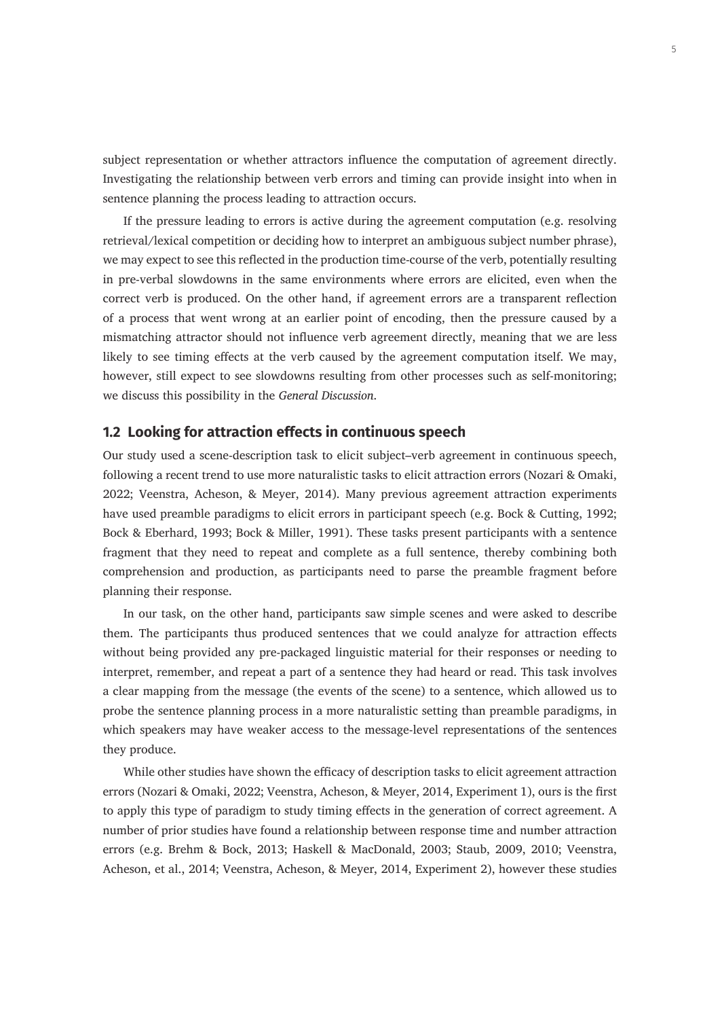subject representation or whether attractors influence the computation of agreement directly. Investigating the relationship between verb errors and timing can provide insight into when in sentence planning the process leading to attraction occurs.

If the pressure leading to errors is active during the agreement computation (e.g. resolving retrieval/lexical competition or deciding how to interpret an ambiguous subject number phrase), we may expect to see this reflected in the production time-course of the verb, potentially resulting in pre-verbal slowdowns in the same environments where errors are elicited, even when the correct verb is produced. On the other hand, if agreement errors are a transparent reflection of a process that went wrong at an earlier point of encoding, then the pressure caused by a mismatching attractor should not influence verb agreement directly, meaning that we are less likely to see timing effects at the verb caused by the agreement computation itself. We may, however, still expect to see slowdowns resulting from other processes such as self-monitoring; we discuss this possibility in the *General Discussion*.

## **1.2 Looking for attraction effects in continuous speech**

Our study used a scene-description task to elicit subject–verb agreement in continuous speech, following a recent trend to use more naturalistic tasks to elicit attraction errors (Nozari & Omaki, 2022; Veenstra, Acheson, & Meyer, 2014). Many previous agreement attraction experiments have used preamble paradigms to elicit errors in participant speech (e.g. Bock & Cutting, 1992; Bock & Eberhard, 1993; Bock & Miller, 1991). These tasks present participants with a sentence fragment that they need to repeat and complete as a full sentence, thereby combining both comprehension and production, as participants need to parse the preamble fragment before planning their response.

In our task, on the other hand, participants saw simple scenes and were asked to describe them. The participants thus produced sentences that we could analyze for attraction effects without being provided any pre-packaged linguistic material for their responses or needing to interpret, remember, and repeat a part of a sentence they had heard or read. This task involves a clear mapping from the message (the events of the scene) to a sentence, which allowed us to probe the sentence planning process in a more naturalistic setting than preamble paradigms, in which speakers may have weaker access to the message-level representations of the sentences they produce.

While other studies have shown the efficacy of description tasks to elicit agreement attraction errors (Nozari & Omaki, 2022; Veenstra, Acheson, & Meyer, 2014, Experiment 1), ours is the first to apply this type of paradigm to study timing effects in the generation of correct agreement. A number of prior studies have found a relationship between response time and number attraction errors (e.g. Brehm & Bock, 2013; Haskell & MacDonald, 2003; Staub, 2009, 2010; Veenstra, Acheson, et al., 2014; Veenstra, Acheson, & Meyer, 2014, Experiment 2), however these studies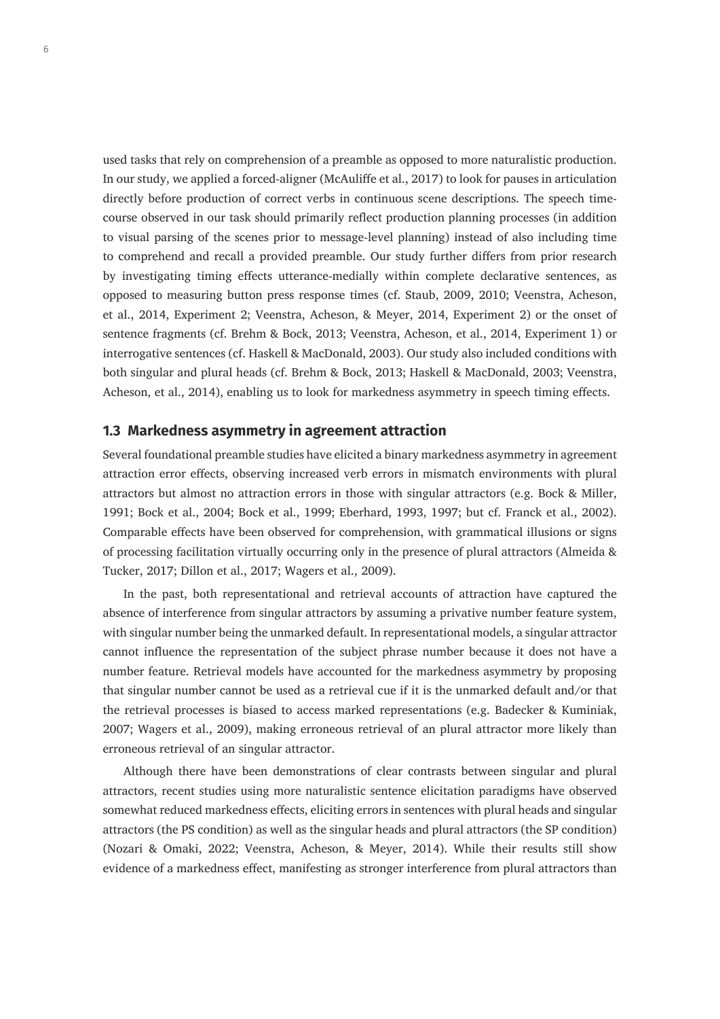used tasks that rely on comprehension of a preamble as opposed to more naturalistic production. In our study, we applied a forced-aligner (McAuliffe et al., 2017) to look for pauses in articulation directly before production of correct verbs in continuous scene descriptions. The speech timecourse observed in our task should primarily reflect production planning processes (in addition to visual parsing of the scenes prior to message-level planning) instead of also including time to comprehend and recall a provided preamble. Our study further differs from prior research by investigating timing effects utterance-medially within complete declarative sentences, as opposed to measuring button press response times (cf. Staub, 2009, 2010; Veenstra, Acheson, et al., 2014, Experiment 2; Veenstra, Acheson, & Meyer, 2014, Experiment 2) or the onset of sentence fragments (cf. Brehm & Bock, 2013; Veenstra, Acheson, et al., 2014, Experiment 1) or interrogative sentences (cf. Haskell & MacDonald, 2003). Our study also included conditions with both singular and plural heads (cf. Brehm & Bock, 2013; Haskell & MacDonald, 2003; Veenstra, Acheson, et al., 2014), enabling us to look for markedness asymmetry in speech timing effects.

## **1.3 Markedness asymmetry in agreement attraction**

Several foundational preamble studies have elicited a binary markedness asymmetry in agreement attraction error effects, observing increased verb errors in mismatch environments with plural attractors but almost no attraction errors in those with singular attractors (e.g. Bock & Miller, 1991; Bock et al., 2004; Bock et al., 1999; Eberhard, 1993, 1997; but cf. Franck et al., 2002). Comparable effects have been observed for comprehension, with grammatical illusions or signs of processing facilitation virtually occurring only in the presence of plural attractors (Almeida & Tucker, 2017; Dillon et al., 2017; Wagers et al., 2009).

In the past, both representational and retrieval accounts of attraction have captured the absence of interference from singular attractors by assuming a privative number feature system, with singular number being the unmarked default. In representational models, a singular attractor cannot influence the representation of the subject phrase number because it does not have a number feature. Retrieval models have accounted for the markedness asymmetry by proposing that singular number cannot be used as a retrieval cue if it is the unmarked default and/or that the retrieval processes is biased to access marked representations (e.g. Badecker & Kuminiak, 2007; Wagers et al., 2009), making erroneous retrieval of an plural attractor more likely than erroneous retrieval of an singular attractor.

Although there have been demonstrations of clear contrasts between singular and plural attractors, recent studies using more naturalistic sentence elicitation paradigms have observed somewhat reduced markedness effects, eliciting errors in sentences with plural heads and singular attractors (the PS condition) as well as the singular heads and plural attractors (the SP condition) (Nozari & Omaki, 2022; Veenstra, Acheson, & Meyer, 2014). While their results still show evidence of a markedness effect, manifesting as stronger interference from plural attractors than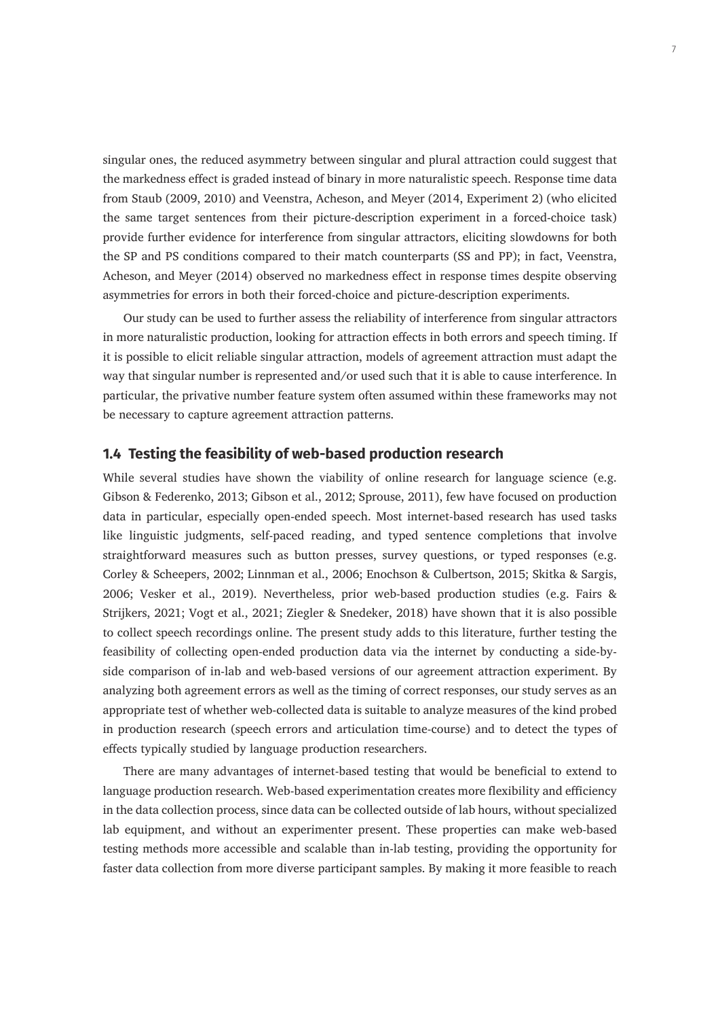singular ones, the reduced asymmetry between singular and plural attraction could suggest that the markedness effect is graded instead of binary in more naturalistic speech. Response time data from Staub (2009, 2010) and Veenstra, Acheson, and Meyer (2014, Experiment 2) (who elicited the same target sentences from their picture-description experiment in a forced-choice task) provide further evidence for interference from singular attractors, eliciting slowdowns for both the SP and PS conditions compared to their match counterparts (SS and PP); in fact, Veenstra, Acheson, and Meyer (2014) observed no markedness effect in response times despite observing asymmetries for errors in both their forced-choice and picture-description experiments.

Our study can be used to further assess the reliability of interference from singular attractors in more naturalistic production, looking for attraction effects in both errors and speech timing. If it is possible to elicit reliable singular attraction, models of agreement attraction must adapt the way that singular number is represented and/or used such that it is able to cause interference. In particular, the privative number feature system often assumed within these frameworks may not be necessary to capture agreement attraction patterns.

### **1.4 Testing the feasibility of web-based production research**

While several studies have shown the viability of online research for language science (e.g. Gibson & Federenko, 2013; Gibson et al., 2012; Sprouse, 2011), few have focused on production data in particular, especially open-ended speech. Most internet-based research has used tasks like linguistic judgments, self-paced reading, and typed sentence completions that involve straightforward measures such as button presses, survey questions, or typed responses (e.g. Corley & Scheepers, 2002; Linnman et al., 2006; Enochson & Culbertson, 2015; Skitka & Sargis, 2006; Vesker et al., 2019). Nevertheless, prior web-based production studies (e.g. Fairs & Strijkers, 2021; Vogt et al., 2021; Ziegler & Snedeker, 2018) have shown that it is also possible to collect speech recordings online. The present study adds to this literature, further testing the feasibility of collecting open-ended production data via the internet by conducting a side-byside comparison of in-lab and web-based versions of our agreement attraction experiment. By analyzing both agreement errors as well as the timing of correct responses, our study serves as an appropriate test of whether web-collected data is suitable to analyze measures of the kind probed in production research (speech errors and articulation time-course) and to detect the types of effects typically studied by language production researchers.

There are many advantages of internet-based testing that would be beneficial to extend to language production research. Web-based experimentation creates more flexibility and efficiency in the data collection process, since data can be collected outside of lab hours, without specialized lab equipment, and without an experimenter present. These properties can make web-based testing methods more accessible and scalable than in-lab testing, providing the opportunity for faster data collection from more diverse participant samples. By making it more feasible to reach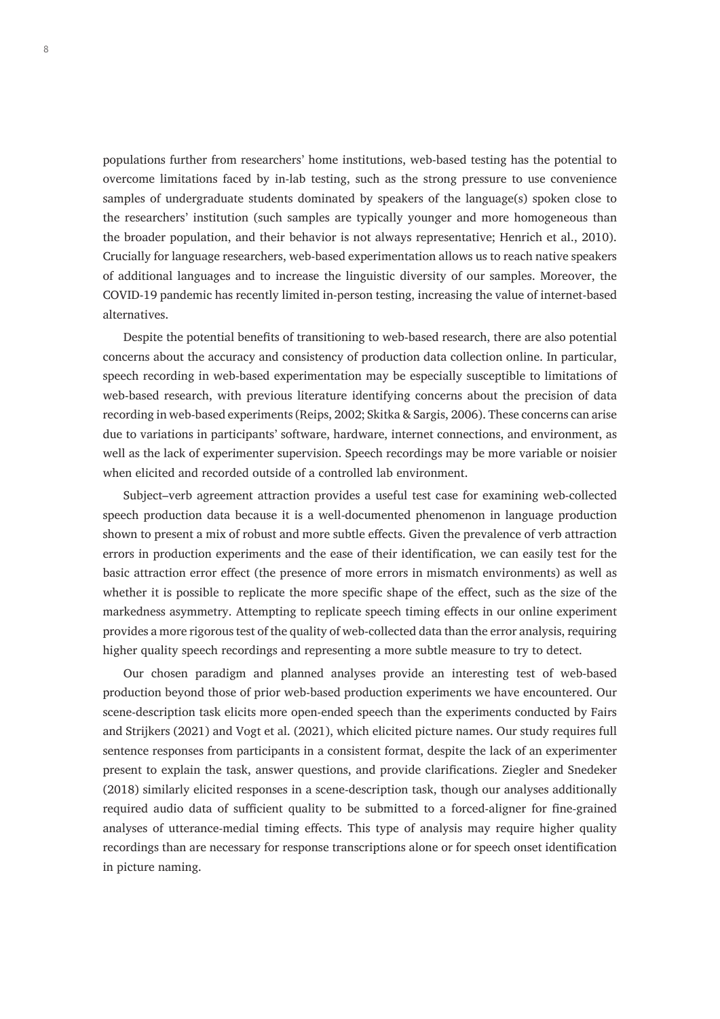populations further from researchers' home institutions, web-based testing has the potential to overcome limitations faced by in-lab testing, such as the strong pressure to use convenience samples of undergraduate students dominated by speakers of the language(s) spoken close to the researchers' institution (such samples are typically younger and more homogeneous than the broader population, and their behavior is not always representative; Henrich et al., 2010). Crucially for language researchers, web-based experimentation allows us to reach native speakers of additional languages and to increase the linguistic diversity of our samples. Moreover, the COVID-19 pandemic has recently limited in-person testing, increasing the value of internet-based alternatives.

Despite the potential benefits of transitioning to web-based research, there are also potential concerns about the accuracy and consistency of production data collection online. In particular, speech recording in web-based experimentation may be especially susceptible to limitations of web-based research, with previous literature identifying concerns about the precision of data recording in web-based experiments (Reips, 2002; Skitka & Sargis, 2006). These concerns can arise due to variations in participants' software, hardware, internet connections, and environment, as well as the lack of experimenter supervision. Speech recordings may be more variable or noisier when elicited and recorded outside of a controlled lab environment.

Subject–verb agreement attraction provides a useful test case for examining web-collected speech production data because it is a well-documented phenomenon in language production shown to present a mix of robust and more subtle effects. Given the prevalence of verb attraction errors in production experiments and the ease of their identification, we can easily test for the basic attraction error effect (the presence of more errors in mismatch environments) as well as whether it is possible to replicate the more specific shape of the effect, such as the size of the markedness asymmetry. Attempting to replicate speech timing effects in our online experiment provides a more rigorous test of the quality of web-collected data than the error analysis, requiring higher quality speech recordings and representing a more subtle measure to try to detect.

Our chosen paradigm and planned analyses provide an interesting test of web-based production beyond those of prior web-based production experiments we have encountered. Our scene-description task elicits more open-ended speech than the experiments conducted by Fairs and Strijkers (2021) and Vogt et al. (2021), which elicited picture names. Our study requires full sentence responses from participants in a consistent format, despite the lack of an experimenter present to explain the task, answer questions, and provide clarifications. Ziegler and Snedeker (2018) similarly elicited responses in a scene-description task, though our analyses additionally required audio data of sufficient quality to be submitted to a forced-aligner for fine-grained analyses of utterance-medial timing effects. This type of analysis may require higher quality recordings than are necessary for response transcriptions alone or for speech onset identification in picture naming.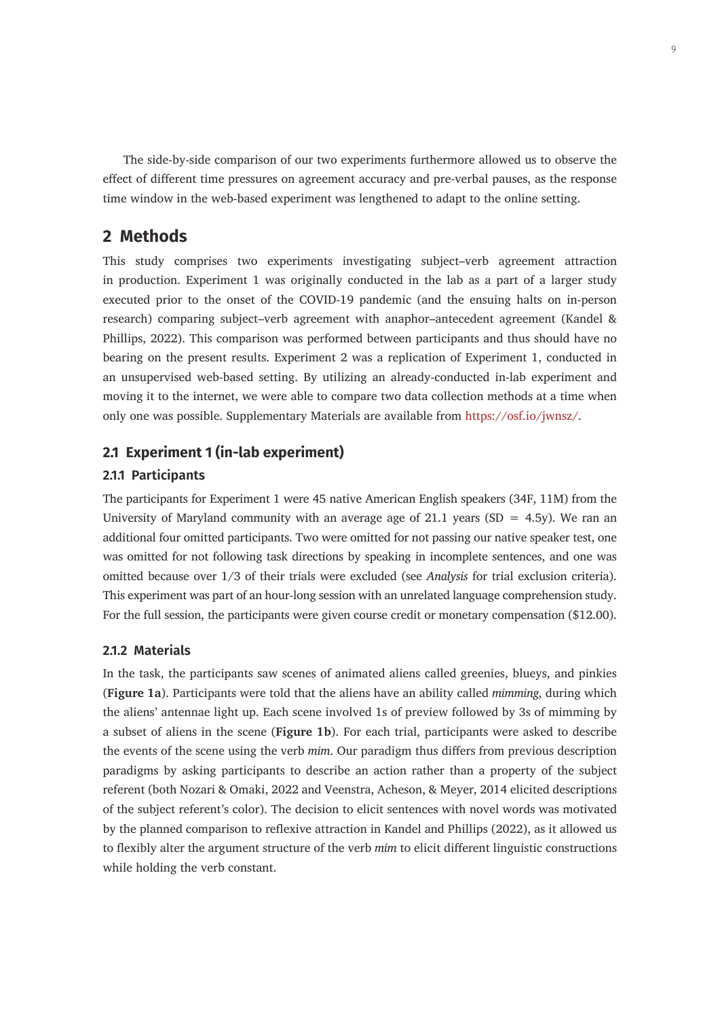The side-by-side comparison of our two experiments furthermore allowed us to observe the effect of different time pressures on agreement accuracy and pre-verbal pauses, as the response time window in the web-based experiment was lengthened to adapt to the online setting.

# **2 Methods**

This study comprises two experiments investigating subject–verb agreement attraction in production. Experiment 1 was originally conducted in the lab as a part of a larger study executed prior to the onset of the COVID-19 pandemic (and the ensuing halts on in-person research) comparing subject–verb agreement with anaphor–antecedent agreement (Kandel & Phillips, 2022). This comparison was performed between participants and thus should have no bearing on the present results. Experiment 2 was a replication of Experiment 1, conducted in an unsupervised web-based setting. By utilizing an already-conducted in-lab experiment and moving it to the internet, we were able to compare two data collection methods at a time when only one was possible. Supplementary Materials are available from <https://osf.io/jwnsz/>.

## **2.1 Experiment 1 (in-lab experiment)**

## **2.1.1 Participants**

The participants for Experiment 1 were 45 native American English speakers (34F, 11M) from the University of Maryland community with an average age of 21.1 years (SD = 4.5y). We ran an additional four omitted participants. Two were omitted for not passing our native speaker test, one was omitted for not following task directions by speaking in incomplete sentences, and one was omitted because over 1/3 of their trials were excluded (see *Analysis* for trial exclusion criteria). This experiment was part of an hour-long session with an unrelated language comprehension study. For the full session, the participants were given course credit or monetary compensation (\$12.00).

#### **2.1.2 Materials**

In the task, the participants saw scenes of animated aliens called greenies, blueys, and pinkies (**Figure 1a**). Participants were told that the aliens have an ability called *mimming*, during which the aliens' antennae light up. Each scene involved 1s of preview followed by 3s of mimming by a subset of aliens in the scene (**Figure 1b**). For each trial, participants were asked to describe the events of the scene using the verb *mim*. Our paradigm thus differs from previous description paradigms by asking participants to describe an action rather than a property of the subject referent (both Nozari & Omaki, 2022 and Veenstra, Acheson, & Meyer, 2014 elicited descriptions of the subject referent's color). The decision to elicit sentences with novel words was motivated by the planned comparison to reflexive attraction in Kandel and Phillips (2022), as it allowed us to flexibly alter the argument structure of the verb *mim* to elicit different linguistic constructions while holding the verb constant.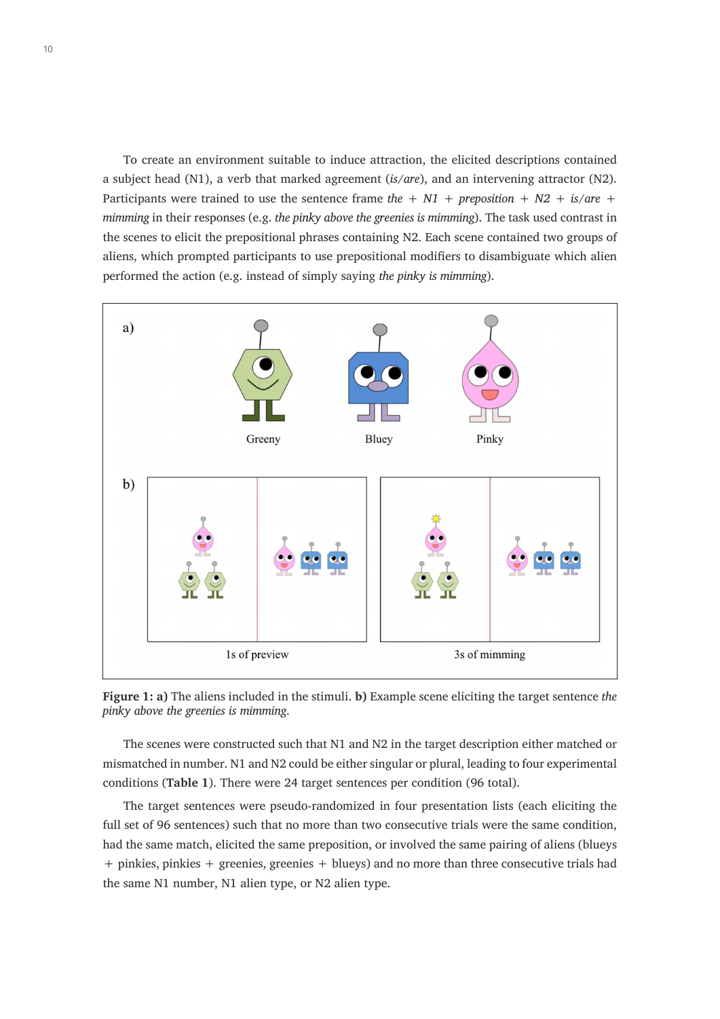To create an environment suitable to induce attraction, the elicited descriptions contained a subject head (N1), a verb that marked agreement (*is/are*), and an intervening attractor (N2). Participants were trained to use the sentence frame *the + N1 + preposition + N2 + is/are + mimming* in their responses (e.g. *the pinky above the greenies is mimming*). The task used contrast in the scenes to elicit the prepositional phrases containing N2. Each scene contained two groups of aliens, which prompted participants to use prepositional modifiers to disambiguate which alien performed the action (e.g. instead of simply saying *the pinky is mimming*).



**Figure 1: a)** The aliens included in the stimuli. **b)** Example scene eliciting the target sentence *the pinky above the greenies is mimming*.

The scenes were constructed such that N1 and N2 in the target description either matched or mismatched in number. N1 and N2 could be either singular or plural, leading to four experimental conditions (**Table 1**). There were 24 target sentences per condition (96 total).

The target sentences were pseudo-randomized in four presentation lists (each eliciting the full set of 96 sentences) such that no more than two consecutive trials were the same condition, had the same match, elicited the same preposition, or involved the same pairing of aliens (blueys + pinkies, pinkies + greenies, greenies + blueys) and no more than three consecutive trials had the same N1 number, N1 alien type, or N2 alien type.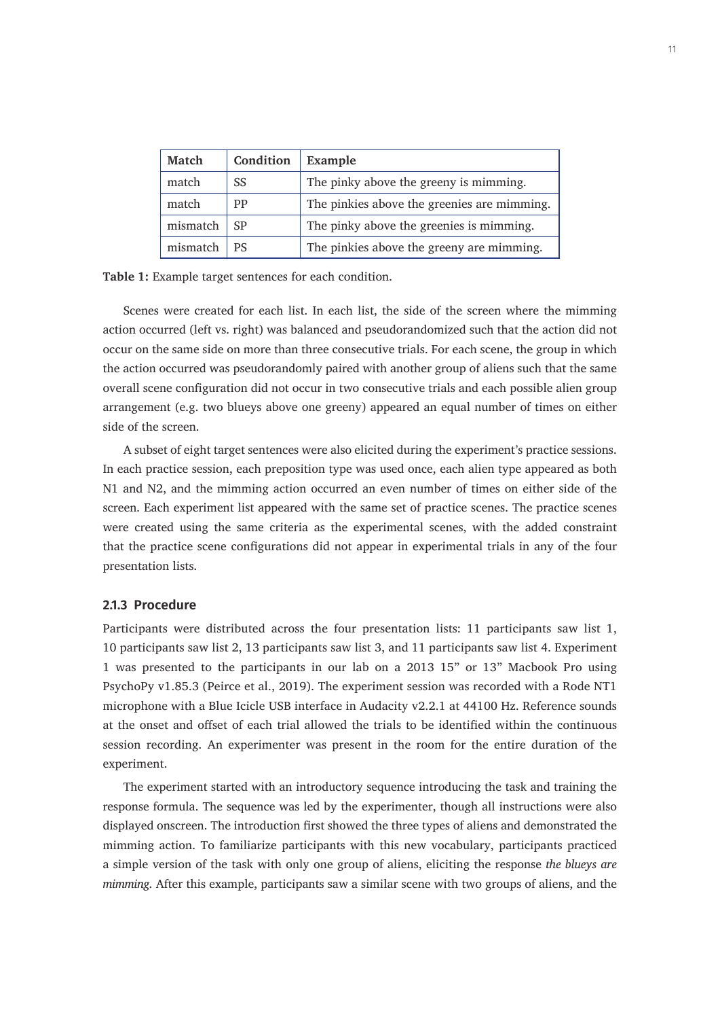| <b>Match</b> | Condition | Example                                     |
|--------------|-----------|---------------------------------------------|
| match        | SS        | The pinky above the greeny is mimming.      |
| match        | <b>PP</b> | The pinkies above the greenies are mimming. |
| mismatch     | <b>SP</b> | The pinky above the greenies is mimming.    |
| mismatch     | <b>PS</b> | The pinkies above the greeny are mimming.   |

**Table 1:** Example target sentences for each condition.

Scenes were created for each list. In each list, the side of the screen where the mimming action occurred (left vs. right) was balanced and pseudorandomized such that the action did not occur on the same side on more than three consecutive trials. For each scene, the group in which the action occurred was pseudorandomly paired with another group of aliens such that the same overall scene configuration did not occur in two consecutive trials and each possible alien group arrangement (e.g. two blueys above one greeny) appeared an equal number of times on either side of the screen.

A subset of eight target sentences were also elicited during the experiment's practice sessions. In each practice session, each preposition type was used once, each alien type appeared as both N1 and N2, and the mimming action occurred an even number of times on either side of the screen. Each experiment list appeared with the same set of practice scenes. The practice scenes were created using the same criteria as the experimental scenes, with the added constraint that the practice scene configurations did not appear in experimental trials in any of the four presentation lists.

#### **2.1.3 Procedure**

Participants were distributed across the four presentation lists: 11 participants saw list 1, 10 participants saw list 2, 13 participants saw list 3, and 11 participants saw list 4. Experiment 1 was presented to the participants in our lab on a 2013 15" or 13" Macbook Pro using PsychoPy v1.85.3 (Peirce et al., 2019). The experiment session was recorded with a Rode NT1 microphone with a Blue Icicle USB interface in Audacity v2.2.1 at 44100 Hz. Reference sounds at the onset and offset of each trial allowed the trials to be identified within the continuous session recording. An experimenter was present in the room for the entire duration of the experiment.

The experiment started with an introductory sequence introducing the task and training the response formula. The sequence was led by the experimenter, though all instructions were also displayed onscreen. The introduction first showed the three types of aliens and demonstrated the mimming action. To familiarize participants with this new vocabulary, participants practiced a simple version of the task with only one group of aliens, eliciting the response *the blueys are mimming*. After this example, participants saw a similar scene with two groups of aliens, and the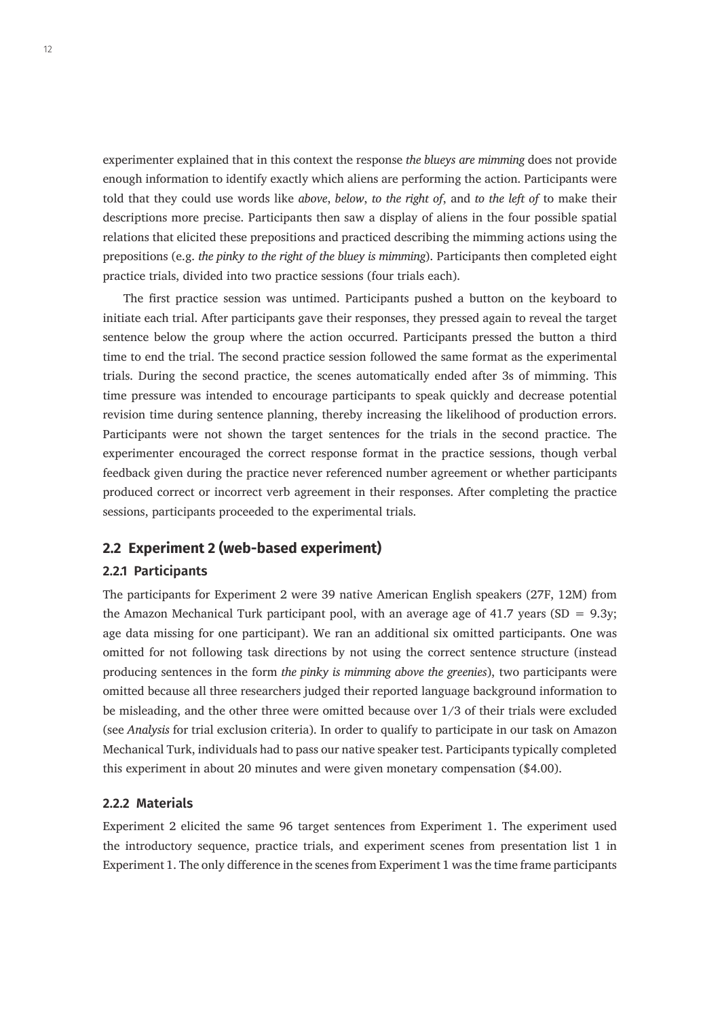experimenter explained that in this context the response *the blueys are mimming* does not provide enough information to identify exactly which aliens are performing the action. Participants were told that they could use words like *above*, *below*, *to the right of*, and *to the left of* to make their descriptions more precise. Participants then saw a display of aliens in the four possible spatial relations that elicited these prepositions and practiced describing the mimming actions using the prepositions (e.g. *the pinky to the right of the bluey is mimming*). Participants then completed eight practice trials, divided into two practice sessions (four trials each).

The first practice session was untimed. Participants pushed a button on the keyboard to initiate each trial. After participants gave their responses, they pressed again to reveal the target sentence below the group where the action occurred. Participants pressed the button a third time to end the trial. The second practice session followed the same format as the experimental trials. During the second practice, the scenes automatically ended after 3s of mimming. This time pressure was intended to encourage participants to speak quickly and decrease potential revision time during sentence planning, thereby increasing the likelihood of production errors. Participants were not shown the target sentences for the trials in the second practice. The experimenter encouraged the correct response format in the practice sessions, though verbal feedback given during the practice never referenced number agreement or whether participants produced correct or incorrect verb agreement in their responses. After completing the practice sessions, participants proceeded to the experimental trials.

## **2.2 Experiment 2 (web-based experiment)**

#### **2.2.1 Participants**

The participants for Experiment 2 were 39 native American English speakers (27F, 12M) from the Amazon Mechanical Turk participant pool, with an average age of 41.7 years (SD =  $9.3y$ ; age data missing for one participant). We ran an additional six omitted participants. One was omitted for not following task directions by not using the correct sentence structure (instead producing sentences in the form *the pinky is mimming above the greenies*), two participants were omitted because all three researchers judged their reported language background information to be misleading, and the other three were omitted because over 1/3 of their trials were excluded (see *Analysis* for trial exclusion criteria). In order to qualify to participate in our task on Amazon Mechanical Turk, individuals had to pass our native speaker test. Participants typically completed this experiment in about 20 minutes and were given monetary compensation (\$4.00).

## **2.2.2 Materials**

Experiment 2 elicited the same 96 target sentences from Experiment 1. The experiment used the introductory sequence, practice trials, and experiment scenes from presentation list 1 in Experiment 1. The only difference in the scenes from Experiment 1 was the time frame participants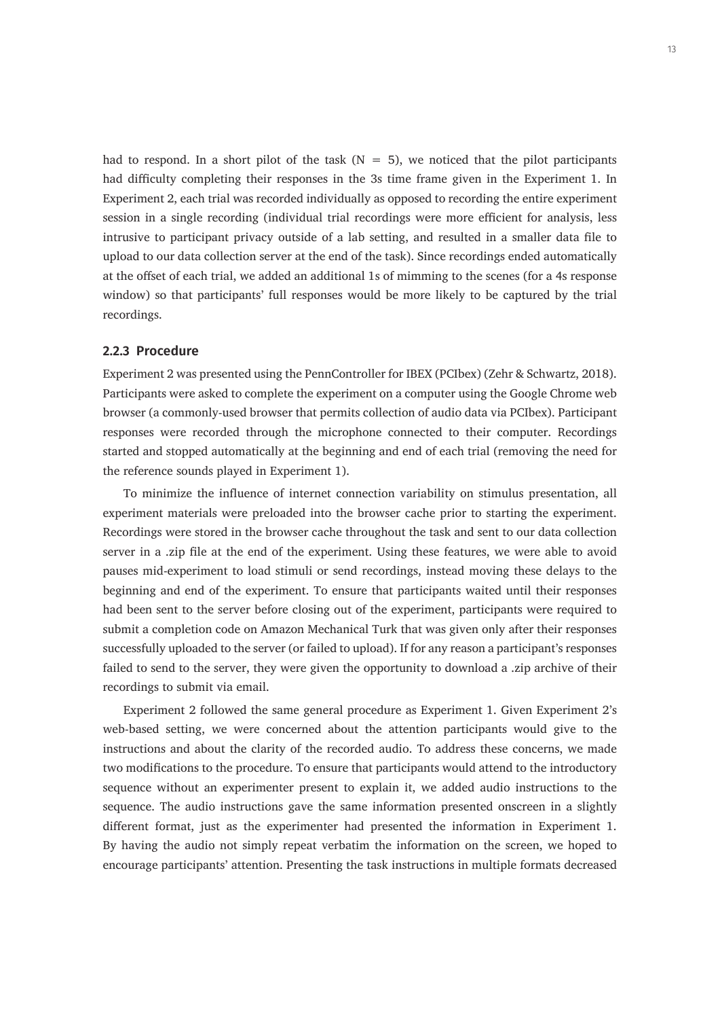had to respond. In a short pilot of the task  $(N = 5)$ , we noticed that the pilot participants had difficulty completing their responses in the 3s time frame given in the Experiment 1. In Experiment 2, each trial was recorded individually as opposed to recording the entire experiment session in a single recording (individual trial recordings were more efficient for analysis, less intrusive to participant privacy outside of a lab setting, and resulted in a smaller data file to upload to our data collection server at the end of the task). Since recordings ended automatically at the offset of each trial, we added an additional 1s of mimming to the scenes (for a 4s response window) so that participants' full responses would be more likely to be captured by the trial recordings.

## **2.2.3 Procedure**

Experiment 2 was presented using the PennController for IBEX (PCIbex) (Zehr & Schwartz, 2018). Participants were asked to complete the experiment on a computer using the Google Chrome web browser (a commonly-used browser that permits collection of audio data via PCIbex). Participant responses were recorded through the microphone connected to their computer. Recordings started and stopped automatically at the beginning and end of each trial (removing the need for the reference sounds played in Experiment 1).

To minimize the influence of internet connection variability on stimulus presentation, all experiment materials were preloaded into the browser cache prior to starting the experiment. Recordings were stored in the browser cache throughout the task and sent to our data collection server in a .zip file at the end of the experiment. Using these features, we were able to avoid pauses mid-experiment to load stimuli or send recordings, instead moving these delays to the beginning and end of the experiment. To ensure that participants waited until their responses had been sent to the server before closing out of the experiment, participants were required to submit a completion code on Amazon Mechanical Turk that was given only after their responses successfully uploaded to the server (or failed to upload). If for any reason a participant's responses failed to send to the server, they were given the opportunity to download a .zip archive of their recordings to submit via email.

Experiment 2 followed the same general procedure as Experiment 1. Given Experiment 2's web-based setting, we were concerned about the attention participants would give to the instructions and about the clarity of the recorded audio. To address these concerns, we made two modifications to the procedure. To ensure that participants would attend to the introductory sequence without an experimenter present to explain it, we added audio instructions to the sequence. The audio instructions gave the same information presented onscreen in a slightly different format, just as the experimenter had presented the information in Experiment 1. By having the audio not simply repeat verbatim the information on the screen, we hoped to encourage participants' attention. Presenting the task instructions in multiple formats decreased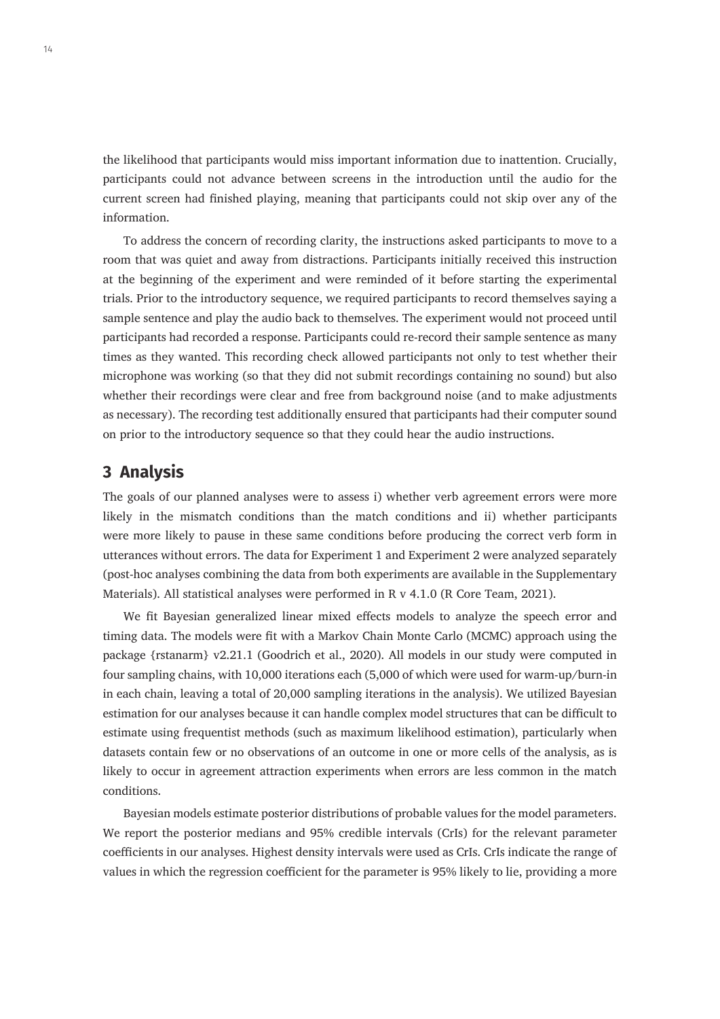the likelihood that participants would miss important information due to inattention. Crucially, participants could not advance between screens in the introduction until the audio for the current screen had finished playing, meaning that participants could not skip over any of the information.

To address the concern of recording clarity, the instructions asked participants to move to a room that was quiet and away from distractions. Participants initially received this instruction at the beginning of the experiment and were reminded of it before starting the experimental trials. Prior to the introductory sequence, we required participants to record themselves saying a sample sentence and play the audio back to themselves. The experiment would not proceed until participants had recorded a response. Participants could re-record their sample sentence as many times as they wanted. This recording check allowed participants not only to test whether their microphone was working (so that they did not submit recordings containing no sound) but also whether their recordings were clear and free from background noise (and to make adjustments as necessary). The recording test additionally ensured that participants had their computer sound on prior to the introductory sequence so that they could hear the audio instructions.

# **3 Analysis**

The goals of our planned analyses were to assess i) whether verb agreement errors were more likely in the mismatch conditions than the match conditions and ii) whether participants were more likely to pause in these same conditions before producing the correct verb form in utterances without errors. The data for Experiment 1 and Experiment 2 were analyzed separately (post-hoc analyses combining the data from both experiments are available in the Supplementary Materials). All statistical analyses were performed in R v 4.1.0 (R Core Team, 2021).

We fit Bayesian generalized linear mixed effects models to analyze the speech error and timing data. The models were fit with a Markov Chain Monte Carlo (MCMC) approach using the package {rstanarm} v2.21.1 (Goodrich et al., 2020). All models in our study were computed in four sampling chains, with 10,000 iterations each (5,000 of which were used for warm-up/burn-in in each chain, leaving a total of 20,000 sampling iterations in the analysis). We utilized Bayesian estimation for our analyses because it can handle complex model structures that can be difficult to estimate using frequentist methods (such as maximum likelihood estimation), particularly when datasets contain few or no observations of an outcome in one or more cells of the analysis, as is likely to occur in agreement attraction experiments when errors are less common in the match conditions.

Bayesian models estimate posterior distributions of probable values for the model parameters. We report the posterior medians and 95% credible intervals (CrIs) for the relevant parameter coefficients in our analyses. Highest density intervals were used as CrIs. CrIs indicate the range of values in which the regression coefficient for the parameter is 95% likely to lie, providing a more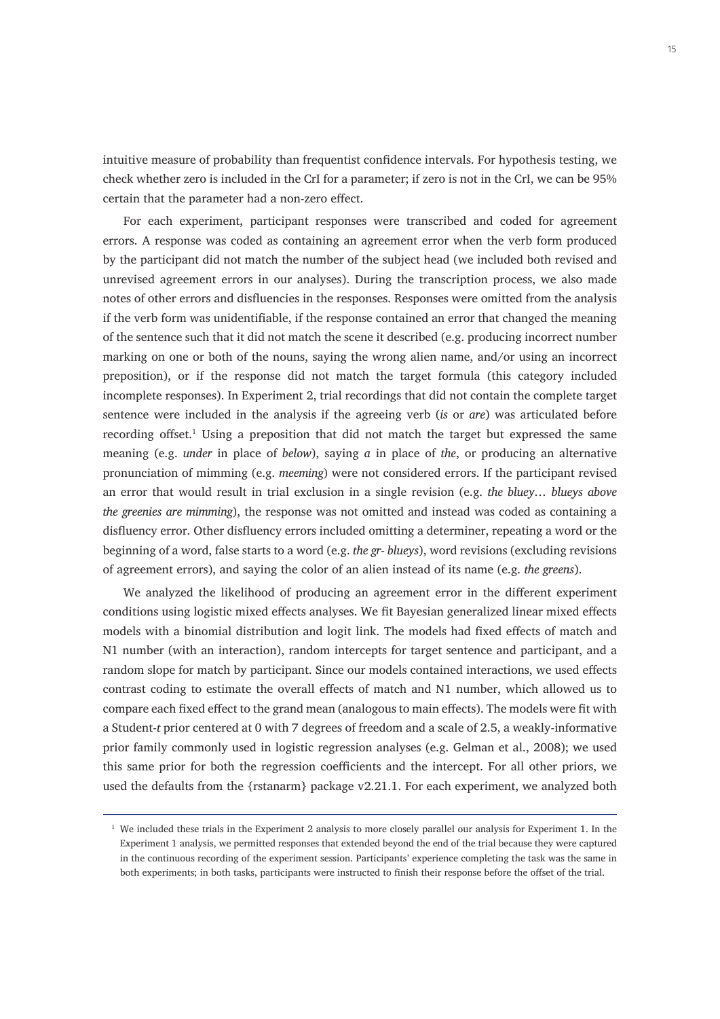intuitive measure of probability than frequentist confidence intervals. For hypothesis testing, we check whether zero is included in the CrI for a parameter; if zero is not in the CrI, we can be 95% certain that the parameter had a non-zero effect.

For each experiment, participant responses were transcribed and coded for agreement errors. A response was coded as containing an agreement error when the verb form produced by the participant did not match the number of the subject head (we included both revised and unrevised agreement errors in our analyses). During the transcription process, we also made notes of other errors and disfluencies in the responses. Responses were omitted from the analysis if the verb form was unidentifiable, if the response contained an error that changed the meaning of the sentence such that it did not match the scene it described (e.g. producing incorrect number marking on one or both of the nouns, saying the wrong alien name, and/or using an incorrect preposition), or if the response did not match the target formula (this category included incomplete responses). In Experiment 2, trial recordings that did not contain the complete target sentence were included in the analysis if the agreeing verb (*is* or *are*) was articulated before recording offset. $<sup>1</sup>$  Using a preposition that did not match the target but expressed the same</sup> meaning (e.g. *under* in place of *below*), saying *a* in place of *the*, or producing an alternative pronunciation of mimming (e.g. *meeming*) were not considered errors. If the participant revised an error that would result in trial exclusion in a single revision (e.g. *the bluey… blueys above the greenies are mimming*), the response was not omitted and instead was coded as containing a disfluency error. Other disfluency errors included omitting a determiner, repeating a word or the beginning of a word, false starts to a word (e.g. *the gr- blueys*), word revisions (excluding revisions of agreement errors), and saying the color of an alien instead of its name (e.g. *the greens*).

We analyzed the likelihood of producing an agreement error in the different experiment conditions using logistic mixed effects analyses. We fit Bayesian generalized linear mixed effects models with a binomial distribution and logit link. The models had fixed effects of match and N1 number (with an interaction), random intercepts for target sentence and participant, and a random slope for match by participant. Since our models contained interactions, we used effects contrast coding to estimate the overall effects of match and N1 number, which allowed us to compare each fixed effect to the grand mean (analogous to main effects). The models were fit with a Student-*t* prior centered at 0 with 7 degrees of freedom and a scale of 2.5, a weakly-informative prior family commonly used in logistic regression analyses (e.g. Gelman et al., 2008); we used this same prior for both the regression coefficients and the intercept. For all other priors, we used the defaults from the {rstanarm} package v2.21.1. For each experiment, we analyzed both

 $1$  We included these trials in the Experiment 2 analysis to more closely parallel our analysis for Experiment 1. In the Experiment 1 analysis, we permitted responses that extended beyond the end of the trial because they were captured in the continuous recording of the experiment session. Participants' experience completing the task was the same in both experiments; in both tasks, participants were instructed to finish their response before the offset of the trial.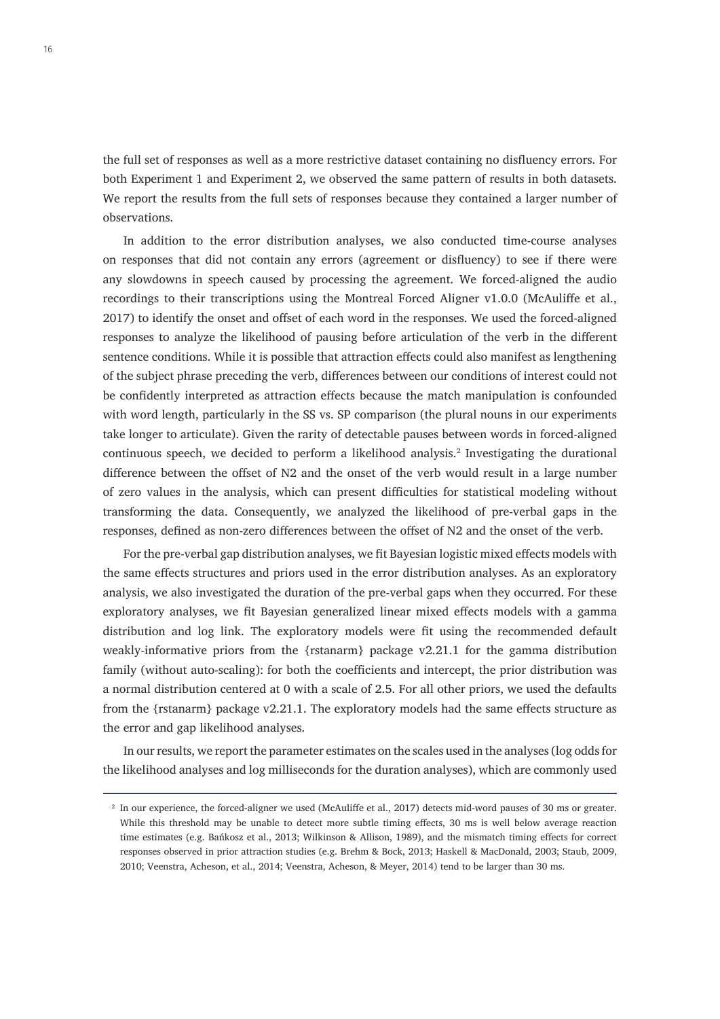the full set of responses as well as a more restrictive dataset containing no disfluency errors. For both Experiment 1 and Experiment 2, we observed the same pattern of results in both datasets. We report the results from the full sets of responses because they contained a larger number of observations.

In addition to the error distribution analyses, we also conducted time-course analyses on responses that did not contain any errors (agreement or disfluency) to see if there were any slowdowns in speech caused by processing the agreement. We forced-aligned the audio recordings to their transcriptions using the Montreal Forced Aligner v1.0.0 (McAuliffe et al., 2017) to identify the onset and offset of each word in the responses. We used the forced-aligned responses to analyze the likelihood of pausing before articulation of the verb in the different sentence conditions. While it is possible that attraction effects could also manifest as lengthening of the subject phrase preceding the verb, differences between our conditions of interest could not be confidently interpreted as attraction effects because the match manipulation is confounded with word length, particularly in the SS vs. SP comparison (the plural nouns in our experiments take longer to articulate). Given the rarity of detectable pauses between words in forced-aligned continuous speech, we decided to perform a likelihood analysis.<sup>2</sup> Investigating the durational difference between the offset of N2 and the onset of the verb would result in a large number of zero values in the analysis, which can present difficulties for statistical modeling without transforming the data. Consequently, we analyzed the likelihood of pre-verbal gaps in the responses, defined as non-zero differences between the offset of N2 and the onset of the verb.

For the pre-verbal gap distribution analyses, we fit Bayesian logistic mixed effects models with the same effects structures and priors used in the error distribution analyses. As an exploratory analysis, we also investigated the duration of the pre-verbal gaps when they occurred. For these exploratory analyses, we fit Bayesian generalized linear mixed effects models with a gamma distribution and log link. The exploratory models were fit using the recommended default weakly-informative priors from the {rstanarm} package v2.21.1 for the gamma distribution family (without auto-scaling): for both the coefficients and intercept, the prior distribution was a normal distribution centered at 0 with a scale of 2.5. For all other priors, we used the defaults from the {rstanarm} package v2.21.1. The exploratory models had the same effects structure as the error and gap likelihood analyses.

In our results, we report the parameter estimates on the scales used in the analyses (log odds for the likelihood analyses and log milliseconds for the duration analyses), which are commonly used

<sup>&</sup>lt;sup>2</sup> In our experience, the forced-aligner we used (McAuliffe et al., 2017) detects mid-word pauses of 30 ms or greater. While this threshold may be unable to detect more subtle timing effects, 30 ms is well below average reaction time estimates (e.g. Bańkosz et al., 2013; Wilkinson & Allison, 1989), and the mismatch timing effects for correct responses observed in prior attraction studies (e.g. Brehm & Bock, 2013; Haskell & MacDonald, 2003; Staub, 2009, 2010; Veenstra, Acheson, et al., 2014; Veenstra, Acheson, & Meyer, 2014) tend to be larger than 30 ms.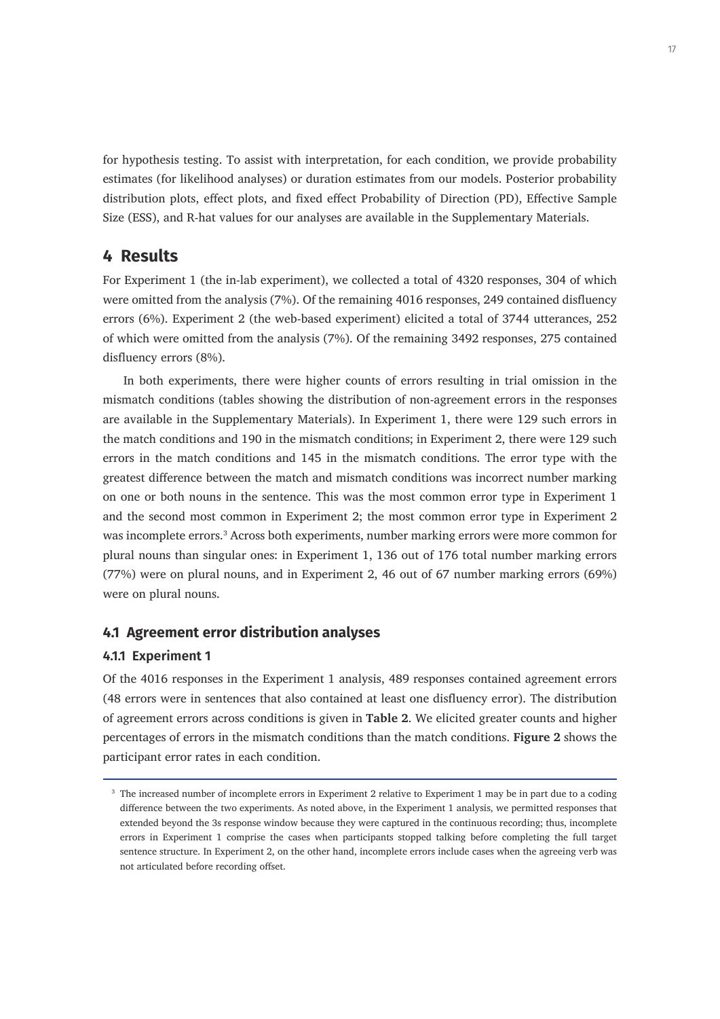for hypothesis testing. To assist with interpretation, for each condition, we provide probability estimates (for likelihood analyses) or duration estimates from our models. Posterior probability distribution plots, effect plots, and fixed effect Probability of Direction (PD), Effective Sample Size (ESS), and R-hat values for our analyses are available in the Supplementary Materials.

# **4 Results**

For Experiment 1 (the in-lab experiment), we collected a total of 4320 responses, 304 of which were omitted from the analysis (7%). Of the remaining 4016 responses, 249 contained disfluency errors (6%). Experiment 2 (the web-based experiment) elicited a total of 3744 utterances, 252 of which were omitted from the analysis (7%). Of the remaining 3492 responses, 275 contained disfluency errors (8%).

In both experiments, there were higher counts of errors resulting in trial omission in the mismatch conditions (tables showing the distribution of non-agreement errors in the responses are available in the Supplementary Materials). In Experiment 1, there were 129 such errors in the match conditions and 190 in the mismatch conditions; in Experiment 2, there were 129 such errors in the match conditions and 145 in the mismatch conditions. The error type with the greatest difference between the match and mismatch conditions was incorrect number marking on one or both nouns in the sentence. This was the most common error type in Experiment 1 and the second most common in Experiment 2; the most common error type in Experiment 2 was incomplete errors.<sup>3</sup> Across both experiments, number marking errors were more common for plural nouns than singular ones: in Experiment 1, 136 out of 176 total number marking errors (77%) were on plural nouns, and in Experiment 2, 46 out of 67 number marking errors (69%) were on plural nouns.

## **4.1 Agreement error distribution analyses**

## **4.1.1 Experiment 1**

Of the 4016 responses in the Experiment 1 analysis, 489 responses contained agreement errors (48 errors were in sentences that also contained at least one disfluency error). The distribution of agreement errors across conditions is given in **Table 2**. We elicited greater counts and higher percentages of errors in the mismatch conditions than the match conditions. **Figure 2** shows the participant error rates in each condition.

<sup>&</sup>lt;sup>3</sup> The increased number of incomplete errors in Experiment 2 relative to Experiment 1 may be in part due to a coding difference between the two experiments. As noted above, in the Experiment 1 analysis, we permitted responses that extended beyond the 3s response window because they were captured in the continuous recording; thus, incomplete errors in Experiment 1 comprise the cases when participants stopped talking before completing the full target sentence structure. In Experiment 2, on the other hand, incomplete errors include cases when the agreeing verb was not articulated before recording offset.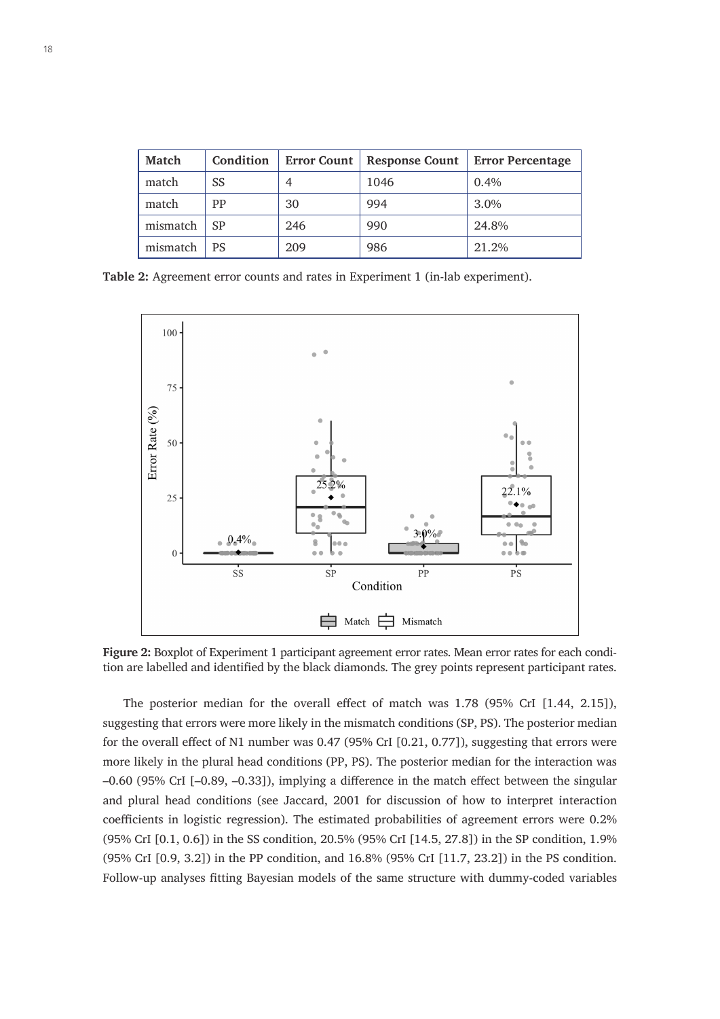| <b>Match</b> | Condition | <b>Error Count</b> | <b>Response Count</b> | <b>Error Percentage</b> |
|--------------|-----------|--------------------|-----------------------|-------------------------|
| match        | SS        |                    | 1046                  | $0.4\%$                 |
| match        | PP        | 30                 | 994                   | 3.0%                    |
| mismatch     | SP        | 246                | 990                   | 24.8%                   |
| mismatch     | PS        | 209                | 986                   | 21.2%                   |

**Table 2:** Agreement error counts and rates in Experiment 1 (in-lab experiment).



**Figure 2:** Boxplot of Experiment 1 participant agreement error rates. Mean error rates for each condition are labelled and identified by the black diamonds. The grey points represent participant rates.

The posterior median for the overall effect of match was 1.78 (95% CrI [1.44, 2.15]), suggesting that errors were more likely in the mismatch conditions (SP, PS). The posterior median for the overall effect of N1 number was 0.47 (95% CrI [0.21, 0.77]), suggesting that errors were more likely in the plural head conditions (PP, PS). The posterior median for the interaction was –0.60 (95% CrI [–0.89, –0.33]), implying a difference in the match effect between the singular and plural head conditions (see Jaccard, 2001 for discussion of how to interpret interaction coefficients in logistic regression). The estimated probabilities of agreement errors were 0.2% (95% CrI [0.1, 0.6]) in the SS condition, 20.5% (95% CrI [14.5, 27.8]) in the SP condition, 1.9% (95% CrI [0.9, 3.2]) in the PP condition, and 16.8% (95% CrI [11.7, 23.2]) in the PS condition. Follow-up analyses fitting Bayesian models of the same structure with dummy-coded variables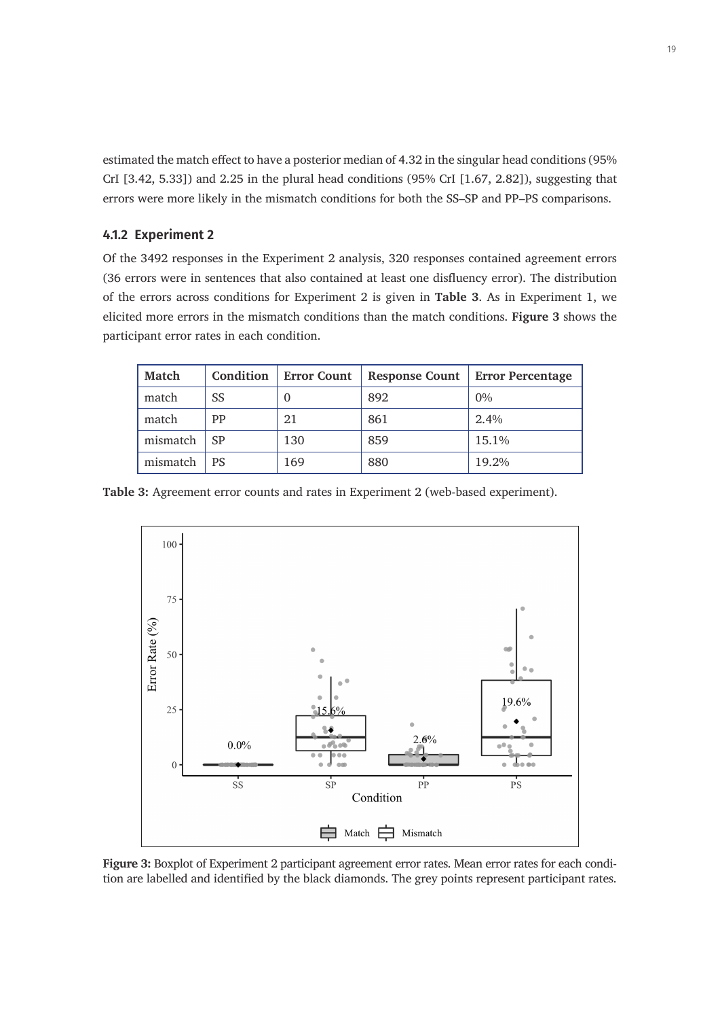estimated the match effect to have a posterior median of 4.32 in the singular head conditions (95% CrI [3.42, 5.33]) and 2.25 in the plural head conditions (95% CrI [1.67, 2.82]), suggesting that errors were more likely in the mismatch conditions for both the SS–SP and PP–PS comparisons.

## **4.1.2 Experiment 2**

Of the 3492 responses in the Experiment 2 analysis, 320 responses contained agreement errors (36 errors were in sentences that also contained at least one disfluency error). The distribution of the errors across conditions for Experiment 2 is given in **Table 3**. As in Experiment 1, we elicited more errors in the mismatch conditions than the match conditions. **Figure 3** shows the participant error rates in each condition.

| <b>Match</b> | Condition | <b>Error Count</b> | <b>Response Count</b> | <b>Error Percentage</b> |
|--------------|-----------|--------------------|-----------------------|-------------------------|
| match        | SS        | $\theta$           | 892                   | 0%                      |
| match        | PP        | 21                 | 861                   | 2.4%                    |
| mismatch     | <b>SP</b> | 130                | 859                   | 15.1%                   |
| mismatch     | PS        | 169                | 880                   | 19.2%                   |

**Table 3:** Agreement error counts and rates in Experiment 2 (web-based experiment).



**Figure 3:** Boxplot of Experiment 2 participant agreement error rates. Mean error rates for each condition are labelled and identified by the black diamonds. The grey points represent participant rates.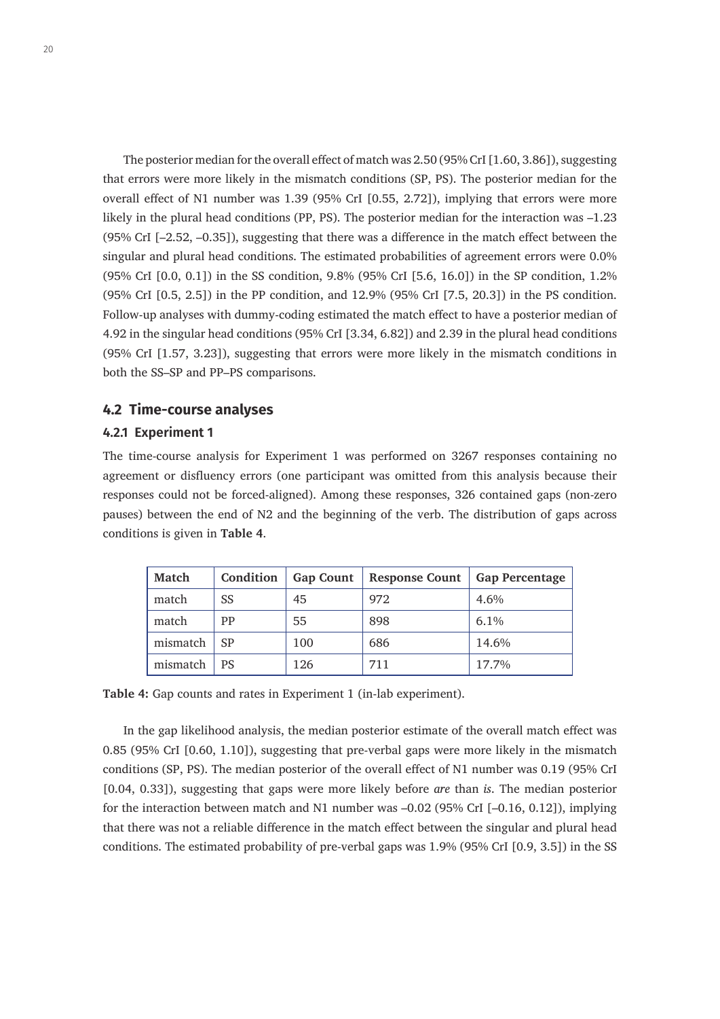The posterior median for the overall effect of match was 2.50 (95% CrI [1.60, 3.86]), suggesting that errors were more likely in the mismatch conditions (SP, PS). The posterior median for the overall effect of N1 number was 1.39 (95% CrI [0.55, 2.72]), implying that errors were more likely in the plural head conditions (PP, PS). The posterior median for the interaction was –1.23 (95% CrI [–2.52, –0.35]), suggesting that there was a difference in the match effect between the singular and plural head conditions. The estimated probabilities of agreement errors were 0.0% (95% CrI [0.0, 0.1]) in the SS condition, 9.8% (95% CrI [5.6, 16.0]) in the SP condition, 1.2% (95% CrI [0.5, 2.5]) in the PP condition, and 12.9% (95% CrI [7.5, 20.3]) in the PS condition. Follow-up analyses with dummy-coding estimated the match effect to have a posterior median of 4.92 in the singular head conditions (95% CrI [3.34, 6.82]) and 2.39 in the plural head conditions (95% CrI [1.57, 3.23]), suggesting that errors were more likely in the mismatch conditions in both the SS–SP and PP–PS comparisons.

## **4.2 Time-course analyses**

## **4.2.1 Experiment 1**

The time-course analysis for Experiment 1 was performed on 3267 responses containing no agreement or disfluency errors (one participant was omitted from this analysis because their responses could not be forced-aligned). Among these responses, 326 contained gaps (non-zero pauses) between the end of N2 and the beginning of the verb. The distribution of gaps across conditions is given in **Table 4**.

| Match    | Condition | <b>Gap Count</b> | <b>Response Count</b> | <b>Gap Percentage</b> |
|----------|-----------|------------------|-----------------------|-----------------------|
| match    | SS        | 45               | 972                   | 4.6%                  |
| match    | PP        | 55               | 898                   | 6.1%                  |
| mismatch | <b>SP</b> | 100              | 686                   | 14.6%                 |
| mismatch | <b>PS</b> | 126              | 711                   | 17.7%                 |

**Table 4:** Gap counts and rates in Experiment 1 (in-lab experiment).

In the gap likelihood analysis, the median posterior estimate of the overall match effect was 0.85 (95% CrI [0.60, 1.10]), suggesting that pre-verbal gaps were more likely in the mismatch conditions (SP, PS). The median posterior of the overall effect of N1 number was 0.19 (95% CrI [0.04, 0.33]), suggesting that gaps were more likely before *are* than *is*. The median posterior for the interaction between match and N1 number was –0.02 (95% CrI [–0.16, 0.12]), implying that there was not a reliable difference in the match effect between the singular and plural head conditions. The estimated probability of pre-verbal gaps was 1.9% (95% CrI [0.9, 3.5]) in the SS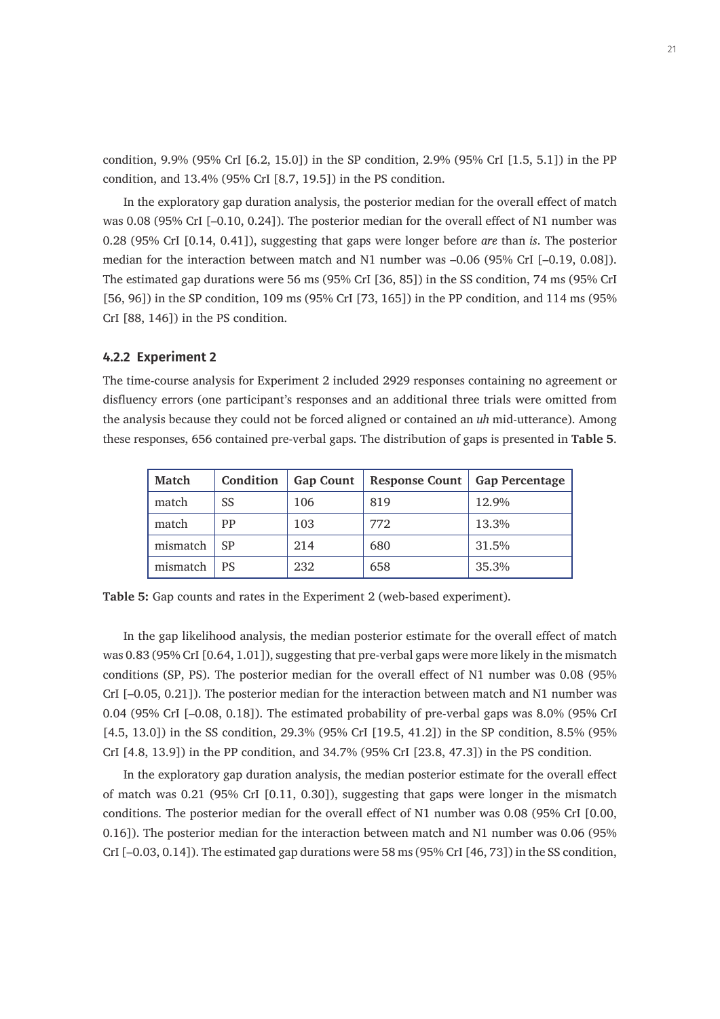condition, 9.9% (95% CrI [6.2, 15.0]) in the SP condition, 2.9% (95% CrI [1.5, 5.1]) in the PP condition, and 13.4% (95% CrI [8.7, 19.5]) in the PS condition.

In the exploratory gap duration analysis, the posterior median for the overall effect of match was 0.08 (95% CrI [-0.10, 0.24]). The posterior median for the overall effect of N1 number was 0.28 (95% CrI [0.14, 0.41]), suggesting that gaps were longer before *are* than *is*. The posterior median for the interaction between match and N1 number was –0.06 (95% CrI [–0.19, 0.08]). The estimated gap durations were 56 ms (95% CrI [36, 85]) in the SS condition, 74 ms (95% CrI [56, 96]) in the SP condition, 109 ms (95% CrI [73, 165]) in the PP condition, and 114 ms (95% CrI [88, 146]) in the PS condition.

#### **4.2.2 Experiment 2**

The time-course analysis for Experiment 2 included 2929 responses containing no agreement or disfluency errors (one participant's responses and an additional three trials were omitted from the analysis because they could not be forced aligned or contained an *uh* mid-utterance). Among these responses, 656 contained pre-verbal gaps. The distribution of gaps is presented in **Table 5**.

| <b>Match</b> | Condition | <b>Gap Count</b> | <b>Response Count</b> | <b>Gap Percentage</b> |
|--------------|-----------|------------------|-----------------------|-----------------------|
| match        | SS        | 106              | 819                   | 12.9%                 |
| match        | PP        | 103              | 772                   | 13.3%                 |
| mismatch     | SP        | 214              | 680                   | 31.5%                 |
| mismatch     | PS        | 232              | 658                   | 35.3%                 |

**Table 5:** Gap counts and rates in the Experiment 2 (web-based experiment).

In the gap likelihood analysis, the median posterior estimate for the overall effect of match was 0.83 (95% CrI [0.64, 1.01]), suggesting that pre-verbal gaps were more likely in the mismatch conditions (SP, PS). The posterior median for the overall effect of N1 number was 0.08 (95% CrI [–0.05, 0.21]). The posterior median for the interaction between match and N1 number was 0.04 (95% CrI [–0.08, 0.18]). The estimated probability of pre-verbal gaps was 8.0% (95% CrI [4.5, 13.0]) in the SS condition, 29.3% (95% CrI [19.5, 41.2]) in the SP condition, 8.5% (95% CrI [4.8, 13.9]) in the PP condition, and 34.7% (95% CrI [23.8, 47.3]) in the PS condition.

In the exploratory gap duration analysis, the median posterior estimate for the overall effect of match was 0.21 (95% CrI [0.11, 0.30]), suggesting that gaps were longer in the mismatch conditions. The posterior median for the overall effect of N1 number was 0.08 (95% CrI [0.00, 0.16]). The posterior median for the interaction between match and N1 number was 0.06 (95% CrI [–0.03, 0.14]). The estimated gap durations were 58 ms (95% CrI [46, 73]) in the SS condition,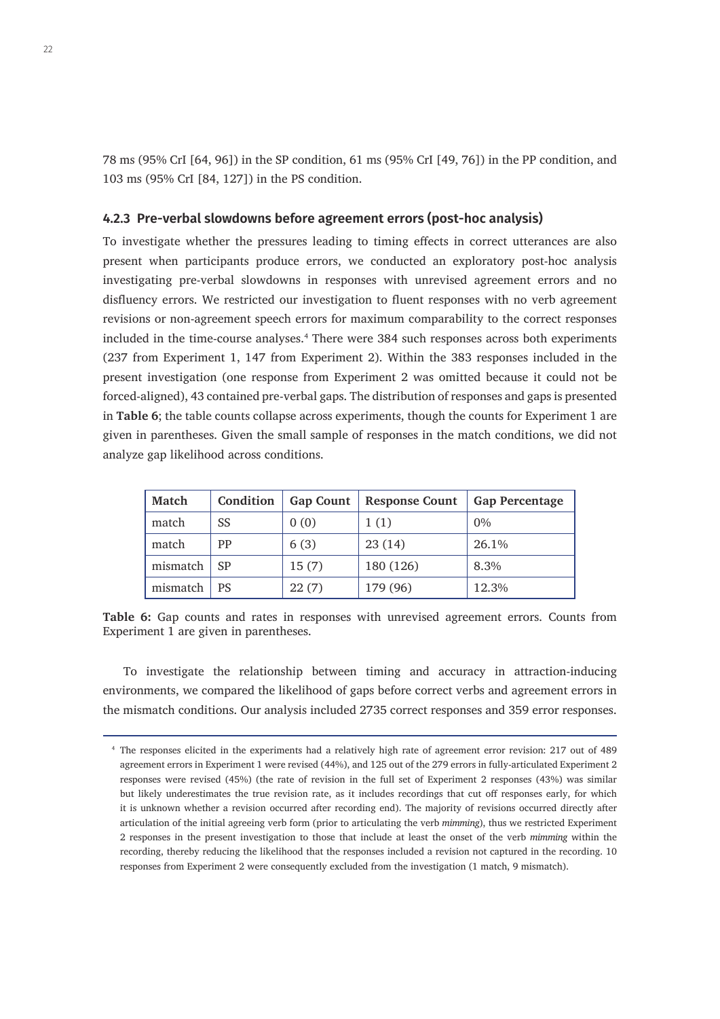78 ms (95% CrI [64, 96]) in the SP condition, 61 ms (95% CrI [49, 76]) in the PP condition, and 103 ms (95% CrI [84, 127]) in the PS condition.

## **4.2.3 Pre-verbal slowdowns before agreement errors (post-hoc analysis)**

To investigate whether the pressures leading to timing effects in correct utterances are also present when participants produce errors, we conducted an exploratory post-hoc analysis investigating pre-verbal slowdowns in responses with unrevised agreement errors and no disfluency errors. We restricted our investigation to fluent responses with no verb agreement revisions or non-agreement speech errors for maximum comparability to the correct responses included in the time-course analyses.4 There were 384 such responses across both experiments (237 from Experiment 1, 147 from Experiment 2). Within the 383 responses included in the present investigation (one response from Experiment 2 was omitted because it could not be forced-aligned), 43 contained pre-verbal gaps. The distribution of responses and gaps is presented in **Table 6**; the table counts collapse across experiments, though the counts for Experiment 1 are given in parentheses. Given the small sample of responses in the match conditions, we did not analyze gap likelihood across conditions.

| <b>Match</b> | Condition | <b>Gap Count</b> | <b>Response Count</b> | <b>Gap Percentage</b> |
|--------------|-----------|------------------|-----------------------|-----------------------|
| match        | SS        | 0(0)             | 1(1)                  | $0\%$                 |
| match        | PP        | 6(3)             | 23(14)                | 26.1%                 |
| mismatch     | SP        | 15(7)            | 180 (126)             | 8.3%                  |
| mismatch     | PS        | 22(7)            | 179 (96)              | 12.3%                 |

**Table 6:** Gap counts and rates in responses with unrevised agreement errors. Counts from Experiment 1 are given in parentheses.

To investigate the relationship between timing and accuracy in attraction-inducing environments, we compared the likelihood of gaps before correct verbs and agreement errors in the mismatch conditions. Our analysis included 2735 correct responses and 359 error responses.

<sup>4</sup> The responses elicited in the experiments had a relatively high rate of agreement error revision: 217 out of 489 agreement errors in Experiment 1 were revised (44%), and 125 out of the 279 errors in fully-articulated Experiment 2 responses were revised (45%) (the rate of revision in the full set of Experiment 2 responses (43%) was similar but likely underestimates the true revision rate, as it includes recordings that cut off responses early, for which it is unknown whether a revision occurred after recording end). The majority of revisions occurred directly after articulation of the initial agreeing verb form (prior to articulating the verb *mimming*), thus we restricted Experiment 2 responses in the present investigation to those that include at least the onset of the verb *mimming* within the recording, thereby reducing the likelihood that the responses included a revision not captured in the recording. 10 responses from Experiment 2 were consequently excluded from the investigation (1 match, 9 mismatch).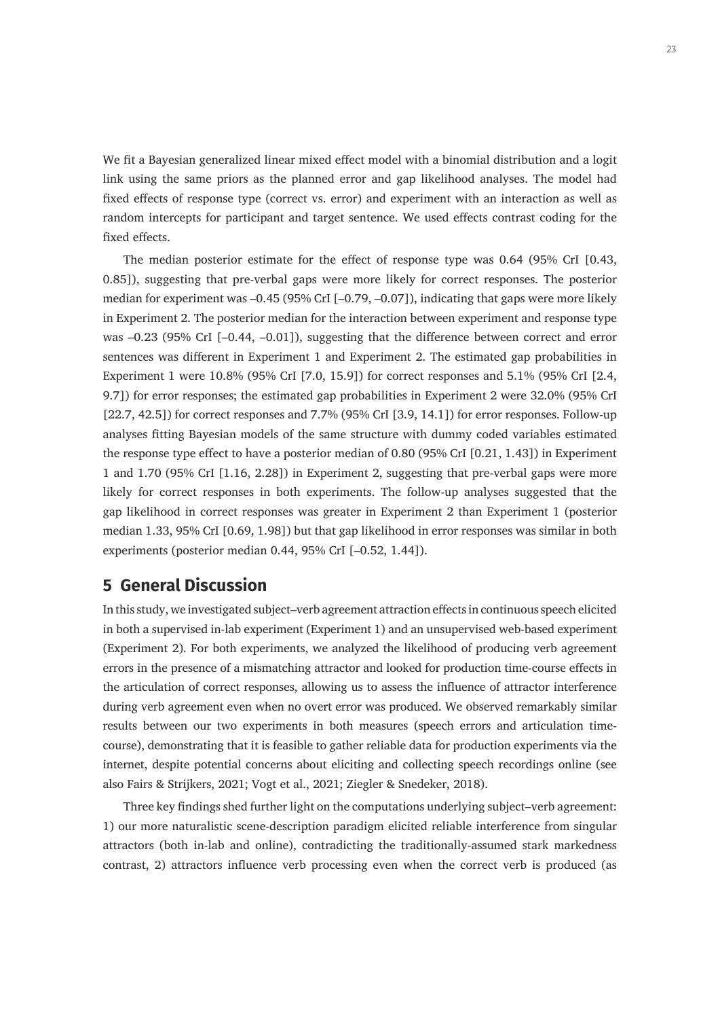We fit a Bayesian generalized linear mixed effect model with a binomial distribution and a logit link using the same priors as the planned error and gap likelihood analyses. The model had fixed effects of response type (correct vs. error) and experiment with an interaction as well as random intercepts for participant and target sentence. We used effects contrast coding for the fixed effects.

The median posterior estimate for the effect of response type was 0.64 (95% CrI [0.43, 0.85]), suggesting that pre-verbal gaps were more likely for correct responses. The posterior median for experiment was –0.45 (95% CrI [–0.79, –0.07]), indicating that gaps were more likely in Experiment 2. The posterior median for the interaction between experiment and response type was –0.23 (95% CrI [–0.44, –0.01]), suggesting that the difference between correct and error sentences was different in Experiment 1 and Experiment 2. The estimated gap probabilities in Experiment 1 were 10.8% (95% CrI [7.0, 15.9]) for correct responses and 5.1% (95% CrI [2.4, 9.7]) for error responses; the estimated gap probabilities in Experiment 2 were 32.0% (95% CrI [22.7, 42.5]) for correct responses and 7.7% (95% CrI [3.9, 14.1]) for error responses. Follow-up analyses fitting Bayesian models of the same structure with dummy coded variables estimated the response type effect to have a posterior median of 0.80 (95% CrI [0.21, 1.43]) in Experiment 1 and 1.70 (95% CrI [1.16, 2.28]) in Experiment 2, suggesting that pre-verbal gaps were more likely for correct responses in both experiments. The follow-up analyses suggested that the gap likelihood in correct responses was greater in Experiment 2 than Experiment 1 (posterior median 1.33, 95% CrI [0.69, 1.98]) but that gap likelihood in error responses was similar in both experiments (posterior median 0.44, 95% CrI [–0.52, 1.44]).

# **5 General Discussion**

In this study, we investigated subject–verb agreement attraction effects in continuous speech elicited in both a supervised in-lab experiment (Experiment 1) and an unsupervised web-based experiment (Experiment 2). For both experiments, we analyzed the likelihood of producing verb agreement errors in the presence of a mismatching attractor and looked for production time-course effects in the articulation of correct responses, allowing us to assess the influence of attractor interference during verb agreement even when no overt error was produced. We observed remarkably similar results between our two experiments in both measures (speech errors and articulation timecourse), demonstrating that it is feasible to gather reliable data for production experiments via the internet, despite potential concerns about eliciting and collecting speech recordings online (see also Fairs & Strijkers, 2021; Vogt et al., 2021; Ziegler & Snedeker, 2018).

Three key findings shed further light on the computations underlying subject–verb agreement: 1) our more naturalistic scene-description paradigm elicited reliable interference from singular attractors (both in-lab and online), contradicting the traditionally-assumed stark markedness contrast, 2) attractors influence verb processing even when the correct verb is produced (as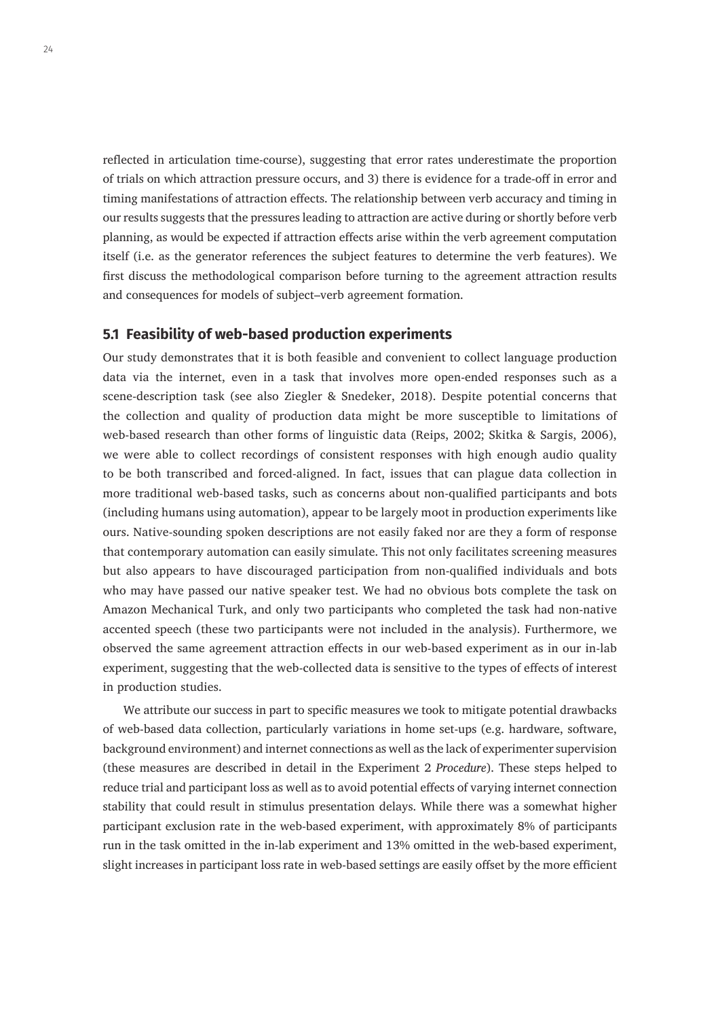reflected in articulation time-course), suggesting that error rates underestimate the proportion of trials on which attraction pressure occurs, and 3) there is evidence for a trade-off in error and timing manifestations of attraction effects. The relationship between verb accuracy and timing in our results suggests that the pressures leading to attraction are active during or shortly before verb planning, as would be expected if attraction effects arise within the verb agreement computation itself (i.e. as the generator references the subject features to determine the verb features). We first discuss the methodological comparison before turning to the agreement attraction results and consequences for models of subject–verb agreement formation.

## **5.1 Feasibility of web-based production experiments**

Our study demonstrates that it is both feasible and convenient to collect language production data via the internet, even in a task that involves more open-ended responses such as a scene-description task (see also Ziegler & Snedeker, 2018). Despite potential concerns that the collection and quality of production data might be more susceptible to limitations of web-based research than other forms of linguistic data (Reips, 2002; Skitka & Sargis, 2006), we were able to collect recordings of consistent responses with high enough audio quality to be both transcribed and forced-aligned. In fact, issues that can plague data collection in more traditional web-based tasks, such as concerns about non-qualified participants and bots (including humans using automation), appear to be largely moot in production experiments like ours. Native-sounding spoken descriptions are not easily faked nor are they a form of response that contemporary automation can easily simulate. This not only facilitates screening measures but also appears to have discouraged participation from non-qualified individuals and bots who may have passed our native speaker test. We had no obvious bots complete the task on Amazon Mechanical Turk, and only two participants who completed the task had non-native accented speech (these two participants were not included in the analysis). Furthermore, we observed the same agreement attraction effects in our web-based experiment as in our in-lab experiment, suggesting that the web-collected data is sensitive to the types of effects of interest in production studies.

We attribute our success in part to specific measures we took to mitigate potential drawbacks of web-based data collection, particularly variations in home set-ups (e.g. hardware, software, background environment) and internet connections as well as the lack of experimenter supervision (these measures are described in detail in the Experiment 2 *Procedure*). These steps helped to reduce trial and participant loss as well as to avoid potential effects of varying internet connection stability that could result in stimulus presentation delays. While there was a somewhat higher participant exclusion rate in the web-based experiment, with approximately 8% of participants run in the task omitted in the in-lab experiment and 13% omitted in the web-based experiment, slight increases in participant loss rate in web-based settings are easily offset by the more efficient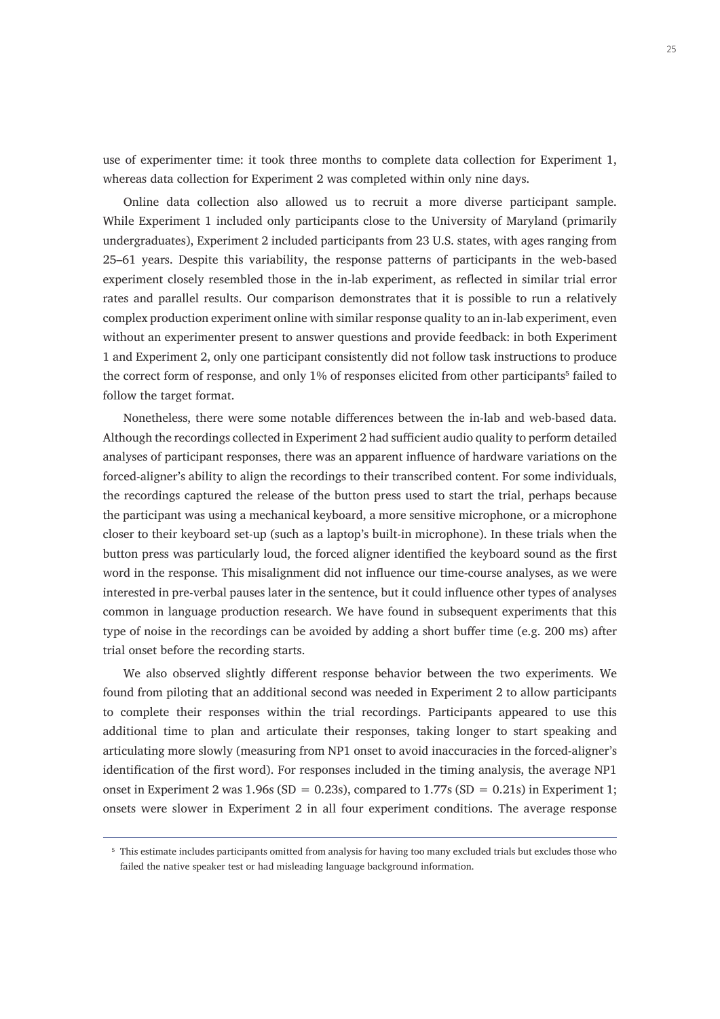use of experimenter time: it took three months to complete data collection for Experiment 1, whereas data collection for Experiment 2 was completed within only nine days.

Online data collection also allowed us to recruit a more diverse participant sample. While Experiment 1 included only participants close to the University of Maryland (primarily undergraduates), Experiment 2 included participants from 23 U.S. states, with ages ranging from 25–61 years. Despite this variability, the response patterns of participants in the web-based experiment closely resembled those in the in-lab experiment, as reflected in similar trial error rates and parallel results. Our comparison demonstrates that it is possible to run a relatively complex production experiment online with similar response quality to an in-lab experiment, even without an experimenter present to answer questions and provide feedback: in both Experiment 1 and Experiment 2, only one participant consistently did not follow task instructions to produce the correct form of response, and only 1% of responses elicited from other participants<sup>5</sup> failed to follow the target format.

Nonetheless, there were some notable differences between the in-lab and web-based data. Although the recordings collected in Experiment 2 had sufficient audio quality to perform detailed analyses of participant responses, there was an apparent influence of hardware variations on the forced-aligner's ability to align the recordings to their transcribed content. For some individuals, the recordings captured the release of the button press used to start the trial, perhaps because the participant was using a mechanical keyboard, a more sensitive microphone, or a microphone closer to their keyboard set-up (such as a laptop's built-in microphone). In these trials when the button press was particularly loud, the forced aligner identified the keyboard sound as the first word in the response. This misalignment did not influence our time-course analyses, as we were interested in pre-verbal pauses later in the sentence, but it could influence other types of analyses common in language production research. We have found in subsequent experiments that this type of noise in the recordings can be avoided by adding a short buffer time (e.g. 200 ms) after trial onset before the recording starts.

We also observed slightly different response behavior between the two experiments. We found from piloting that an additional second was needed in Experiment 2 to allow participants to complete their responses within the trial recordings. Participants appeared to use this additional time to plan and articulate their responses, taking longer to start speaking and articulating more slowly (measuring from NP1 onset to avoid inaccuracies in the forced-aligner's identification of the first word). For responses included in the timing analysis, the average NP1 onset in Experiment 2 was  $1.96s$  (SD = 0.23s), compared to  $1.77s$  (SD = 0.21s) in Experiment 1; onsets were slower in Experiment 2 in all four experiment conditions. The average response

<sup>5</sup> This estimate includes participants omitted from analysis for having too many excluded trials but excludes those who failed the native speaker test or had misleading language background information.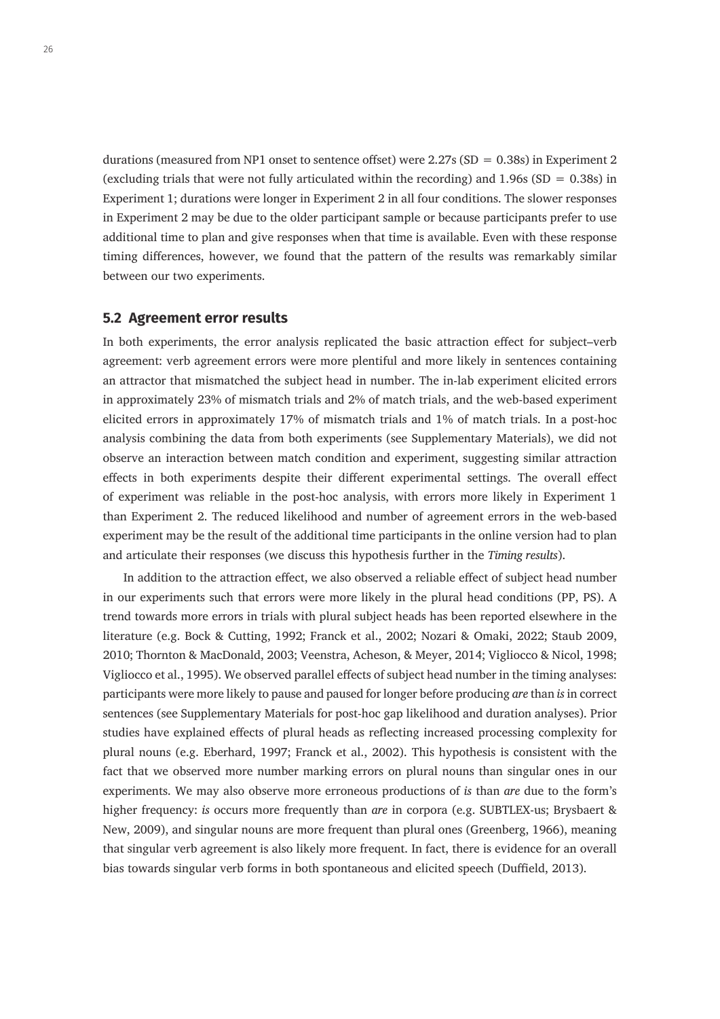durations (measured from NP1 onset to sentence offset) were 2.27s (SD =  $0.38s$ ) in Experiment 2 (excluding trials that were not fully articulated within the recording) and  $1.96s$  (SD = 0.38s) in Experiment 1; durations were longer in Experiment 2 in all four conditions. The slower responses in Experiment 2 may be due to the older participant sample or because participants prefer to use additional time to plan and give responses when that time is available. Even with these response timing differences, however, we found that the pattern of the results was remarkably similar between our two experiments.

#### **5.2 Agreement error results**

In both experiments, the error analysis replicated the basic attraction effect for subject–verb agreement: verb agreement errors were more plentiful and more likely in sentences containing an attractor that mismatched the subject head in number. The in-lab experiment elicited errors in approximately 23% of mismatch trials and 2% of match trials, and the web-based experiment elicited errors in approximately 17% of mismatch trials and 1% of match trials. In a post-hoc analysis combining the data from both experiments (see Supplementary Materials), we did not observe an interaction between match condition and experiment, suggesting similar attraction effects in both experiments despite their different experimental settings. The overall effect of experiment was reliable in the post-hoc analysis, with errors more likely in Experiment 1 than Experiment 2. The reduced likelihood and number of agreement errors in the web-based experiment may be the result of the additional time participants in the online version had to plan and articulate their responses (we discuss this hypothesis further in the *Timing results*).

In addition to the attraction effect, we also observed a reliable effect of subject head number in our experiments such that errors were more likely in the plural head conditions (PP, PS). A trend towards more errors in trials with plural subject heads has been reported elsewhere in the literature (e.g. Bock & Cutting, 1992; Franck et al., 2002; Nozari & Omaki, 2022; Staub 2009, 2010; Thornton & MacDonald, 2003; Veenstra, Acheson, & Meyer, 2014; Vigliocco & Nicol, 1998; Vigliocco et al., 1995). We observed parallel effects of subject head number in the timing analyses: participants were more likely to pause and paused for longer before producing *are* than *is* in correct sentences (see Supplementary Materials for post-hoc gap likelihood and duration analyses). Prior studies have explained effects of plural heads as reflecting increased processing complexity for plural nouns (e.g. Eberhard, 1997; Franck et al., 2002). This hypothesis is consistent with the fact that we observed more number marking errors on plural nouns than singular ones in our experiments. We may also observe more erroneous productions of *is* than *are* due to the form's higher frequency: *is* occurs more frequently than *are* in corpora (e.g. SUBTLEX-us; Brysbaert & New, 2009), and singular nouns are more frequent than plural ones (Greenberg, 1966), meaning that singular verb agreement is also likely more frequent. In fact, there is evidence for an overall bias towards singular verb forms in both spontaneous and elicited speech (Duffield, 2013).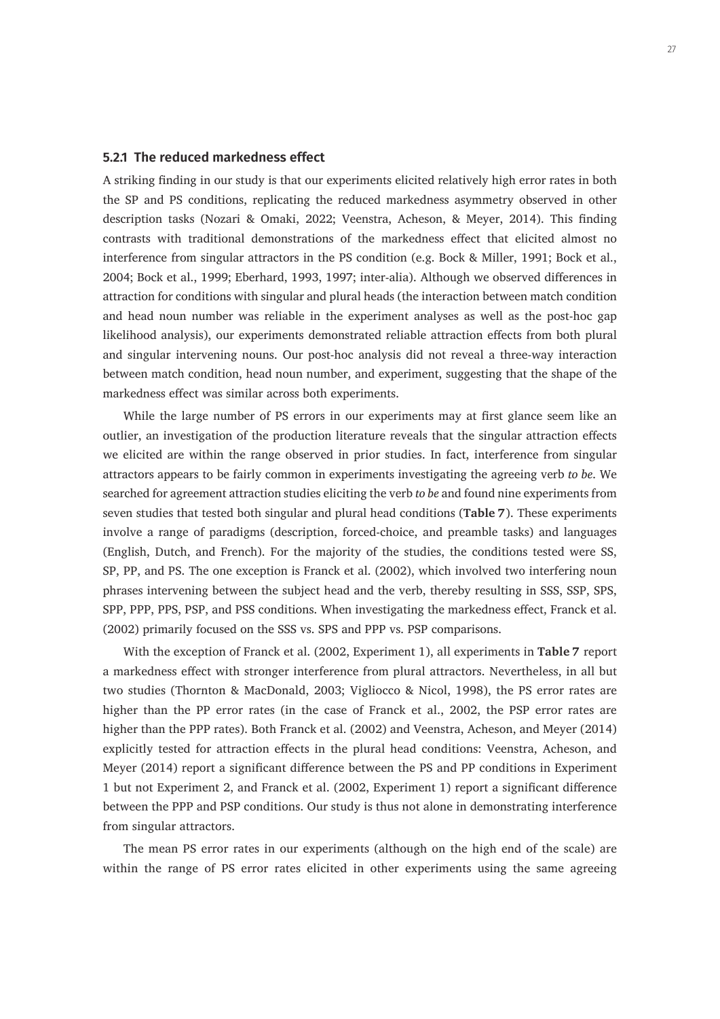## **5.2.1 The reduced markedness effect**

A striking finding in our study is that our experiments elicited relatively high error rates in both the SP and PS conditions, replicating the reduced markedness asymmetry observed in other description tasks (Nozari & Omaki, 2022; Veenstra, Acheson, & Meyer, 2014). This finding contrasts with traditional demonstrations of the markedness effect that elicited almost no interference from singular attractors in the PS condition (e.g. Bock & Miller, 1991; Bock et al., 2004; Bock et al., 1999; Eberhard, 1993, 1997; inter-alia). Although we observed differences in attraction for conditions with singular and plural heads (the interaction between match condition and head noun number was reliable in the experiment analyses as well as the post-hoc gap likelihood analysis), our experiments demonstrated reliable attraction effects from both plural and singular intervening nouns. Our post-hoc analysis did not reveal a three-way interaction between match condition, head noun number, and experiment, suggesting that the shape of the markedness effect was similar across both experiments.

While the large number of PS errors in our experiments may at first glance seem like an outlier, an investigation of the production literature reveals that the singular attraction effects we elicited are within the range observed in prior studies. In fact, interference from singular attractors appears to be fairly common in experiments investigating the agreeing verb *to be*. We searched for agreement attraction studies eliciting the verb *to be* and found nine experiments from seven studies that tested both singular and plural head conditions (**Table 7**). These experiments involve a range of paradigms (description, forced-choice, and preamble tasks) and languages (English, Dutch, and French). For the majority of the studies, the conditions tested were SS, SP, PP, and PS. The one exception is Franck et al. (2002), which involved two interfering noun phrases intervening between the subject head and the verb, thereby resulting in SSS, SSP, SPS, SPP, PPP, PPS, PSP, and PSS conditions. When investigating the markedness effect, Franck et al. (2002) primarily focused on the SSS vs. SPS and PPP vs. PSP comparisons.

With the exception of Franck et al. (2002, Experiment 1), all experiments in **Table 7** report a markedness effect with stronger interference from plural attractors. Nevertheless, in all but two studies (Thornton & MacDonald, 2003; Vigliocco & Nicol, 1998), the PS error rates are higher than the PP error rates (in the case of Franck et al., 2002, the PSP error rates are higher than the PPP rates). Both Franck et al. (2002) and Veenstra, Acheson, and Meyer (2014) explicitly tested for attraction effects in the plural head conditions: Veenstra, Acheson, and Meyer (2014) report a significant difference between the PS and PP conditions in Experiment 1 but not Experiment 2, and Franck et al. (2002, Experiment 1) report a significant difference between the PPP and PSP conditions. Our study is thus not alone in demonstrating interference from singular attractors.

The mean PS error rates in our experiments (although on the high end of the scale) are within the range of PS error rates elicited in other experiments using the same agreeing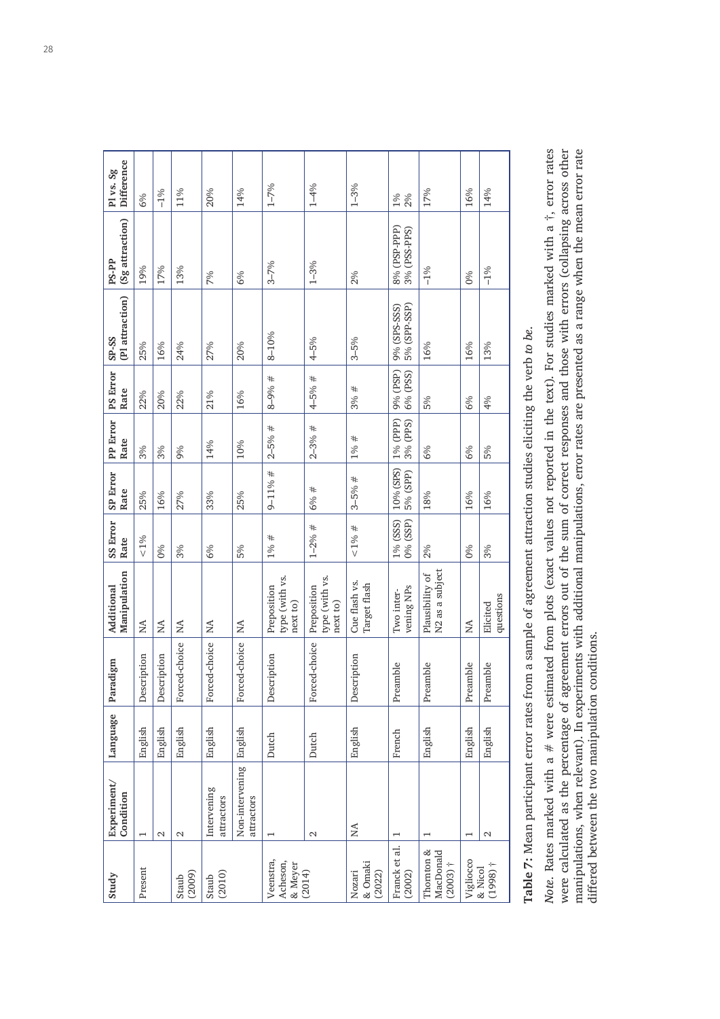| Study                                 | Experiment/<br>Condition      | Language | Paradigm      | Manipulation<br>Additional                     | SS Error<br>Rate     | <b>SP Error</b><br>Rate | PP Error<br>Rate     | <b>PS Error</b><br>Rate | (Pl attraction)<br>$S-P-SS$  | (Sg attraction)<br><b>PS-PP</b> | Difference<br>Pl vs. Sg |
|---------------------------------------|-------------------------------|----------|---------------|------------------------------------------------|----------------------|-------------------------|----------------------|-------------------------|------------------------------|---------------------------------|-------------------------|
| Present                               | $\overline{\phantom{0}}$      | English  | Description   | NA                                             | ${}_{<1\%}$          | 25%                     | 3%                   | 22%                     | 25%                          | 19%                             | 6%                      |
|                                       | $\mathcal{C}$                 | English  | Description   | NA                                             | 0%                   | 16%                     | 3%                   | 20%                     | 16%                          | 17%                             | $-1%$                   |
| (2009)<br>Staub                       | $\mathbf{\Omega}$             | English  | Forced-choice | $\stackrel{\triangle}{\scriptstyle\sim}$       | 3%                   | 27%                     | 9%                   | 22%                     | 24%                          | 13%                             | 11%                     |
| $\frac{\text{Staub}}{\text{(2010)}}$  | Intervening<br>attractors     | English  | Forced-choice | Ń                                              | 6%                   | 33%                     | 14%                  | 21%                     | 27%                          | 7%                              | 20%                     |
|                                       | Non-intervening<br>attractors | English  | Forced-choice | $_{\rm NA}$                                    | 5%                   | 25%                     | 10%                  | 16%                     | 20%                          | 6%                              | 14%                     |
| Veenstra,<br>Acheson,<br>& Meyer      | $\overline{\phantom{0}}$      | Dutch    | Description   | type (with vs.<br>Preposition<br>next to)      | $1\% +$              | $9 - 11\% \#$           | $2 - 5%$ #           | $8 - 9%$ #              | 8-10%                        | $3 - 7%$                        | $1 - 7%$                |
| (2014)                                | $\mathbf{\sim}$               | Dutch    | Forced-choice | type (with vs.<br>Preposition<br>next to)      | $1 - 2%$ #           | 6% #                    | $2 - 3%$ #           | $4 - 5%$ #              | $4 - 5%$                     | $1 - 3%$                        | $1 - 4%$                |
| & Omaki<br>Nozari<br>(2022)           | $\lesssim$                    | English  | Description   | Cue flash vs.<br>Target flash                  | $10/6$ #             | $3 - 5%$ #              | $1\% +$              | 3%#                     | $3 - 5%$                     | 2%                              | $1 - 3%$                |
| Franck et al.<br>(2002)               | $\mathbf{\mathbf{r}}$         | French   | Preamble      | vening NPs<br>Two inter-                       | 1% (SSS)<br>0% (SSP) | 10% (SPS)<br>5% (SPP)   | 1% (PPP)<br>3% (PPS) | 9% (PSP)<br>6% (PSS)    | 5% (SPP-SSP)<br>9% (SPS-SSS) | 8% (PSP-PPP)<br>3% (PSS-PPS)    | 2%<br>1%                |
| Thornton &<br>MacDonald<br>$(2003)$ † |                               | English  | Preamble      | N <sub>2</sub> as a subject<br>Plausibility of | 2%                   | 18%                     | 6%                   | 5%                      | 16%                          | $-1%$                           | 17%                     |
| Vigliocco<br>& Nicol                  | T                             | English  | Preamble      | ΧA                                             | 0%                   | 16%                     | 6%                   | 6%                      | 16%                          | 0%                              | 16%                     |
| $(1998)$ †                            | $\sim$                        | English  | Preamble      | questions<br>Elicited                          | 3%                   | 16%                     | 5%                   | 4%                      | 13%                          | $-1%$                           | 14%                     |

Table 7: Mean participant error rates from a sample of agreement attraction studies eliciting the verb to be. **Table 7:** Mean participant error rates from a sample of agreement attraction studies eliciting the verb *to be*. Note. Rates marked with a  $#$  were estimated from plots (exact values not reported in the text). For studies marked with a  $\dagger$ , error rates *Note*. Rates marked with a # were estimated from plots (exact values not reported in the text). For studies marked with a †, error rates were calculated as the percentage of agreement errors out of the sum of correct responses and those with errors (collapsing across other<br>manipulations, when relevant). In experiments with additional manipulations, error ra were calculated as the percentage of agreement errors out of the sum of correct responses and those with errors (collapsing across other manipulations, when relevant). In experiments with additional manipulations, error rates are presented as a range when the mean error rate differed between the two manipulation conditions. differed between the two manipulation conditions.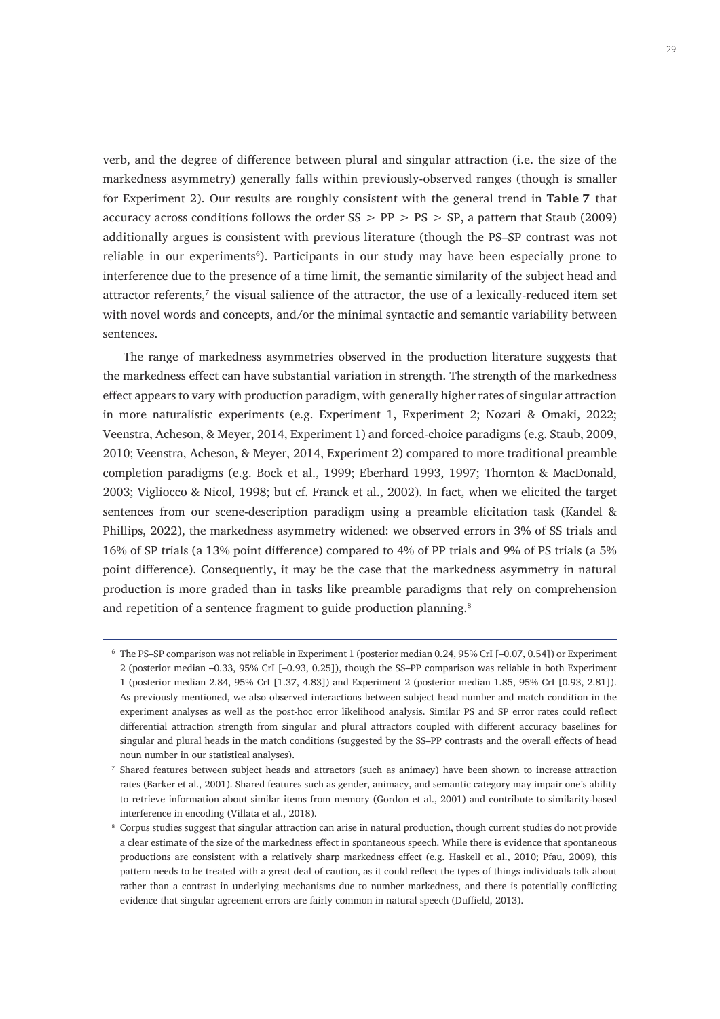verb, and the degree of difference between plural and singular attraction (i.e. the size of the markedness asymmetry) generally falls within previously-observed ranges (though is smaller for Experiment 2). Our results are roughly consistent with the general trend in **Table 7** that accuracy across conditions follows the order  $SS > PP > PS > SP$ , a pattern that Staub (2009) additionally argues is consistent with previous literature (though the PS–SP contrast was not reliable in our experiments<sup>6</sup>). Participants in our study may have been especially prone to interference due to the presence of a time limit, the semantic similarity of the subject head and attractor referents,<sup>7</sup> the visual salience of the attractor, the use of a lexically-reduced item set with novel words and concepts, and/or the minimal syntactic and semantic variability between sentences.

The range of markedness asymmetries observed in the production literature suggests that the markedness effect can have substantial variation in strength. The strength of the markedness effect appears to vary with production paradigm, with generally higher rates of singular attraction in more naturalistic experiments (e.g. Experiment 1, Experiment 2; Nozari & Omaki, 2022; Veenstra, Acheson, & Meyer, 2014, Experiment 1) and forced-choice paradigms (e.g. Staub, 2009, 2010; Veenstra, Acheson, & Meyer, 2014, Experiment 2) compared to more traditional preamble completion paradigms (e.g. Bock et al., 1999; Eberhard 1993, 1997; Thornton & MacDonald, 2003; Vigliocco & Nicol, 1998; but cf. Franck et al., 2002). In fact, when we elicited the target sentences from our scene-description paradigm using a preamble elicitation task (Kandel & Phillips, 2022), the markedness asymmetry widened: we observed errors in 3% of SS trials and 16% of SP trials (a 13% point difference) compared to 4% of PP trials and 9% of PS trials (a 5% point difference). Consequently, it may be the case that the markedness asymmetry in natural production is more graded than in tasks like preamble paradigms that rely on comprehension and repetition of a sentence fragment to guide production planning.<sup>8</sup>

<sup>6</sup> The PS–SP comparison was not reliable in Experiment 1 (posterior median 0.24, 95% CrI [–0.07, 0.54]) or Experiment 2 (posterior median –0.33, 95% CrI [–0.93, 0.25]), though the SS–PP comparison was reliable in both Experiment 1 (posterior median 2.84, 95% CrI [1.37, 4.83]) and Experiment 2 (posterior median 1.85, 95% CrI [0.93, 2.81]). As previously mentioned, we also observed interactions between subject head number and match condition in the experiment analyses as well as the post-hoc error likelihood analysis. Similar PS and SP error rates could reflect differential attraction strength from singular and plural attractors coupled with different accuracy baselines for singular and plural heads in the match conditions (suggested by the SS–PP contrasts and the overall effects of head noun number in our statistical analyses).

<sup>7</sup> Shared features between subject heads and attractors (such as animacy) have been shown to increase attraction rates (Barker et al., 2001). Shared features such as gender, animacy, and semantic category may impair one's ability to retrieve information about similar items from memory (Gordon et al., 2001) and contribute to similarity-based interference in encoding (Villata et al., 2018).

<sup>&</sup>lt;sup>8</sup> Corpus studies suggest that singular attraction can arise in natural production, though current studies do not provide a clear estimate of the size of the markedness effect in spontaneous speech. While there is evidence that spontaneous productions are consistent with a relatively sharp markedness effect (e.g. Haskell et al., 2010; Pfau, 2009), this pattern needs to be treated with a great deal of caution, as it could reflect the types of things individuals talk about rather than a contrast in underlying mechanisms due to number markedness, and there is potentially conflicting evidence that singular agreement errors are fairly common in natural speech (Duffield, 2013).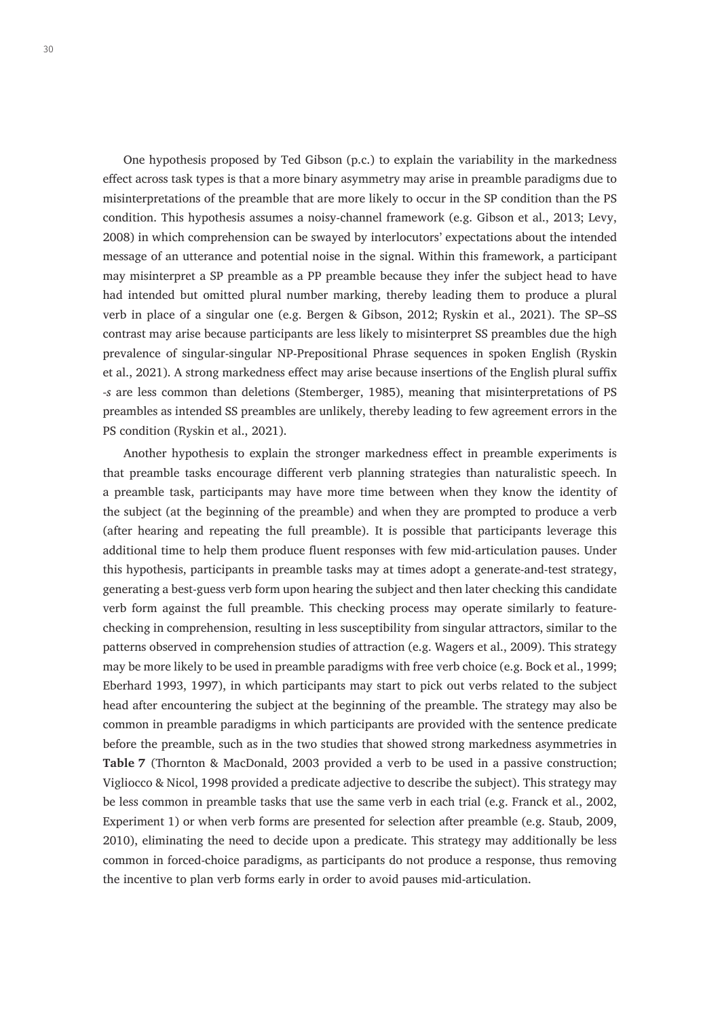One hypothesis proposed by Ted Gibson (p.c.) to explain the variability in the markedness effect across task types is that a more binary asymmetry may arise in preamble paradigms due to misinterpretations of the preamble that are more likely to occur in the SP condition than the PS condition. This hypothesis assumes a noisy-channel framework (e.g. Gibson et al., 2013; Levy, 2008) in which comprehension can be swayed by interlocutors' expectations about the intended message of an utterance and potential noise in the signal. Within this framework, a participant may misinterpret a SP preamble as a PP preamble because they infer the subject head to have had intended but omitted plural number marking, thereby leading them to produce a plural verb in place of a singular one (e.g. Bergen & Gibson, 2012; Ryskin et al., 2021). The SP–SS contrast may arise because participants are less likely to misinterpret SS preambles due the high prevalence of singular-singular NP-Prepositional Phrase sequences in spoken English (Ryskin et al., 2021). A strong markedness effect may arise because insertions of the English plural suffix *-s* are less common than deletions (Stemberger, 1985), meaning that misinterpretations of PS preambles as intended SS preambles are unlikely, thereby leading to few agreement errors in the PS condition (Ryskin et al., 2021).

Another hypothesis to explain the stronger markedness effect in preamble experiments is that preamble tasks encourage different verb planning strategies than naturalistic speech. In a preamble task, participants may have more time between when they know the identity of the subject (at the beginning of the preamble) and when they are prompted to produce a verb (after hearing and repeating the full preamble). It is possible that participants leverage this additional time to help them produce fluent responses with few mid-articulation pauses. Under this hypothesis, participants in preamble tasks may at times adopt a generate-and-test strategy, generating a best-guess verb form upon hearing the subject and then later checking this candidate verb form against the full preamble. This checking process may operate similarly to featurechecking in comprehension, resulting in less susceptibility from singular attractors, similar to the patterns observed in comprehension studies of attraction (e.g. Wagers et al., 2009). This strategy may be more likely to be used in preamble paradigms with free verb choice (e.g. Bock et al., 1999; Eberhard 1993, 1997), in which participants may start to pick out verbs related to the subject head after encountering the subject at the beginning of the preamble. The strategy may also be common in preamble paradigms in which participants are provided with the sentence predicate before the preamble, such as in the two studies that showed strong markedness asymmetries in **Table 7** (Thornton & MacDonald, 2003 provided a verb to be used in a passive construction; Vigliocco & Nicol, 1998 provided a predicate adjective to describe the subject). This strategy may be less common in preamble tasks that use the same verb in each trial (e.g. Franck et al., 2002, Experiment 1) or when verb forms are presented for selection after preamble (e.g. Staub, 2009, 2010), eliminating the need to decide upon a predicate. This strategy may additionally be less common in forced-choice paradigms, as participants do not produce a response, thus removing the incentive to plan verb forms early in order to avoid pauses mid-articulation.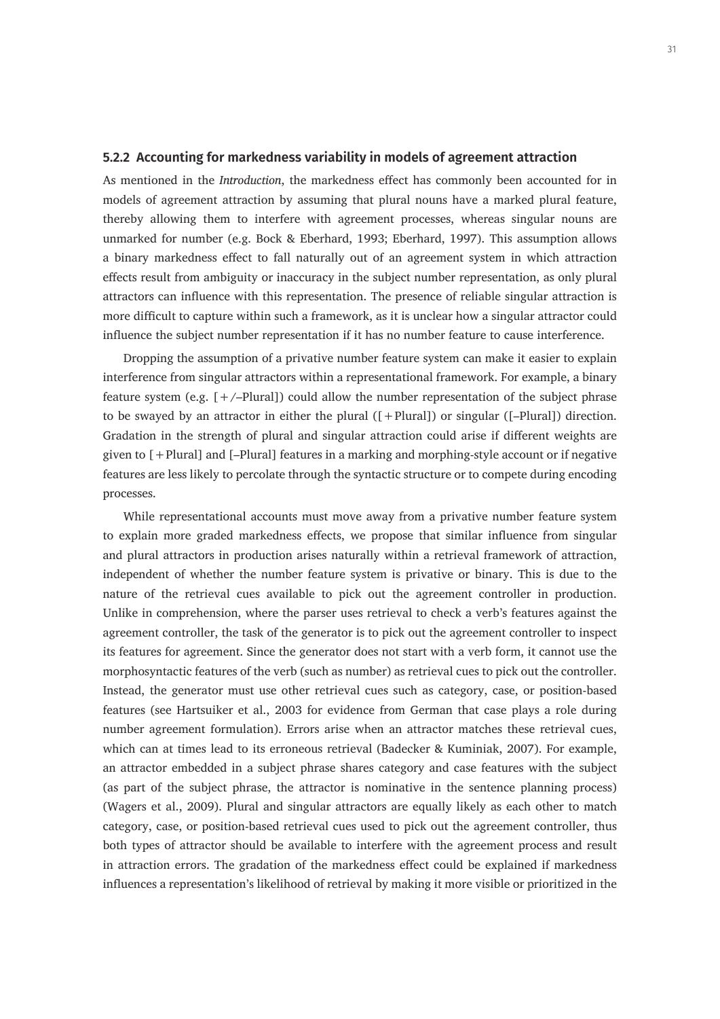## **5.2.2 Accounting for markedness variability in models of agreement attraction**

As mentioned in the *Introduction*, the markedness effect has commonly been accounted for in models of agreement attraction by assuming that plural nouns have a marked plural feature, thereby allowing them to interfere with agreement processes, whereas singular nouns are unmarked for number (e.g. Bock & Eberhard, 1993; Eberhard, 1997). This assumption allows a binary markedness effect to fall naturally out of an agreement system in which attraction effects result from ambiguity or inaccuracy in the subject number representation, as only plural attractors can influence with this representation. The presence of reliable singular attraction is more difficult to capture within such a framework, as it is unclear how a singular attractor could influence the subject number representation if it has no number feature to cause interference.

Dropping the assumption of a privative number feature system can make it easier to explain interference from singular attractors within a representational framework. For example, a binary feature system (e.g.  $[+/-$ Plural]) could allow the number representation of the subject phrase to be swayed by an attractor in either the plural ([+Plural]) or singular ([–Plural]) direction. Gradation in the strength of plural and singular attraction could arise if different weights are given to [+Plural] and [–Plural] features in a marking and morphing-style account or if negative features are less likely to percolate through the syntactic structure or to compete during encoding processes.

While representational accounts must move away from a privative number feature system to explain more graded markedness effects, we propose that similar influence from singular and plural attractors in production arises naturally within a retrieval framework of attraction, independent of whether the number feature system is privative or binary. This is due to the nature of the retrieval cues available to pick out the agreement controller in production. Unlike in comprehension, where the parser uses retrieval to check a verb's features against the agreement controller, the task of the generator is to pick out the agreement controller to inspect its features for agreement. Since the generator does not start with a verb form, it cannot use the morphosyntactic features of the verb (such as number) as retrieval cues to pick out the controller. Instead, the generator must use other retrieval cues such as category, case, or position-based features (see Hartsuiker et al., 2003 for evidence from German that case plays a role during number agreement formulation). Errors arise when an attractor matches these retrieval cues, which can at times lead to its erroneous retrieval (Badecker & Kuminiak, 2007). For example, an attractor embedded in a subject phrase shares category and case features with the subject (as part of the subject phrase, the attractor is nominative in the sentence planning process) (Wagers et al., 2009). Plural and singular attractors are equally likely as each other to match category, case, or position-based retrieval cues used to pick out the agreement controller, thus both types of attractor should be available to interfere with the agreement process and result in attraction errors. The gradation of the markedness effect could be explained if markedness influences a representation's likelihood of retrieval by making it more visible or prioritized in the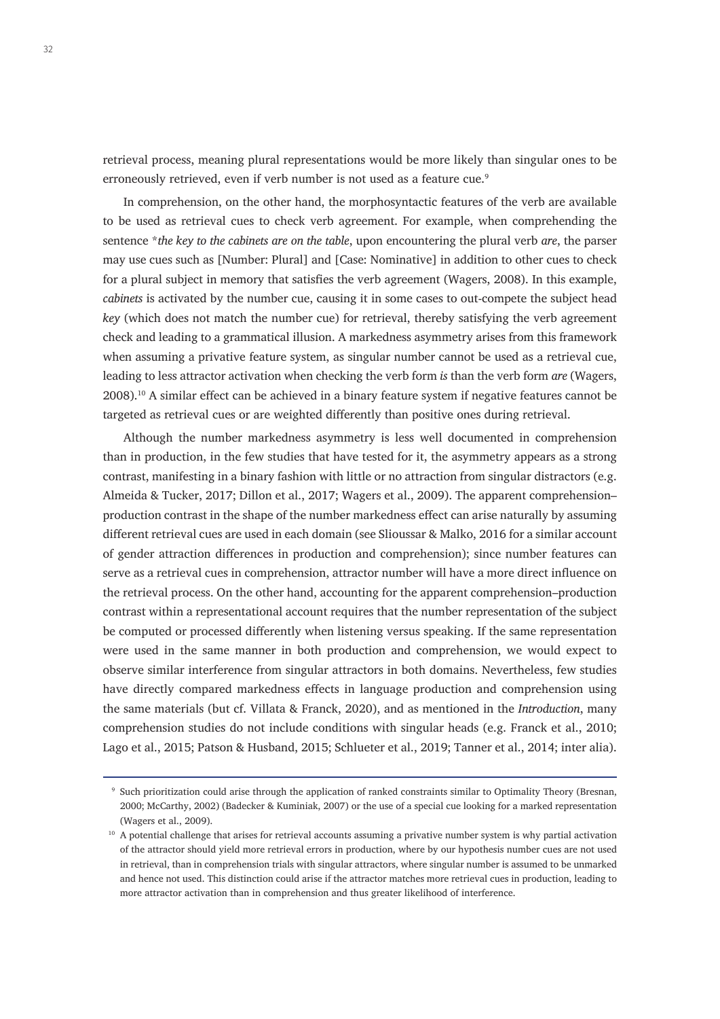retrieval process, meaning plural representations would be more likely than singular ones to be erroneously retrieved, even if verb number is not used as a feature cue.<sup>9</sup>

In comprehension, on the other hand, the morphosyntactic features of the verb are available to be used as retrieval cues to check verb agreement. For example, when comprehending the sentence \**the key to the cabinets are on the table*, upon encountering the plural verb *are*, the parser may use cues such as [Number: Plural] and [Case: Nominative] in addition to other cues to check for a plural subject in memory that satisfies the verb agreement (Wagers, 2008). In this example, *cabinets* is activated by the number cue, causing it in some cases to out-compete the subject head *key* (which does not match the number cue) for retrieval, thereby satisfying the verb agreement check and leading to a grammatical illusion. A markedness asymmetry arises from this framework when assuming a privative feature system, as singular number cannot be used as a retrieval cue, leading to less attractor activation when checking the verb form *is* than the verb form *are* (Wagers, 2008).10 A similar effect can be achieved in a binary feature system if negative features cannot be targeted as retrieval cues or are weighted differently than positive ones during retrieval.

Although the number markedness asymmetry is less well documented in comprehension than in production, in the few studies that have tested for it, the asymmetry appears as a strong contrast, manifesting in a binary fashion with little or no attraction from singular distractors (e.g. Almeida & Tucker, 2017; Dillon et al., 2017; Wagers et al., 2009). The apparent comprehension– production contrast in the shape of the number markedness effect can arise naturally by assuming different retrieval cues are used in each domain (see Slioussar & Malko, 2016 for a similar account of gender attraction differences in production and comprehension); since number features can serve as a retrieval cues in comprehension, attractor number will have a more direct influence on the retrieval process. On the other hand, accounting for the apparent comprehension–production contrast within a representational account requires that the number representation of the subject be computed or processed differently when listening versus speaking. If the same representation were used in the same manner in both production and comprehension, we would expect to observe similar interference from singular attractors in both domains. Nevertheless, few studies have directly compared markedness effects in language production and comprehension using the same materials (but cf. Villata & Franck, 2020), and as mentioned in the *Introduction*, many comprehension studies do not include conditions with singular heads (e.g. Franck et al., 2010; Lago et al., 2015; Patson & Husband, 2015; Schlueter et al., 2019; Tanner et al., 2014; inter alia).

<sup>9</sup> Such prioritization could arise through the application of ranked constraints similar to Optimality Theory (Bresnan, 2000; McCarthy, 2002) (Badecker & Kuminiak, 2007) or the use of a special cue looking for a marked representation (Wagers et al., 2009).

<sup>&</sup>lt;sup>10</sup> A potential challenge that arises for retrieval accounts assuming a privative number system is why partial activation of the attractor should yield more retrieval errors in production, where by our hypothesis number cues are not used in retrieval, than in comprehension trials with singular attractors, where singular number is assumed to be unmarked and hence not used. This distinction could arise if the attractor matches more retrieval cues in production, leading to more attractor activation than in comprehension and thus greater likelihood of interference.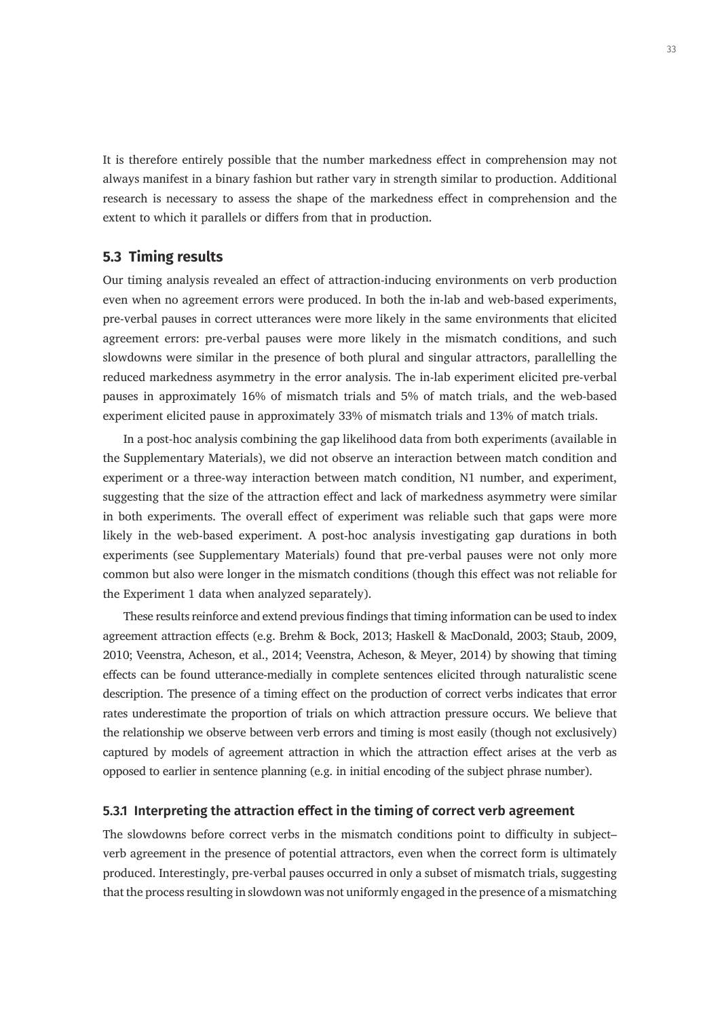It is therefore entirely possible that the number markedness effect in comprehension may not always manifest in a binary fashion but rather vary in strength similar to production. Additional research is necessary to assess the shape of the markedness effect in comprehension and the extent to which it parallels or differs from that in production.

## **5.3 Timing results**

Our timing analysis revealed an effect of attraction-inducing environments on verb production even when no agreement errors were produced. In both the in-lab and web-based experiments, pre-verbal pauses in correct utterances were more likely in the same environments that elicited agreement errors: pre-verbal pauses were more likely in the mismatch conditions, and such slowdowns were similar in the presence of both plural and singular attractors, parallelling the reduced markedness asymmetry in the error analysis. The in-lab experiment elicited pre-verbal pauses in approximately 16% of mismatch trials and 5% of match trials, and the web-based experiment elicited pause in approximately 33% of mismatch trials and 13% of match trials.

In a post-hoc analysis combining the gap likelihood data from both experiments (available in the Supplementary Materials), we did not observe an interaction between match condition and experiment or a three-way interaction between match condition, N1 number, and experiment, suggesting that the size of the attraction effect and lack of markedness asymmetry were similar in both experiments. The overall effect of experiment was reliable such that gaps were more likely in the web-based experiment. A post-hoc analysis investigating gap durations in both experiments (see Supplementary Materials) found that pre-verbal pauses were not only more common but also were longer in the mismatch conditions (though this effect was not reliable for the Experiment 1 data when analyzed separately).

These results reinforce and extend previous findings that timing information can be used to index agreement attraction effects (e.g. Brehm & Bock, 2013; Haskell & MacDonald, 2003; Staub, 2009, 2010; Veenstra, Acheson, et al., 2014; Veenstra, Acheson, & Meyer, 2014) by showing that timing effects can be found utterance-medially in complete sentences elicited through naturalistic scene description. The presence of a timing effect on the production of correct verbs indicates that error rates underestimate the proportion of trials on which attraction pressure occurs. We believe that the relationship we observe between verb errors and timing is most easily (though not exclusively) captured by models of agreement attraction in which the attraction effect arises at the verb as opposed to earlier in sentence planning (e.g. in initial encoding of the subject phrase number).

#### **5.3.1 Interpreting the attraction effect in the timing of correct verb agreement**

The slowdowns before correct verbs in the mismatch conditions point to difficulty in subject– verb agreement in the presence of potential attractors, even when the correct form is ultimately produced. Interestingly, pre-verbal pauses occurred in only a subset of mismatch trials, suggesting that the process resulting in slowdown was not uniformly engaged in the presence of a mismatching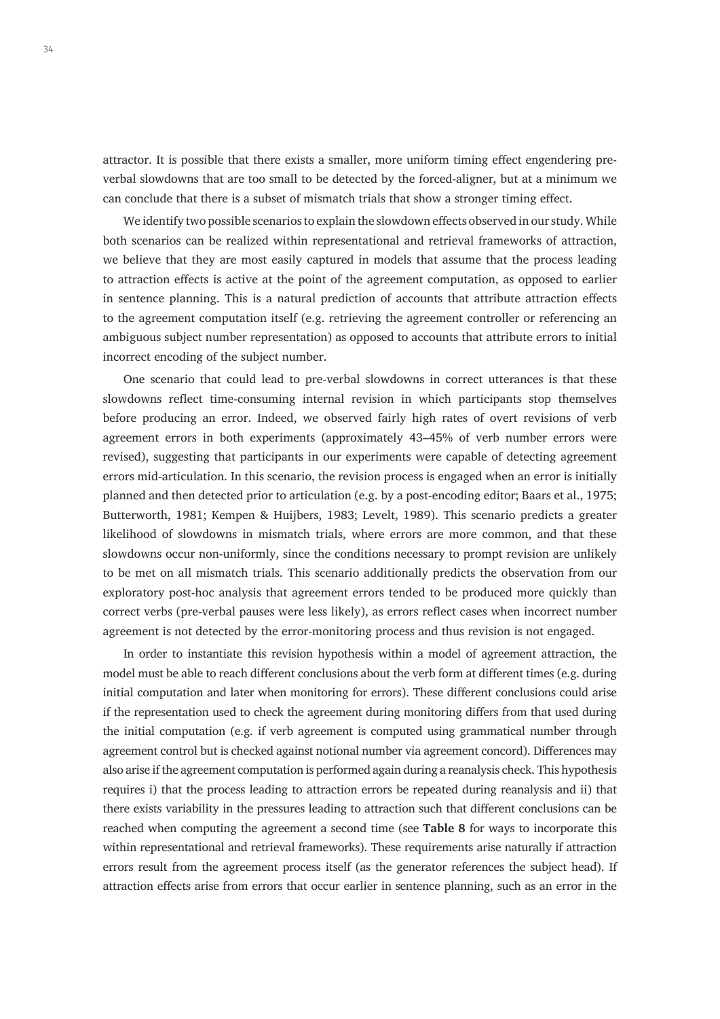attractor. It is possible that there exists a smaller, more uniform timing effect engendering preverbal slowdowns that are too small to be detected by the forced-aligner, but at a minimum we can conclude that there is a subset of mismatch trials that show a stronger timing effect.

We identify two possible scenarios to explain the slowdown effects observed in our study. While both scenarios can be realized within representational and retrieval frameworks of attraction, we believe that they are most easily captured in models that assume that the process leading to attraction effects is active at the point of the agreement computation, as opposed to earlier in sentence planning. This is a natural prediction of accounts that attribute attraction effects to the agreement computation itself (e.g. retrieving the agreement controller or referencing an ambiguous subject number representation) as opposed to accounts that attribute errors to initial incorrect encoding of the subject number.

One scenario that could lead to pre-verbal slowdowns in correct utterances is that these slowdowns reflect time-consuming internal revision in which participants stop themselves before producing an error. Indeed, we observed fairly high rates of overt revisions of verb agreement errors in both experiments (approximately 43–45% of verb number errors were revised), suggesting that participants in our experiments were capable of detecting agreement errors mid-articulation. In this scenario, the revision process is engaged when an error is initially planned and then detected prior to articulation (e.g. by a post-encoding editor; Baars et al., 1975; Butterworth, 1981; Kempen & Huijbers, 1983; Levelt, 1989). This scenario predicts a greater likelihood of slowdowns in mismatch trials, where errors are more common, and that these slowdowns occur non-uniformly, since the conditions necessary to prompt revision are unlikely to be met on all mismatch trials. This scenario additionally predicts the observation from our exploratory post-hoc analysis that agreement errors tended to be produced more quickly than correct verbs (pre-verbal pauses were less likely), as errors reflect cases when incorrect number agreement is not detected by the error-monitoring process and thus revision is not engaged.

In order to instantiate this revision hypothesis within a model of agreement attraction, the model must be able to reach different conclusions about the verb form at different times (e.g. during initial computation and later when monitoring for errors). These different conclusions could arise if the representation used to check the agreement during monitoring differs from that used during the initial computation (e.g. if verb agreement is computed using grammatical number through agreement control but is checked against notional number via agreement concord). Differences may also arise if the agreement computation is performed again during a reanalysis check. This hypothesis requires i) that the process leading to attraction errors be repeated during reanalysis and ii) that there exists variability in the pressures leading to attraction such that different conclusions can be reached when computing the agreement a second time (see **Table 8** for ways to incorporate this within representational and retrieval frameworks). These requirements arise naturally if attraction errors result from the agreement process itself (as the generator references the subject head). If attraction effects arise from errors that occur earlier in sentence planning, such as an error in the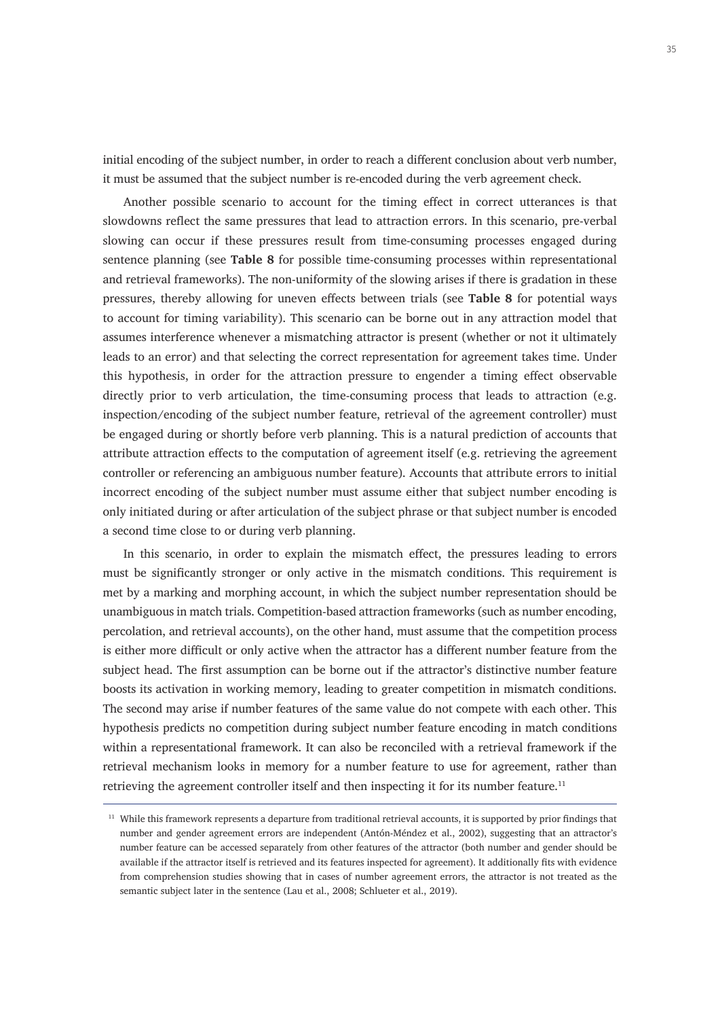initial encoding of the subject number, in order to reach a different conclusion about verb number, it must be assumed that the subject number is re-encoded during the verb agreement check.

Another possible scenario to account for the timing effect in correct utterances is that slowdowns reflect the same pressures that lead to attraction errors. In this scenario, pre-verbal slowing can occur if these pressures result from time-consuming processes engaged during sentence planning (see **Table 8** for possible time-consuming processes within representational and retrieval frameworks). The non-uniformity of the slowing arises if there is gradation in these pressures, thereby allowing for uneven effects between trials (see **Table 8** for potential ways to account for timing variability). This scenario can be borne out in any attraction model that assumes interference whenever a mismatching attractor is present (whether or not it ultimately leads to an error) and that selecting the correct representation for agreement takes time. Under this hypothesis, in order for the attraction pressure to engender a timing effect observable directly prior to verb articulation, the time-consuming process that leads to attraction (e.g. inspection/encoding of the subject number feature, retrieval of the agreement controller) must be engaged during or shortly before verb planning. This is a natural prediction of accounts that attribute attraction effects to the computation of agreement itself (e.g. retrieving the agreement controller or referencing an ambiguous number feature). Accounts that attribute errors to initial incorrect encoding of the subject number must assume either that subject number encoding is only initiated during or after articulation of the subject phrase or that subject number is encoded a second time close to or during verb planning.

In this scenario, in order to explain the mismatch effect, the pressures leading to errors must be significantly stronger or only active in the mismatch conditions. This requirement is met by a marking and morphing account, in which the subject number representation should be unambiguous in match trials. Competition-based attraction frameworks (such as number encoding, percolation, and retrieval accounts), on the other hand, must assume that the competition process is either more difficult or only active when the attractor has a different number feature from the subject head. The first assumption can be borne out if the attractor's distinctive number feature boosts its activation in working memory, leading to greater competition in mismatch conditions. The second may arise if number features of the same value do not compete with each other. This hypothesis predicts no competition during subject number feature encoding in match conditions within a representational framework. It can also be reconciled with a retrieval framework if the retrieval mechanism looks in memory for a number feature to use for agreement, rather than retrieving the agreement controller itself and then inspecting it for its number feature.<sup>11</sup>

<sup>11</sup> While this framework represents a departure from traditional retrieval accounts, it is supported by prior findings that number and gender agreement errors are independent (Antón-Méndez et al., 2002), suggesting that an attractor's number feature can be accessed separately from other features of the attractor (both number and gender should be available if the attractor itself is retrieved and its features inspected for agreement). It additionally fits with evidence from comprehension studies showing that in cases of number agreement errors, the attractor is not treated as the semantic subject later in the sentence (Lau et al., 2008; Schlueter et al., 2019).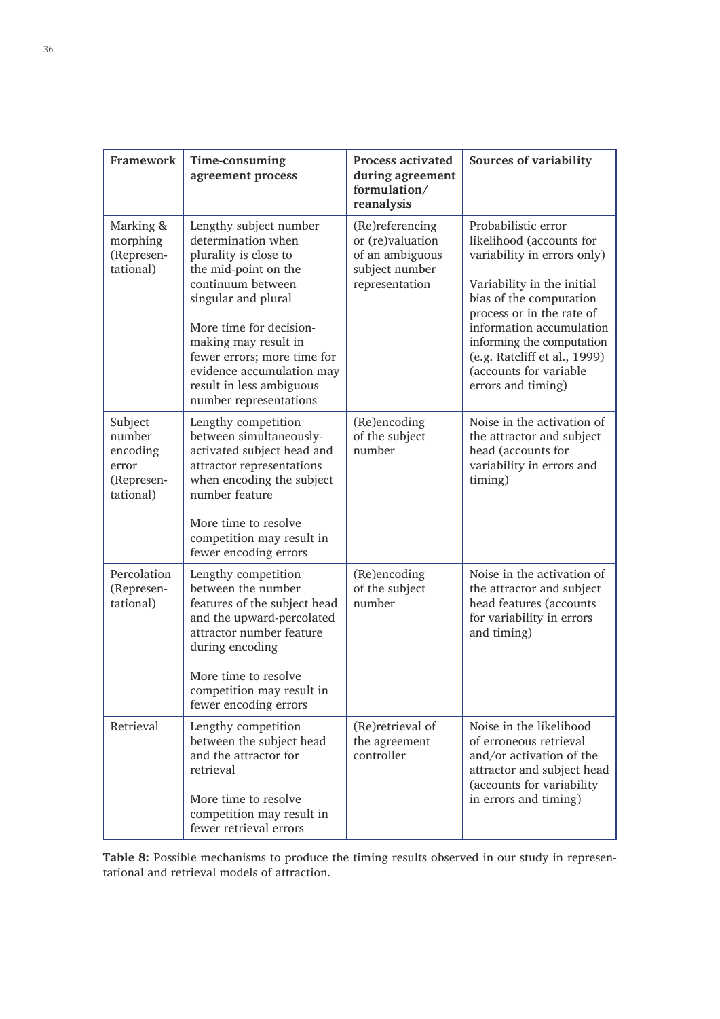| <b>Framework</b>                                                  | Time-consuming<br>agreement process                                                                                                                                                                                                                                                                            | <b>Process activated</b><br>during agreement<br>formulation/<br>reanalysis                 | <b>Sources of variability</b>                                                                                                                                                                                                                                                                                 |
|-------------------------------------------------------------------|----------------------------------------------------------------------------------------------------------------------------------------------------------------------------------------------------------------------------------------------------------------------------------------------------------------|--------------------------------------------------------------------------------------------|---------------------------------------------------------------------------------------------------------------------------------------------------------------------------------------------------------------------------------------------------------------------------------------------------------------|
| Marking &<br>morphing<br>(Represen-<br>tational)                  | Lengthy subject number<br>determination when<br>plurality is close to<br>the mid-point on the<br>continuum between<br>singular and plural<br>More time for decision-<br>making may result in<br>fewer errors; more time for<br>evidence accumulation may<br>result in less ambiguous<br>number representations | (Re)referencing<br>or (re)valuation<br>of an ambiguous<br>subject number<br>representation | Probabilistic error<br>likelihood (accounts for<br>variability in errors only)<br>Variability in the initial<br>bias of the computation<br>process or in the rate of<br>information accumulation<br>informing the computation<br>(e.g. Ratcliff et al., 1999)<br>(accounts for variable<br>errors and timing) |
| Subject<br>number<br>encoding<br>error<br>(Represen-<br>tational) | Lengthy competition<br>between simultaneously-<br>activated subject head and<br>attractor representations<br>when encoding the subject<br>number feature<br>More time to resolve<br>competition may result in<br>fewer encoding errors                                                                         | (Re)encoding<br>of the subject<br>number                                                   | Noise in the activation of<br>the attractor and subject<br>head (accounts for<br>variability in errors and<br>timing)                                                                                                                                                                                         |
| Percolation<br>(Represen-<br>tational)                            | Lengthy competition<br>between the number<br>features of the subject head<br>and the upward-percolated<br>attractor number feature<br>during encoding<br>More time to resolve<br>competition may result in<br>fewer encoding errors                                                                            | (Re)encoding<br>of the subject<br>number                                                   | Noise in the activation of<br>the attractor and subject<br>head features (accounts<br>for variability in errors<br>and timing)                                                                                                                                                                                |
| Retrieval                                                         | Lengthy competition<br>between the subject head<br>and the attractor for<br>retrieval<br>More time to resolve<br>competition may result in<br>fewer retrieval errors                                                                                                                                           | (Re)retrieval of<br>the agreement<br>controller                                            | Noise in the likelihood<br>of erroneous retrieval<br>and/or activation of the<br>attractor and subject head<br>(accounts for variability<br>in errors and timing)                                                                                                                                             |

**Table 8:** Possible mechanisms to produce the timing results observed in our study in representational and retrieval models of attraction.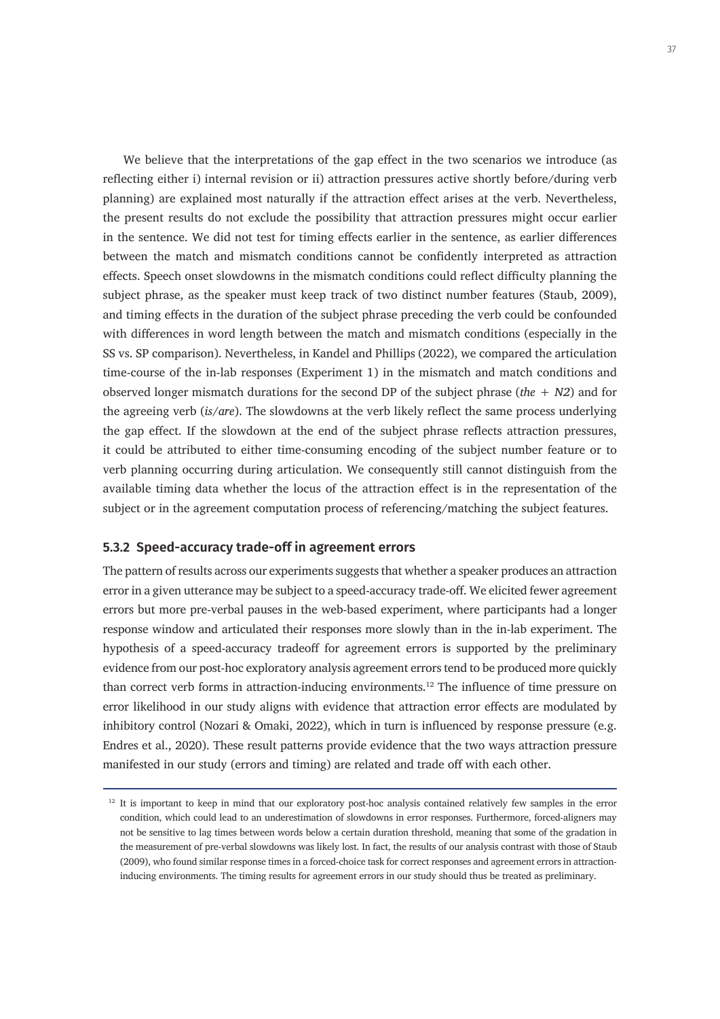We believe that the interpretations of the gap effect in the two scenarios we introduce (as reflecting either i) internal revision or ii) attraction pressures active shortly before/during verb planning) are explained most naturally if the attraction effect arises at the verb. Nevertheless, the present results do not exclude the possibility that attraction pressures might occur earlier in the sentence. We did not test for timing effects earlier in the sentence, as earlier differences between the match and mismatch conditions cannot be confidently interpreted as attraction effects. Speech onset slowdowns in the mismatch conditions could reflect difficulty planning the subject phrase, as the speaker must keep track of two distinct number features (Staub, 2009), and timing effects in the duration of the subject phrase preceding the verb could be confounded with differences in word length between the match and mismatch conditions (especially in the SS vs. SP comparison). Nevertheless, in Kandel and Phillips (2022), we compared the articulation time-course of the in-lab responses (Experiment 1) in the mismatch and match conditions and observed longer mismatch durations for the second DP of the subject phrase (*the + N2*) and for the agreeing verb (*is/are*). The slowdowns at the verb likely reflect the same process underlying the gap effect. If the slowdown at the end of the subject phrase reflects attraction pressures, it could be attributed to either time-consuming encoding of the subject number feature or to verb planning occurring during articulation. We consequently still cannot distinguish from the available timing data whether the locus of the attraction effect is in the representation of the subject or in the agreement computation process of referencing/matching the subject features.

## **5.3.2 Speed-accuracy trade-off in agreement errors**

The pattern of results across our experiments suggests that whether a speaker produces an attraction error in a given utterance may be subject to a speed-accuracy trade-off. We elicited fewer agreement errors but more pre-verbal pauses in the web-based experiment, where participants had a longer response window and articulated their responses more slowly than in the in-lab experiment. The hypothesis of a speed-accuracy tradeoff for agreement errors is supported by the preliminary evidence from our post-hoc exploratory analysis agreement errors tend to be produced more quickly than correct verb forms in attraction-inducing environments.<sup>12</sup> The influence of time pressure on error likelihood in our study aligns with evidence that attraction error effects are modulated by inhibitory control (Nozari & Omaki, 2022), which in turn is influenced by response pressure (e.g. Endres et al., 2020). These result patterns provide evidence that the two ways attraction pressure manifested in our study (errors and timing) are related and trade off with each other.

<sup>&</sup>lt;sup>12</sup> It is important to keep in mind that our exploratory post-hoc analysis contained relatively few samples in the error condition, which could lead to an underestimation of slowdowns in error responses. Furthermore, forced-aligners may not be sensitive to lag times between words below a certain duration threshold, meaning that some of the gradation in the measurement of pre-verbal slowdowns was likely lost. In fact, the results of our analysis contrast with those of Staub (2009), who found similar response times in a forced-choice task for correct responses and agreement errors in attractioninducing environments. The timing results for agreement errors in our study should thus be treated as preliminary.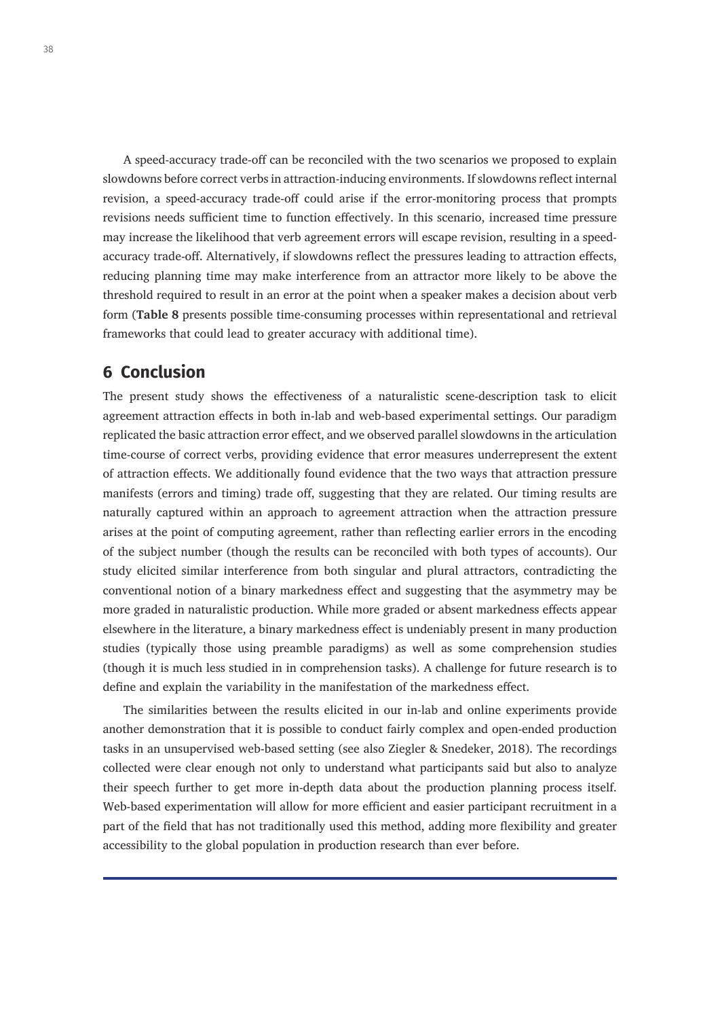A speed-accuracy trade-off can be reconciled with the two scenarios we proposed to explain slowdowns before correct verbs in attraction-inducing environments. If slowdowns reflect internal revision, a speed-accuracy trade-off could arise if the error-monitoring process that prompts revisions needs sufficient time to function effectively. In this scenario, increased time pressure may increase the likelihood that verb agreement errors will escape revision, resulting in a speedaccuracy trade-off. Alternatively, if slowdowns reflect the pressures leading to attraction effects, reducing planning time may make interference from an attractor more likely to be above the threshold required to result in an error at the point when a speaker makes a decision about verb form (**Table 8** presents possible time-consuming processes within representational and retrieval frameworks that could lead to greater accuracy with additional time).

# **6 Conclusion**

The present study shows the effectiveness of a naturalistic scene-description task to elicit agreement attraction effects in both in-lab and web-based experimental settings. Our paradigm replicated the basic attraction error effect, and we observed parallel slowdowns in the articulation time-course of correct verbs, providing evidence that error measures underrepresent the extent of attraction effects. We additionally found evidence that the two ways that attraction pressure manifests (errors and timing) trade off, suggesting that they are related. Our timing results are naturally captured within an approach to agreement attraction when the attraction pressure arises at the point of computing agreement, rather than reflecting earlier errors in the encoding of the subject number (though the results can be reconciled with both types of accounts). Our study elicited similar interference from both singular and plural attractors, contradicting the conventional notion of a binary markedness effect and suggesting that the asymmetry may be more graded in naturalistic production. While more graded or absent markedness effects appear elsewhere in the literature, a binary markedness effect is undeniably present in many production studies (typically those using preamble paradigms) as well as some comprehension studies (though it is much less studied in in comprehension tasks). A challenge for future research is to define and explain the variability in the manifestation of the markedness effect.

The similarities between the results elicited in our in-lab and online experiments provide another demonstration that it is possible to conduct fairly complex and open-ended production tasks in an unsupervised web-based setting (see also Ziegler & Snedeker, 2018). The recordings collected were clear enough not only to understand what participants said but also to analyze their speech further to get more in-depth data about the production planning process itself. Web-based experimentation will allow for more efficient and easier participant recruitment in a part of the field that has not traditionally used this method, adding more flexibility and greater accessibility to the global population in production research than ever before.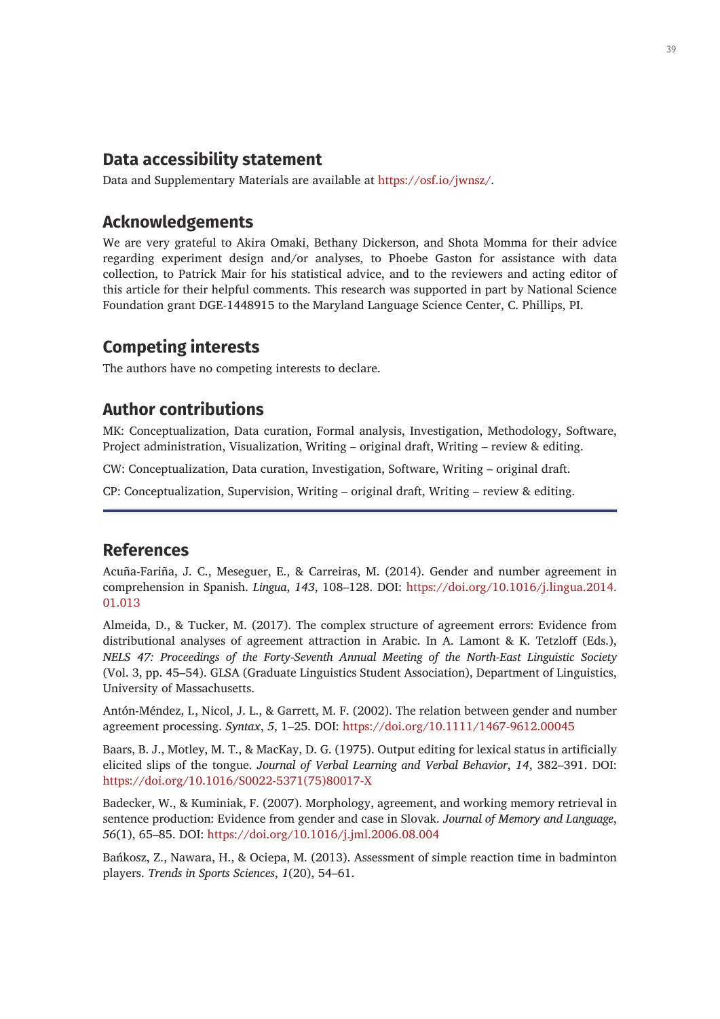# **Data accessibility statement**

Data and Supplementary Materials are available at <https://osf.io/jwnsz/>.

# **Acknowledgements**

We are very grateful to Akira Omaki, Bethany Dickerson, and Shota Momma for their advice regarding experiment design and/or analyses, to Phoebe Gaston for assistance with data collection, to Patrick Mair for his statistical advice, and to the reviewers and acting editor of this article for their helpful comments. This research was supported in part by National Science Foundation grant DGE-1448915 to the Maryland Language Science Center, C. Phillips, PI.

# **Competing interests**

The authors have no competing interests to declare.

# **Author contributions**

MK: Conceptualization, Data curation, Formal analysis, Investigation, Methodology, Software, Project administration, Visualization, Writing – original draft, Writing – review & editing.

CW: Conceptualization, Data curation, Investigation, Software, Writing – original draft.

CP: Conceptualization, Supervision, Writing – original draft, Writing – review & editing.

## **References**

Acuña-Fariña, J. C., Meseguer, E., & Carreiras, M. (2014). Gender and number agreement in comprehension in Spanish. *Lingua*, *143*, 108–128. DOI: [https://doi.org/10.1016/j.lingua.2014.](https://doi.org/10.1016/j.lingua.2014.01.013) [01.013](https://doi.org/10.1016/j.lingua.2014.01.013)

Almeida, D., & Tucker, M. (2017). The complex structure of agreement errors: Evidence from distributional analyses of agreement attraction in Arabic. In A. Lamont & K. Tetzloff (Eds.), *NELS 47: Proceedings of the Forty-Seventh Annual Meeting of the North-East Linguistic Society* (Vol. 3, pp. 45–54). GLSA (Graduate Linguistics Student Association), Department of Linguistics, University of Massachusetts.

Antón-Méndez, I., Nicol, J. L., & Garrett, M. F. (2002). The relation between gender and number agreement processing. *Syntax*, *5*, 1–25. DOI: <https://doi.org/10.1111/1467-9612.00045>

Baars, B. J., Motley, M. T., & MacKay, D. G. (1975). Output editing for lexical status in artificially elicited slips of the tongue. *Journal of Verbal Learning and Verbal Behavior*, *14*, 382–391. DOI: [https://doi.org/10.1016/S0022-5371\(75\)80017-X](https://doi.org/10.1016/S0022-5371(75)80017-X)

Badecker, W., & Kuminiak, F. (2007). Morphology, agreement, and working memory retrieval in sentence production: Evidence from gender and case in Slovak. *Journal of Memory and Language*, *56*(1), 65–85. DOI: <https://doi.org/10.1016/j.jml.2006.08.004>

Bańkosz, Z., Nawara, H., & Ociepa, M. (2013). Assessment of simple reaction time in badminton players. *Trends in Sports Sciences*, *1*(20), 54–61.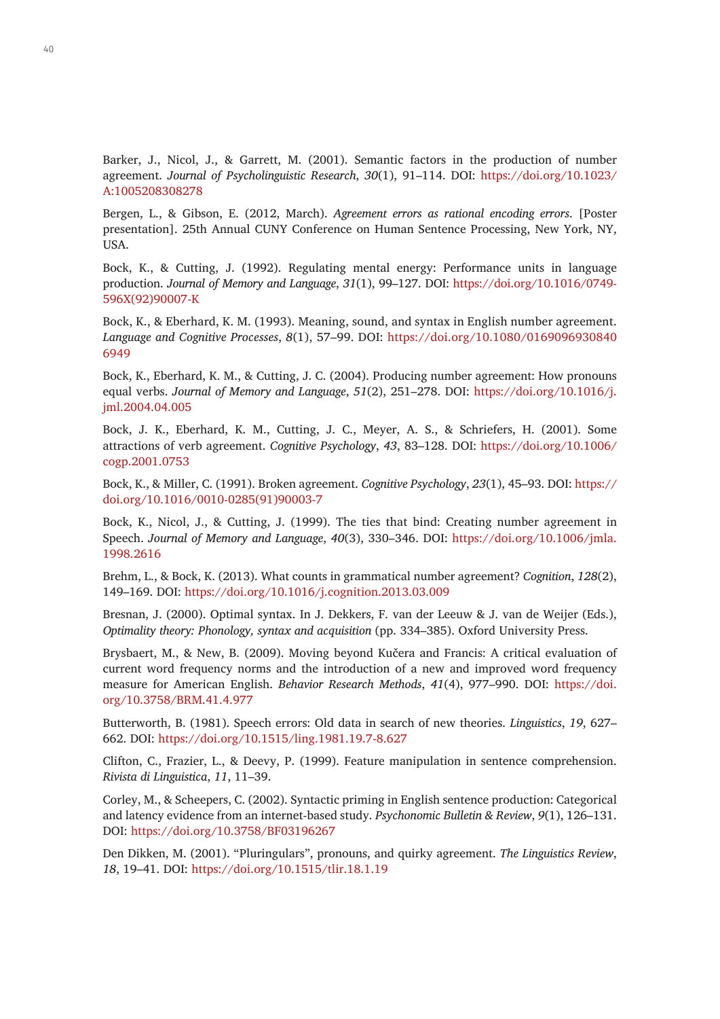Barker, J., Nicol, J., & Garrett, M. (2001). Semantic factors in the production of number agreement. *Journal of Psycholinguistic Research*, *30*(1), 91–114. DOI: [https://doi.org/10.1023/](https://doi.org/10.1023/A:1005208308278) [A:1005208308278](https://doi.org/10.1023/A:1005208308278)

Bergen, L., & Gibson, E. (2012, March). *Agreement errors as rational encoding errors*. [Poster presentation]. 25th Annual CUNY Conference on Human Sentence Processing, New York, NY, USA.

Bock, K., & Cutting, J. (1992). Regulating mental energy: Performance units in language production. *Journal of Memory and Language*, *31*(1), 99–127. DOI: [https://doi.org/10.1016/0749-](https://doi.org/10.1016/0749-596X(92)90007-K) [596X\(92\)90007-K](https://doi.org/10.1016/0749-596X(92)90007-K)

Bock, K., & Eberhard, K. M. (1993). Meaning, sound, and syntax in English number agreement. *Language and Cognitive Processes*, *8*(1), 57–99. DOI: [https://doi.org/10.1080/0169096930840](https://doi.org/10.1080/01690969308406949) [6949](https://doi.org/10.1080/01690969308406949)

Bock, K., Eberhard, K. M., & Cutting, J. C. (2004). Producing number agreement: How pronouns equal verbs. *Journal of Memory and Language*, *51*(2), 251–278. DOI: [https://doi.org/10.1016/j.](https://doi.org/10.1016/j.jml.2004.04.005) iml.2004.04.005

Bock, J. K., Eberhard, K. M., Cutting, J. C., Meyer, A. S., & Schriefers, H. (2001). Some attractions of verb agreement. *Cognitive Psychology*, *43*, 83–128. DOI: [https://doi.org/10.1006/](https://doi.org/10.1006/cogp.2001.0753) [cogp.2001.0753](https://doi.org/10.1006/cogp.2001.0753)

Bock, K., & Miller, C. (1991). Broken agreement. *Cognitive Psychology*, *23*(1), 45–93. DOI: [https://](https://doi.org/10.1016/0010-0285(91)90003-7) [doi.org/10.1016/0010-0285\(91\)90003-7](https://doi.org/10.1016/0010-0285(91)90003-7)

Bock, K., Nicol, J., & Cutting, J. (1999). The ties that bind: Creating number agreement in Speech. *Journal of Memory and Language*, *40*(3), 330–346. DOI: [https://doi.org/10.1006/jmla.](https://doi.org/10.1006/jmla.1998.2616) [1998.2616](https://doi.org/10.1006/jmla.1998.2616)

Brehm, L., & Bock, K. (2013). What counts in grammatical number agreement? *Cognition*, *128*(2), 149–169. DOI: <https://doi.org/10.1016/j.cognition.2013.03.009>

Bresnan, J. (2000). Optimal syntax. In J. Dekkers, F. van der Leeuw & J. van de Weijer (Eds.), *Optimality theory: Phonology, syntax and acquisition* (pp. 334–385). Oxford University Press.

Brysbaert, M., & New, B. (2009). Moving beyond Kučera and Francis: A critical evaluation of current word frequency norms and the introduction of a new and improved word frequency measure for American English. *Behavior Research Methods*, *41*(4), 977–990. DOI: [https://doi.](https://doi.org/10.3758/BRM.41.4.977) [org/10.3758/BRM.41.4.977](https://doi.org/10.3758/BRM.41.4.977)

Butterworth, B. (1981). Speech errors: Old data in search of new theories. *Linguistics*, *19*, 627– 662. DOI: <https://doi.org/10.1515/ling.1981.19.7-8.627>

Clifton, C., Frazier, L., & Deevy, P. (1999). Feature manipulation in sentence comprehension. *Rivista di Linguistica*, *11*, 11–39.

Corley, M., & Scheepers, C. (2002). Syntactic priming in English sentence production: Categorical and latency evidence from an internet-based study. *Psychonomic Bulletin & Review*, *9*(1), 126–131. DOI:<https://doi.org/10.3758/BF03196267>

Den Dikken, M. (2001). "Pluringulars", pronouns, and quirky agreement. *The Linguistics Review*, *18*, 19–41. DOI:<https://doi.org/10.1515/tlir.18.1.19>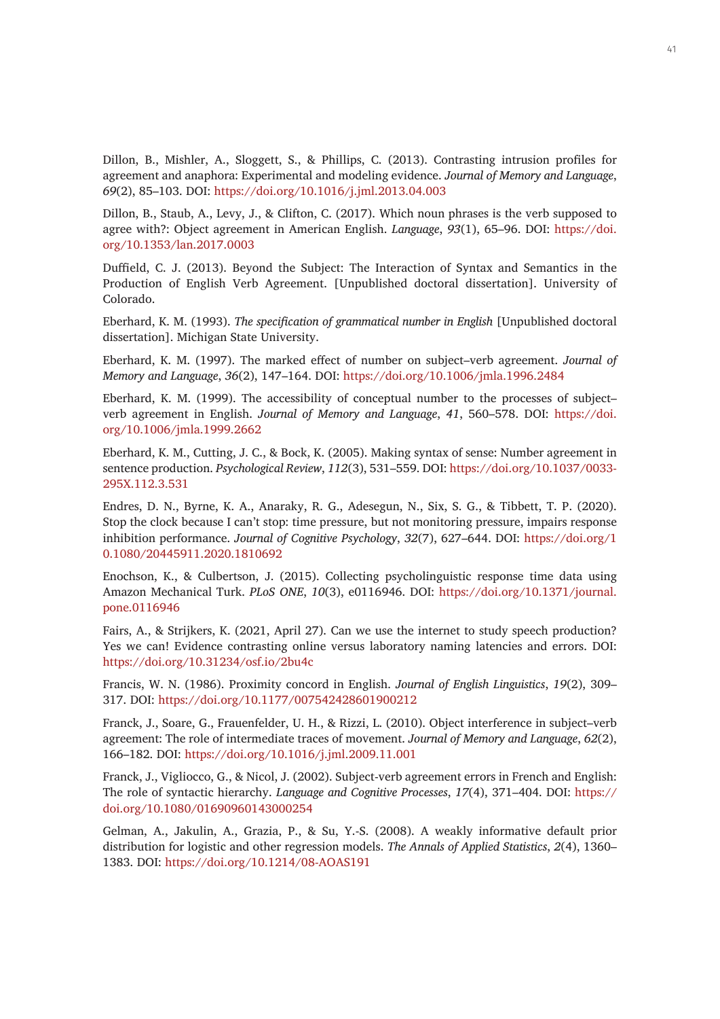Dillon, B., Mishler, A., Sloggett, S., & Phillips, C. (2013). Contrasting intrusion profiles for agreement and anaphora: Experimental and modeling evidence. *Journal of Memory and Language*, *69*(2), 85–103. DOI:<https://doi.org/10.1016/j.jml.2013.04.003>

Dillon, B., Staub, A., Levy, J., & Clifton, C. (2017). Which noun phrases is the verb supposed to agree with?: Object agreement in American English. *Language*, *93*(1), 65–96. DOI: [https://doi.](https://doi.org/10.1353/lan.2017.0003) [org/10.1353/lan.2017.0003](https://doi.org/10.1353/lan.2017.0003)

Duffield, C. J. (2013). Beyond the Subject: The Interaction of Syntax and Semantics in the Production of English Verb Agreement. [Unpublished doctoral dissertation]. University of Colorado.

Eberhard, K. M. (1993). *The specification of grammatical number in English* [Unpublished doctoral dissertation]. Michigan State University.

Eberhard, K. M. (1997). The marked effect of number on subject–verb agreement. *Journal of Memory and Language*, *36*(2), 147–164. DOI: <https://doi.org/10.1006/jmla.1996.2484>

Eberhard, K. M. (1999). The accessibility of conceptual number to the processes of subject– verb agreement in English. *Journal of Memory and Language*, *41*, 560–578. DOI: [https://doi.](https://doi.org/10.1006/jmla.1999.2662) [org/10.1006/jmla.1999.2662](https://doi.org/10.1006/jmla.1999.2662)

Eberhard, K. M., Cutting, J. C., & Bock, K. (2005). Making syntax of sense: Number agreement in sentence production. *Psychological Review*, *112*(3), 531–559. DOI: [https://doi.org/10.1037/0033-](https://doi.org/10.1037/0033-295X.112.3.531) [295X.112.3.531](https://doi.org/10.1037/0033-295X.112.3.531)

Endres, D. N., Byrne, K. A., Anaraky, R. G., Adesegun, N., Six, S. G., & Tibbett, T. P. (2020). Stop the clock because I can't stop: time pressure, but not monitoring pressure, impairs response inhibition performance. *Journal of Cognitive Psychology*, *32*(7), 627–644. DOI: [https://doi.org/1](https://doi.org/10.1080/20445911.2020.1810692) [0.1080/20445911.2020.1810692](https://doi.org/10.1080/20445911.2020.1810692)

Enochson, K., & Culbertson, J. (2015). Collecting psycholinguistic response time data using Amazon Mechanical Turk. *PLoS ONE*, *10*(3), e0116946. DOI: [https://doi.org/10.1371/journal.](https://doi.org/10.1371/journal.pone.0116946) [pone.0116946](https://doi.org/10.1371/journal.pone.0116946)

Fairs, A., & Strijkers, K. (2021, April 27). Can we use the internet to study speech production? Yes we can! Evidence contrasting online versus laboratory naming latencies and errors. DOI: <https://doi.org/10.31234/osf.io/2bu4c>

Francis, W. N. (1986). Proximity concord in English. *Journal of English Linguistics*, *19*(2), 309– 317. DOI: <https://doi.org/10.1177/007542428601900212>

Franck, J., Soare, G., Frauenfelder, U. H., & Rizzi, L. (2010). Object interference in subject–verb agreement: The role of intermediate traces of movement. *Journal of Memory and Language*, *62*(2), 166–182. DOI: <https://doi.org/10.1016/j.jml.2009.11.001>

Franck, J., Vigliocco, G., & Nicol, J. (2002). Subject-verb agreement errors in French and English: The role of syntactic hierarchy. *Language and Cognitive Processes*, *17*(4), 371–404. DOI: [https://](https://doi.org/10.1080/01690960143000254) [doi.org/10.1080/01690960143000254](https://doi.org/10.1080/01690960143000254)

Gelman, A., Jakulin, A., Grazia, P., & Su, Y.-S. (2008). A weakly informative default prior distribution for logistic and other regression models. *The Annals of Applied Statistics*, *2*(4), 1360– 1383. DOI: <https://doi.org/10.1214/08-AOAS191>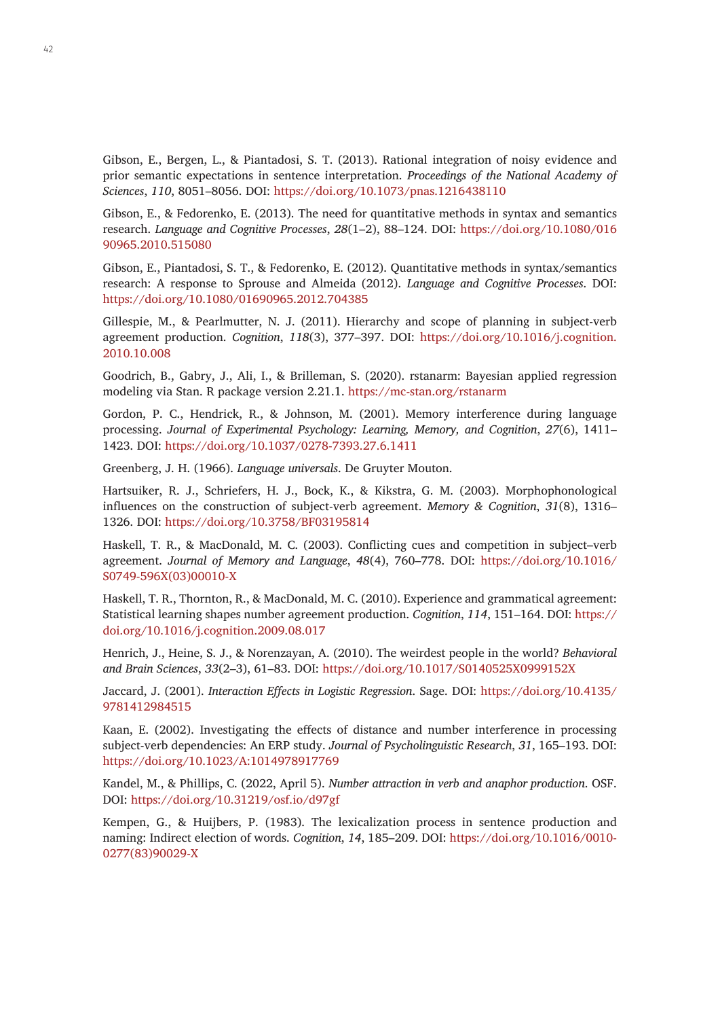Gibson, E., Bergen, L., & Piantadosi, S. T. (2013). Rational integration of noisy evidence and prior semantic expectations in sentence interpretation. *Proceedings of the National Academy of Sciences*, *110*, 8051–8056. DOI:<https://doi.org/10.1073/pnas.1216438110>

Gibson, E., & Fedorenko, E. (2013). The need for quantitative methods in syntax and semantics research. *Language and Cognitive Processes*, *28*(1–2), 88–124. DOI: [https://doi.org/10.1080/016](https://doi.org/10.1080/01690965.2010.515080) [90965.2010.515080](https://doi.org/10.1080/01690965.2010.515080)

Gibson, E., Piantadosi, S. T., & Fedorenko, E. (2012). Quantitative methods in syntax/semantics research: A response to Sprouse and Almeida (2012). *Language and Cognitive Processes*. DOI: <https://doi.org/10.1080/01690965.2012.704385>

Gillespie, M., & Pearlmutter, N. J. (2011). Hierarchy and scope of planning in subject-verb agreement production. *Cognition*, *118*(3), 377–397. DOI: [https://doi.org/10.1016/j.cognition.](https://doi.org/10.1016/j.cognition.2010.10.008) [2010.10.008](https://doi.org/10.1016/j.cognition.2010.10.008)

Goodrich, B., Gabry, J., Ali, I., & Brilleman, S. (2020). rstanarm: Bayesian applied regression modeling via Stan. R package version 2.21.1. <https://mc-stan.org/rstanarm>

Gordon, P. C., Hendrick, R., & Johnson, M. (2001). Memory interference during language processing. *Journal of Experimental Psychology: Learning, Memory, and Cognition*, *27*(6), 1411– 1423. DOI: <https://doi.org/10.1037/0278-7393.27.6.1411>

Greenberg, J. H. (1966). *Language universals*. De Gruyter Mouton.

Hartsuiker, R. J., Schriefers, H. J., Bock, K., & Kikstra, G. M. (2003). Morphophonological influences on the construction of subject-verb agreement. *Memory & Cognition*, *31*(8), 1316– 1326. DOI: <https://doi.org/10.3758/BF03195814>

Haskell, T. R., & MacDonald, M. C. (2003). Conflicting cues and competition in subject–verb agreement. *Journal of Memory and Language*, *48*(4), 760–778. DOI: [https://doi.org/10.1016/](https://doi.org/10.1016/S0749-596X(03)00010-X) [S0749-596X\(03\)00010-X](https://doi.org/10.1016/S0749-596X(03)00010-X)

Haskell, T. R., Thornton, R., & MacDonald, M. C. (2010). Experience and grammatical agreement: Statistical learning shapes number agreement production. *Cognition*, *114*, 151–164. DOI: [https://](https://doi.org/10.1016/j.cognition.2009.08.017) [doi.org/10.1016/j.cognition.2009.08.017](https://doi.org/10.1016/j.cognition.2009.08.017)

Henrich, J., Heine, S. J., & Norenzayan, A. (2010). The weirdest people in the world? *Behavioral and Brain Sciences*, *33*(2–3), 61–83. DOI: <https://doi.org/10.1017/S0140525X0999152X>

Jaccard, J. (2001). *Interaction Effects in Logistic Regression*. Sage. DOI: [https://doi.org/10.4135/](https://doi.org/10.4135/9781412984515) [9781412984515](https://doi.org/10.4135/9781412984515)

Kaan, E. (2002). Investigating the effects of distance and number interference in processing subject-verb dependencies: An ERP study. *Journal of Psycholinguistic Research*, *31*, 165–193. DOI: <https://doi.org/10.1023/A:1014978917769>

Kandel, M., & Phillips, C. (2022, April 5). *Number attraction in verb and anaphor production*. OSF. DOI:<https://doi.org/10.31219/osf.io/d97gf>

Kempen, G., & Huijbers, P. (1983). The lexicalization process in sentence production and naming: Indirect election of words. *Cognition*, *14*, 185–209. DOI: [https://doi.org/10.1016/0010-](https://doi.org/10.1016/0010-0277(83)90029-X) [0277\(83\)90029-X](https://doi.org/10.1016/0010-0277(83)90029-X)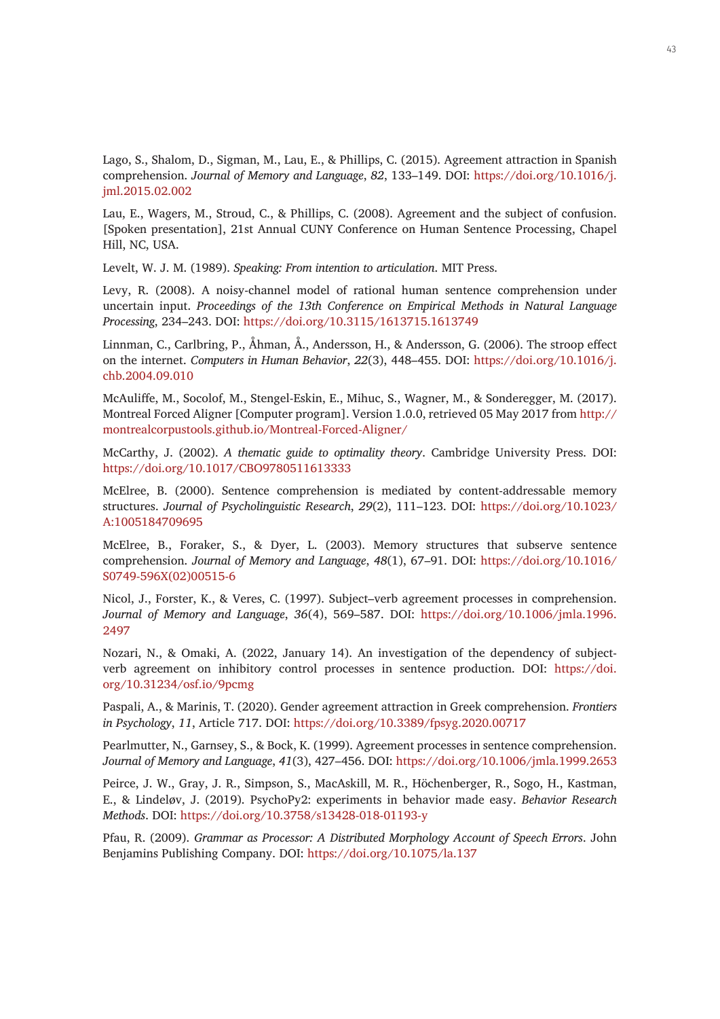Lago, S., Shalom, D., Sigman, M., Lau, E., & Phillips, C. (2015). Agreement attraction in Spanish comprehension. *Journal of Memory and Language*, *82*, 133–149. DOI: [https://doi.org/10.1016/j.](https://doi.org/10.1016/j.jml.2015.02.002) [jml.2015.02.002](https://doi.org/10.1016/j.jml.2015.02.002)

Lau, E., Wagers, M., Stroud, C., & Phillips, C. (2008). Agreement and the subject of confusion. [Spoken presentation], 21st Annual CUNY Conference on Human Sentence Processing, Chapel Hill, NC, USA.

Levelt, W. J. M. (1989). *Speaking: From intention to articulation*. MIT Press.

Levy, R. (2008). A noisy-channel model of rational human sentence comprehension under uncertain input. *Proceedings of the 13th Conference on Empirical Methods in Natural Language Processing*, 234–243. DOI:<https://doi.org/10.3115/1613715.1613749>

Linnman, C., Carlbring, P., Åhman, Å., Andersson, H., & Andersson, G. (2006). The stroop effect on the internet. *Computers in Human Behavior*, *22*(3), 448–455. DOI: [https://doi.org/10.1016/j.](https://doi.org/10.1016/j.chb.2004.09.010) [chb.2004.09.010](https://doi.org/10.1016/j.chb.2004.09.010)

McAuliffe, M., Socolof, M., Stengel-Eskin, E., Mihuc, S., Wagner, M., & Sonderegger, M. (2017). Montreal Forced Aligner [Computer program]. Version 1.0.0, retrieved 05 May 2017 from [http://](http://montrealcorpustools.github.io/Montreal-Forced-Aligner/) [montrealcorpustools.github.io/Montreal-Forced-Aligner/](http://montrealcorpustools.github.io/Montreal-Forced-Aligner/)

McCarthy, J. (2002). *A thematic guide to optimality theory*. Cambridge University Press. DOI: <https://doi.org/10.1017/CBO9780511613333>

McElree, B. (2000). Sentence comprehension is mediated by content-addressable memory structures. *Journal of Psycholinguistic Research*, *29*(2), 111–123. DOI: [https://doi.org/10.1023/](https://doi.org/10.1023/A:1005184709695) [A:1005184709695](https://doi.org/10.1023/A:1005184709695)

McElree, B., Foraker, S., & Dyer, L. (2003). Memory structures that subserve sentence comprehension. *Journal of Memory and Language*, *48*(1), 67–91. DOI: [https://doi.org/10.1016/](https://doi.org/10.1016/S0749-596X(02)00515-6) [S0749-596X\(02\)00515-6](https://doi.org/10.1016/S0749-596X(02)00515-6)

Nicol, J., Forster, K., & Veres, C. (1997). Subject–verb agreement processes in comprehension. *Journal of Memory and Language*, *36*(4), 569–587. DOI: [https://doi.org/10.1006/jmla.1996.](https://doi.org/10.1006/jmla.1996.2497) [2497](https://doi.org/10.1006/jmla.1996.2497)

Nozari, N., & Omaki, A. (2022, January 14). An investigation of the dependency of subjectverb agreement on inhibitory control processes in sentence production. DOI: [https://doi.](https://doi.org/10.31234/osf.io/9pcmg) [org/10.31234/osf.io/9pcmg](https://doi.org/10.31234/osf.io/9pcmg)

Paspali, A., & Marinis, T. (2020). Gender agreement attraction in Greek comprehension. *Frontiers in Psychology*, *11*, Article 717. DOI:<https://doi.org/10.3389/fpsyg.2020.00717>

Pearlmutter, N., Garnsey, S., & Bock, K. (1999). Agreement processes in sentence comprehension. *Journal of Memory and Language*, *41*(3), 427–456. DOI: <https://doi.org/10.1006/jmla.1999.2653>

Peirce, J. W., Gray, J. R., Simpson, S., MacAskill, M. R., Höchenberger, R., Sogo, H., Kastman, E., & Lindeløv, J. (2019). PsychoPy2: experiments in behavior made easy. *Behavior Research Methods*. DOI:<https://doi.org/10.3758/s13428-018-01193-y>

Pfau, R. (2009). *Grammar as Processor: A Distributed Morphology Account of Speech Errors*. John Benjamins Publishing Company. DOI:<https://doi.org/10.1075/la.137>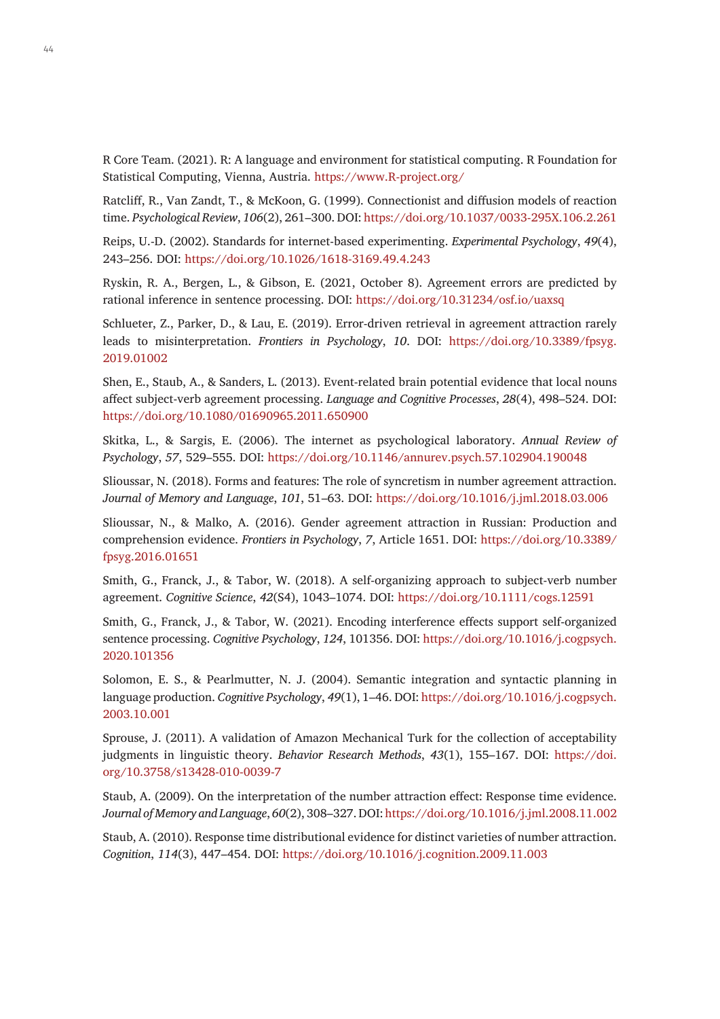R Core Team. (2021). R: A language and environment for statistical computing. R Foundation for Statistical Computing, Vienna, Austria. <https://www.R-project.org/>

Ratcliff, R., Van Zandt, T., & McKoon, G. (1999). Connectionist and diffusion models of reaction time. *Psychological Review*, *106*(2), 261–300. DOI:<https://doi.org/10.1037/0033-295X.106.2.261>

Reips, U.-D. (2002). Standards for internet-based experimenting. *Experimental Psychology*, *49*(4), 243–256. DOI: <https://doi.org/10.1026/1618-3169.49.4.243>

Ryskin, R. A., Bergen, L., & Gibson, E. (2021, October 8). Agreement errors are predicted by rational inference in sentence processing. DOI:<https://doi.org/10.31234/osf.io/uaxsq>

Schlueter, Z., Parker, D., & Lau, E. (2019). Error-driven retrieval in agreement attraction rarely leads to misinterpretation. *Frontiers in Psychology*, *10*. DOI: [https://doi.org/10.3389/fpsyg.](https://doi.org/10.3389/fpsyg.2019.01002) [2019.01002](https://doi.org/10.3389/fpsyg.2019.01002)

Shen, E., Staub, A., & Sanders, L. (2013). Event-related brain potential evidence that local nouns affect subject-verb agreement processing. *Language and Cognitive Processes*, *28*(4), 498–524. DOI: <https://doi.org/10.1080/01690965.2011.650900>

Skitka, L., & Sargis, E. (2006). The internet as psychological laboratory. *Annual Review of Psychology*, *57*, 529–555. DOI:<https://doi.org/10.1146/annurev.psych.57.102904.190048>

Slioussar, N. (2018). Forms and features: The role of syncretism in number agreement attraction. *Journal of Memory and Language*, *101*, 51–63. DOI:<https://doi.org/10.1016/j.jml.2018.03.006>

Slioussar, N., & Malko, A. (2016). Gender agreement attraction in Russian: Production and comprehension evidence. *Frontiers in Psychology*, *7*, Article 1651. DOI: [https://doi.org/10.3389/](https://doi.org/10.3389/fpsyg.2016.01651) [fpsyg.2016.01651](https://doi.org/10.3389/fpsyg.2016.01651)

Smith, G., Franck, J., & Tabor, W. (2018). A self-organizing approach to subject-verb number agreement. *Cognitive Science*, *42*(S4), 1043–1074. DOI:<https://doi.org/10.1111/cogs.12591>

Smith, G., Franck, J., & Tabor, W. (2021). Encoding interference effects support self-organized sentence processing. *Cognitive Psychology*, *124*, 101356. DOI: [https://doi.org/10.1016/j.cogpsych.](https://doi.org/10.1016/j.cogpsych.2020.101356) [2020.101356](https://doi.org/10.1016/j.cogpsych.2020.101356)

Solomon, E. S., & Pearlmutter, N. J. (2004). Semantic integration and syntactic planning in language production. *Cognitive Psychology*, *49*(1), 1–46. DOI: [https://doi.org/10.1016/j.cogpsych.](https://doi.org/10.1016/j.cogpsych.2003.10.001) [2003.10.001](https://doi.org/10.1016/j.cogpsych.2003.10.001)

Sprouse, J. (2011). A validation of Amazon Mechanical Turk for the collection of acceptability judgments in linguistic theory. *Behavior Research Methods*, *43*(1), 155–167. DOI: [https://doi.](https://doi.org/10.3758/s13428-010-0039-7) [org/10.3758/s13428-010-0039-7](https://doi.org/10.3758/s13428-010-0039-7)

Staub, A. (2009). On the interpretation of the number attraction effect: Response time evidence. *Journal of Memory and Language*, *60*(2), 308–327. DOI:<https://doi.org/10.1016/j.jml.2008.11.002>

Staub, A. (2010). Response time distributional evidence for distinct varieties of number attraction. *Cognition*, *114*(3), 447–454. DOI: <https://doi.org/10.1016/j.cognition.2009.11.003>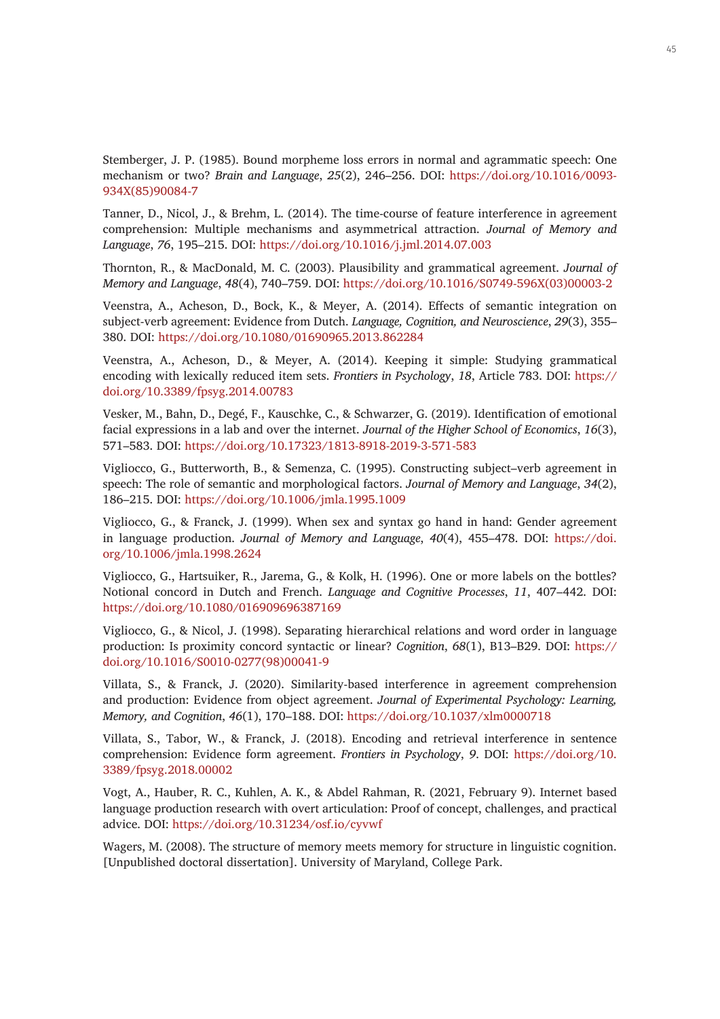Stemberger, J. P. (1985). Bound morpheme loss errors in normal and agrammatic speech: One mechanism or two? *Brain and Language*, *25*(2), 246–256. DOI: [https://doi.org/10.1016/0093-](https://doi.org/10.1016/0093-934X(85)90084-7) [934X\(85\)90084-7](https://doi.org/10.1016/0093-934X(85)90084-7)

Tanner, D., Nicol, J., & Brehm, L. (2014). The time-course of feature interference in agreement comprehension: Multiple mechanisms and asymmetrical attraction. *Journal of Memory and Language*, *76*, 195–215. DOI: <https://doi.org/10.1016/j.jml.2014.07.003>

Thornton, R., & MacDonald, M. C. (2003). Plausibility and grammatical agreement. *Journal of Memory and Language*, *48*(4), 740–759. DOI: [https://doi.org/10.1016/S0749-596X\(03\)00003-2](https://doi.org/10.1016/S0749-596X(03)00003-2)

Veenstra, A., Acheson, D., Bock, K., & Meyer, A. (2014). Effects of semantic integration on subject-verb agreement: Evidence from Dutch. *Language, Cognition, and Neuroscience*, *29*(3), 355– 380. DOI: <https://doi.org/10.1080/01690965.2013.862284>

Veenstra, A., Acheson, D., & Meyer, A. (2014). Keeping it simple: Studying grammatical encoding with lexically reduced item sets. *Frontiers in Psychology*, *18*, Article 783. DOI: [https://](https://doi.org/10.3389/fpsyg.2014.00783) [doi.org/10.3389/fpsyg.2014.00783](https://doi.org/10.3389/fpsyg.2014.00783)

Vesker, M., Bahn, D., Degé, F., Kauschke, C., & Schwarzer, G. (2019). Identification of emotional facial expressions in a lab and over the internet. *Journal of the Higher School of Economics*, *16*(3), 571–583. DOI: <https://doi.org/10.17323/1813-8918-2019-3-571-583>

Vigliocco, G., Butterworth, B., & Semenza, C. (1995). Constructing subject–verb agreement in speech: The role of semantic and morphological factors. *Journal of Memory and Language*, *34*(2), 186–215. DOI: <https://doi.org/10.1006/jmla.1995.1009>

Vigliocco, G., & Franck, J. (1999). When sex and syntax go hand in hand: Gender agreement in language production. *Journal of Memory and Language*, *40*(4), 455–478. DOI: [https://doi.](https://doi.org/10.1006/jmla.1998.2624) [org/10.1006/jmla.1998.2624](https://doi.org/10.1006/jmla.1998.2624)

Vigliocco, G., Hartsuiker, R., Jarema, G., & Kolk, H. (1996). One or more labels on the bottles? Notional concord in Dutch and French. *Language and Cognitive Processes*, *11*, 407–442. DOI: <https://doi.org/10.1080/016909696387169>

Vigliocco, G., & Nicol, J. (1998). Separating hierarchical relations and word order in language production: Is proximity concord syntactic or linear? *Cognition*, *68*(1), B13–B29. DOI: [https://](https://doi.org/10.1016/S0010-0277(98)00041-9) [doi.org/10.1016/S0010-0277\(98\)00041-9](https://doi.org/10.1016/S0010-0277(98)00041-9)

Villata, S., & Franck, J. (2020). Similarity-based interference in agreement comprehension and production: Evidence from object agreement. *Journal of Experimental Psychology: Learning, Memory, and Cognition*, *46*(1), 170–188. DOI:<https://doi.org/10.1037/xlm0000718>

Villata, S., Tabor, W., & Franck, J. (2018). Encoding and retrieval interference in sentence comprehension: Evidence form agreement. *Frontiers in Psychology*, *9*. DOI: [https://doi.org/10.](https://doi.org/10.3389/fpsyg.2018.00002) [3389/fpsyg.2018.00002](https://doi.org/10.3389/fpsyg.2018.00002)

Vogt, A., Hauber, R. C., Kuhlen, A. K., & Abdel Rahman, R. (2021, February 9). Internet based language production research with overt articulation: Proof of concept, challenges, and practical advice. DOI: <https://doi.org/10.31234/osf.io/cyvwf>

Wagers, M. (2008). The structure of memory meets memory for structure in linguistic cognition. [Unpublished doctoral dissertation]. University of Maryland, College Park.